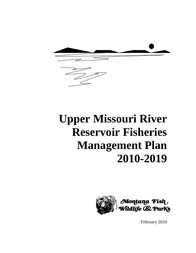

# **Upper Missouri River Reservoir Fisheries Management Plan 2010-2019**



February 2010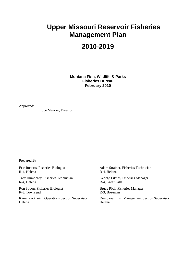# **Upper Missouri Reservoir Fisheries Management Plan**

# **2010-2019**

**Montana Fish, Wildlife & Parks Fisheries Bureau February 2010**

Approved:

Joe Maurier, Director

Prepared By:

Eric Roberts, Fisheries Biologist R-4, Helena

Troy Humphrey, Fisheries Technician R-4, Helena

Ron Spoon, Fisheries Biologist R-3, Townsend

Karen Zackheim, Operations Section Supervisor Helena

Adam Strainer, Fisheries Technician R-4, Helena

George Liknes, Fisheries Manager R-4, Great Falls

Bruce Rich, Fisheries Manager R-3, Bozeman

Don Skaar, Fish Management Section Supervisor Helena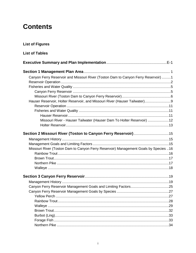# **Contents**

**List of Figures** 

| <b>List of Tables</b>                                                                |  |
|--------------------------------------------------------------------------------------|--|
|                                                                                      |  |
|                                                                                      |  |
| Canyon Ferry Reservoir and Missouri River (Toston Dam to Canyon Ferry Reservoir) 1   |  |
|                                                                                      |  |
|                                                                                      |  |
|                                                                                      |  |
|                                                                                      |  |
| Hauser Reservoir, Holter Reservoir, and Missouri River (Hauser Tailwater)9           |  |
|                                                                                      |  |
|                                                                                      |  |
|                                                                                      |  |
| Missouri River - Hauser Tailwater (Hauser Dam To Holter Reservoir) 12                |  |
|                                                                                      |  |
| Section 2 Missouri River (Toston to Canyon Ferry Reservoir) 15                       |  |
|                                                                                      |  |
|                                                                                      |  |
| Missouri River (Toston Dam to Canyon Ferry Reservoir) Management Goals by Species 16 |  |
|                                                                                      |  |
|                                                                                      |  |
|                                                                                      |  |
|                                                                                      |  |
|                                                                                      |  |
|                                                                                      |  |
|                                                                                      |  |
|                                                                                      |  |
|                                                                                      |  |
|                                                                                      |  |
|                                                                                      |  |
|                                                                                      |  |
|                                                                                      |  |
|                                                                                      |  |
|                                                                                      |  |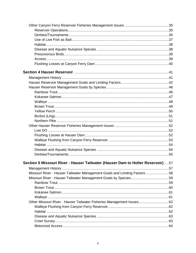| Section 5 Missouri River - Hauser Tailwater (Hauser Dam to Holter Reservoir)57 |  |
|--------------------------------------------------------------------------------|--|
|                                                                                |  |
| Missouri River - Hauser Tailwater Management Goals and Limiting Factors 58     |  |
|                                                                                |  |
|                                                                                |  |
|                                                                                |  |
|                                                                                |  |
|                                                                                |  |
| Other Missouri River - Hauser Tailwater Fisheries Management Issues62          |  |
|                                                                                |  |
|                                                                                |  |
|                                                                                |  |
|                                                                                |  |
|                                                                                |  |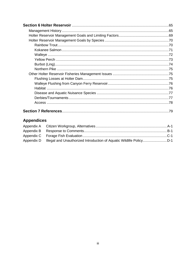| .79 |
|-----|

# **Appendices**

| Appendix D Illegal and Unauthorized Introduction of Aquatic Wildlife Policy |  |
|-----------------------------------------------------------------------------|--|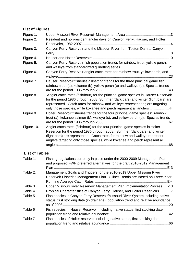## **List of Figures**

| Figure 1.             |                                                                                                                                                                                                                                                                                                                               |
|-----------------------|-------------------------------------------------------------------------------------------------------------------------------------------------------------------------------------------------------------------------------------------------------------------------------------------------------------------------------|
| Figure 2.             | Resident and non-resident angler days on Canyon Ferry, Hauser, and Holter                                                                                                                                                                                                                                                     |
|                       |                                                                                                                                                                                                                                                                                                                               |
| Figure 3.             | Canyon Ferry Reservoir and the Missouri River from Toston Dam to Canyon                                                                                                                                                                                                                                                       |
| Figure 4.             |                                                                                                                                                                                                                                                                                                                               |
| Figure 5.             | Canyon Ferry Reservoir fish population trends for rainbow trout, yellow perch,                                                                                                                                                                                                                                                |
| Figure 6.             | Canyon Ferry Reservoir angler catch rates for rainbow trout, yellow perch, and                                                                                                                                                                                                                                                |
| Figure 7              | Hauser Reservoir fisheries gillnetting trends for the three principal game fish:<br>rainbow trout (a), kokanee (b), yellow perch (c) and walleye (d). Species trends                                                                                                                                                          |
| Figure 8              | Angler catch rates (fish/hour) for the principal game species in Hauser Reservoir<br>for the period 1986 through 2008. Summer (dark bars) and winter (light bars) are<br>represented. Catch rates for rainbow and walleye represent anglers targeting<br>only those species, while kokanee and perch represent all anglers 44 |
| Figure 9.             | Holter Reservoir fisheries trends for the four principal game species: rainbow<br>trout (a), kokanee salmon (b), walleye (c), and yellow perch (d). Species trends                                                                                                                                                            |
| Figure 10.            | Angler catch rates (fish/hour) for the four principal game species in Holter<br>Reservoir for the period 1986 through 2008. Summer (dark bars) and winter<br>(light bars) are represented. Catch rates for rainbow and walleye represent<br>anglers targeting only those species, while kokanee and perch represent all       |
| <b>List of Tables</b> |                                                                                                                                                                                                                                                                                                                               |
| Table 1.              | Fishing regulations currently in place under the 2000-2009 Management Plan<br>and proposed FWP preferred alternatives for the draft 2010-2019 Management                                                                                                                                                                      |
| Table 2.              | Management Goals and Triggers for the 2010-2019 Upper Missouri River<br>Reservoir Fisheries Management Plan. Gillnet Trends are Based on Three-Year                                                                                                                                                                           |
| Table 3               | Upper Missouri River Reservoir Management Plan ImplementationProcess E-13                                                                                                                                                                                                                                                     |
| Table 4               | Physical Characteristics of Canyon Ferry, Hauser, and Holter Reservoirs 7                                                                                                                                                                                                                                                     |
| Table 5               | Fish species in Canyon Ferry Reservoir/Missouri River System including native                                                                                                                                                                                                                                                 |

|         | status, first stocking date (in drainage), population trend and relative abundance |  |
|---------|------------------------------------------------------------------------------------|--|
| Table 6 | Fish species in Hauser Reservoir including native status, first stocking date,     |  |
|         |                                                                                    |  |
| Table 7 | Fish species of Holter reservoir including native status, first stocking date      |  |
|         |                                                                                    |  |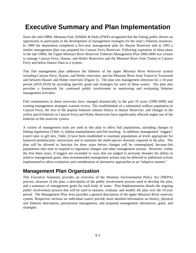# **Executive Summary and Plan Implementation**

Since the mid-1980s, Montana Fish, Wildlife & Parks (FWP) recognized that the fishing public desires an opportunity to participate in the development of management strategies for the state's fisheries resources. In 1989 the department completed a five-year management plan for Hauser Reservoir and in 1993 a similar management plan was prepared for Canyon Ferry Reservoir. Following expiration of these plans in the late 1990s, the Upper Missouri River Reservoir Fisheries Management Plan 2000-2009 was written to manage Canyon Ferry, Hauser, and Holter Reservoirs and the Missouri River from Toston to Canyon Ferry and below Hauser Dam as a system.

This fish management plan addresses the fisheries of the upper Missouri River Reservoir system including Canyon Ferry, Hauser, and Holter reservoirs, and the Missouri River from Toston to Townsend and between Hauser and Holter reservoirs (Figure 1). The plan sets management direction for a 10-year period (2010-2019) by providing specific goals and strategies for each of these waters. The plan also provides a framework for continued public involvement in monitoring and evaluating fisheries management activities.

Fish communities in these reservoirs have changed dramatically in the past 10 years (1999-2009) and existing management strategies warrant review. The establishment of a substantial walleye population in Canyon Ferry, the loss of the popular kokanee salmon fishery in Hauser Reservoir, and changes in the yellow perch fisheries in Canyon Ferry and Holter Reservoirs have significantly affected angler use of the fisheries in this reservoir system.

A variety of management tools are used in this plan to affect fish populations, including changes to fishing regulations (Table 1), habitat manipulations and fish stocking. In addition, management "triggers" (catch rates in gill nets, Table 2) have been established to maintain populations at levels appropriate for balanced predator/prey interactions and to maintain the multi-species diversity required in the plan. The plan will be allowed to function for three years before changes will be contemplated, because fish populations take time to respond to regulation changes and other management actions. However, within the first three years, if triggers are exceeded in ways that are judged to seriously threaten the ability to achieve management goals, then recommended management actions may be deferred or additional actions implemented to allow evaluation and consideration of alternative approaches in an "adaptive manner."

### **Management Plan Organization**

This Executive Summary provides an overview of the Montana Environmental Policy Act (MEPA) process, structure of the plan, a description of the public involvement process used to develop the plan, and a summary of management goals for each body of water. Plan Implementation details the ongoing public involvement process that will be used to monitor, evaluate, and modify the plan over the 10-year period. The Management Plan Area provides a general description of the upper Missouri River reservoir system. Respective sections on individual waters provide more detailed information on history, physical and fisheries description, past/present management, and proposed management alternatives, goals, and strategies.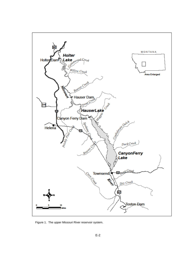

Figure 1. The upper Missouri River reservoir system.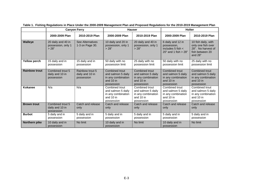|                      |                                                   | <b>Canyon Ferry</b>                              |                                                                                         | <b>Hauser</b>                                                                                  |                                                                                         | <b>Holter</b>                                                                                   |
|----------------------|---------------------------------------------------|--------------------------------------------------|-----------------------------------------------------------------------------------------|------------------------------------------------------------------------------------------------|-----------------------------------------------------------------------------------------|-------------------------------------------------------------------------------------------------|
|                      | 2000-2009 Plan                                    | 2010-2019 Plan                                   | 2000-2009 Plan                                                                          | 2010-2019 Plan                                                                                 | 2000-2009 Plan                                                                          | 2010-2019 Plan                                                                                  |
| <b>Walleye</b>       | 20 daily and 40 in<br>possession, only 1<br>> 28" | See Alternatives<br>1-3 on Page 30.              | 10 daily and 20 in<br>possession, only 1<br>> 28"                                       | 20 daily and 40 in<br>possession, only 1<br>> 28"                                              | 6 daily and 12 in<br>possession,<br>includes $5$ fish $\lt$<br>$20"$ and 1 fish $> 28"$ | 10 fish daily, with<br>only one fish over<br>28". No harvest of<br>fish between 20<br>and $28"$ |
| <b>Yellow perch</b>  | 15 daily and in<br>possession                     | 15 daily and in<br>possession                    | 50 daily with no<br>possession limit                                                    | 25 daily with no<br>possession limit                                                           | 50 daily with no<br>possession limit                                                    | 25 daily with no<br>possession limit                                                            |
| <b>Rainbow trout</b> | Combined trout 5<br>daily and 10 in<br>possession | Rainbow trout 5<br>daily and 10 in<br>possession | Combined trout<br>and salmon 5 daily<br>in any combination<br>and $10$ in<br>possession | <b>Combined trout</b><br>and salmon 5 daily<br>in any combination<br>and $10$ in<br>possession | Combined trout<br>and salmon 5 daily<br>in any combination<br>and $10$ in<br>possession | <b>Combined trout</b><br>and salmon 5 daily<br>in any combination<br>and 10 in<br>possession    |
| Kokanee              | N/a                                               | N/a                                              | Combined trout<br>and salmon 5 daily<br>in any combination<br>and 10 in<br>possession   | Combined trout<br>and salmon 5 daily<br>in any combination<br>and 10 in<br>possession          | Combined trout<br>and salmon 5 daily<br>in any combination<br>and $10$ in<br>possession | Combined trout<br>and salmon 5 daily<br>in any combination<br>and $10$ in<br>possession         |
| <b>Brown trout</b>   | Combined trout 5<br>daily and 10 in<br>possession | Catch and release<br>only                        | Catch and release<br>only                                                               | Catch and release<br>only                                                                      | Catch and release<br>only                                                               | Catch and release<br>only                                                                       |
| <b>Burbot</b>        | 5 daily and in<br>possession                      | 5 daily and in<br>possession                     | 5 daily and in<br>possession                                                            | 5 daily and in<br>possession                                                                   | 5 daily and in<br>possession                                                            | 5 daily and in<br>possession                                                                    |
| <b>Northern pike</b> | 10 daily and in<br>possession                     | No limit                                         | 10 daily and in<br>possession                                                           | No limit                                                                                       | 10 daily and in<br>possession                                                           | No limit                                                                                        |

**Table 1. Fishing Regulations in Place Under the 2000-2009 Management Plan and Proposed Regulations for the 2010-2019 Management Plan**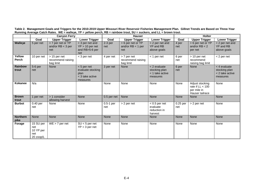|                         |                                                                | <b>Canyon Ferry</b>                              |                                                                           | <b>Hauser</b>      |                                                 | <b>Holter</b>                                                |                 |                                                                         |                                                              |
|-------------------------|----------------------------------------------------------------|--------------------------------------------------|---------------------------------------------------------------------------|--------------------|-------------------------------------------------|--------------------------------------------------------------|-----------------|-------------------------------------------------------------------------|--------------------------------------------------------------|
|                         | Goal                                                           | <b>Upper Trigger</b>                             | Lower Trigger                                                             | Goal               | <b>Upper Trigger</b>                            | Lower Trigger                                                | Goal            | <b>Upper Trigger</b>                                                    | Lower Trigger                                                |
| Walleye                 | 5 per net                                                      | > 7 per net or YP<br>and/or $RB < 3$ per<br>net  | < 3 per net and<br>$YP > 10$ per net<br>and RB>5-6 per<br>net             | $2-3$ per<br>net   | > 6 per net or YP<br>and/or $RB < 1$ per<br>net | < 2 per net and<br>YP and RB<br>above goals                  | 4 per<br>net    | > 6 per net or YP<br>and/or $RB < 2$<br>per net                         | < 2 per net and<br>YP and RB<br>above goals                  |
| Yellow<br><b>Perch</b>  | 10 per net                                                     | $>$ 15 per net<br>recommend raising<br>bag limit | $<$ 3 per net                                                             | 4 per net          | > 7 per net<br>recommend raising<br>bag limit   | $<$ 1 per net                                                | 6 per<br>net    | $> 10$ per net<br>recommend<br>raising bag limit                        | $<$ 2 per net                                                |
| <b>Rainbow</b><br>trout | 5-6 per<br>net                                                 | None                                             | $<$ 5 per net<br>evaluate stocking<br>plan<br>< 3 take active<br>measures | 3 per net          | None                                            | < 2 evaluate<br>stocking plan<br>< 1 take active<br>measures | 6 per<br>net    | <b>None</b>                                                             | < 4 evaluate<br>stocking plan<br>< 2 take active<br>measures |
| <b>Kokanee</b>          | N/a                                                            |                                                  |                                                                           | None               | None                                            | None                                                         | None            | Adjust stocking<br>rate if $LL < 100$<br>per mile in<br>Hauser tailrace | None                                                         |
| <b>Brown</b><br>trout   | 1 per net                                                      | > 1 consider<br>allowing harvest                 | <b>None</b>                                                               | 0.5 per net        | None                                            | <b>None</b>                                                  | None            | <b>None</b>                                                             | None                                                         |
| <b>Burbot</b>           | 0.40 per<br>net                                                | None                                             | None                                                                      | $0.5-1$ per<br>net | > 2 per net                                     | $< 0.5$ per net<br>evaluate<br>reduction in<br>harvest       | 0.25 per<br>net | > 2 per net                                                             | None                                                         |
| <b>Northern</b><br>pike | <b>None</b>                                                    | <b>None</b>                                      | None                                                                      | None               | None                                            | None                                                         | None            | <b>None</b>                                                             | <b>None</b>                                                  |
| Forage                  | $\overline{15}$ SU per<br>net<br>10 YP per<br>net<br>20 zoop/L | $WE > 7$ per net                                 | $SU < 5$ per net<br>$YP < 3$ per net                                      | None               | None                                            | None                                                         | None            | None                                                                    | None                                                         |

**Table 2. Management Goals and Triggers for the 2010-2019 Upper Missouri River Reservoir Fisheries Management Plan. Gillnet Trends are Based on Three-Year Running Average Catch Rates. WE = walleye, YP = yellow perch, RB = rainbow trout, SU = suckers, and LL = brown trout.**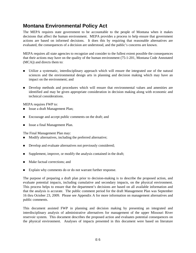# **Montana Environmental Policy Act**

The MEPA requires state government to be accountable to the people of Montana when it makes decisions that affect the human environment. MEPA provides a process to help ensure that government actions are based on informed decisions. It does this by requiring that reasonable alternatives are evaluated, the consequences of a decision are understood, and the public's concerns are known.

MEPA requires all state agencies to recognize and consider to the fullest extent possible the consequences that their actions may have on the quality of the human environment (75-1-201, Montana Code Annotated (MCA)) and directs them to:

- Utilize a systematic, interdisciplinary approach which will ensure the integrated use of the natural sciences and the environmental design arts in planning and decision making which may have an impact on the environment; and
- **Develop methods and procedures which will ensure that environmental values and amenities are** identified and may be given appropriate consideration in decision making along with economic and technical considerations.

MEPA requires FWP to:

- Issue a draft Management Plan;
- Encourage and accept public comments on the draft; and
- Issue a final Management Plan.

The Final Management Plan may:

- Modify alternatives, including the preferred alternative;
- Develop and evaluate alternatives not previously considered;
- $\blacksquare$  Supplement, improve, or modify the analysis contained in the draft;
- Make factual corrections; and
- Explain why comments do or do not warrant further response.

The purpose of preparing a draft plan prior to decision-making is to describe the proposed action, and evaluate potential impacts, including cumulative and secondary impacts, on the physical environment. This process helps to ensure that the department's decisions are based on all available information and that the analysis is accurate. The public comment period for the draft Management Plan was September 16 thru October 23, 2009. Please see Appendix A for more information on management alternatives and public comments.

This document assisted FWP in planning and decision making by presenting an integrated and interdisciplinary analysis of administrative alternatives for management of the upper Missouri River reservoir system. This document describes the proposed action and evaluates potential consequences on the physical environment. Analyses of impacts presented in this document were based on literature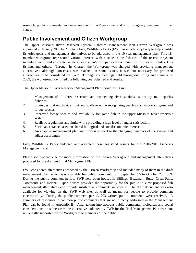research, public comments, and interviews with FWP personnel and wildlife agency personnel in other states.

# **Public Involvement and Citizen Workgroup**

The Upper Missouri River Reservoir System Fisheries Management Plan Citizen Workgroup was appointed in January 2009 by Montana Fish, Wildlife & Parks (FWP) as an advisory body to help identify fisheries goals and management alternatives to be addressed in the 10-year management plan. This 18 member workgroup represented various interests with a stake in the fisheries of the reservoir system including warm and coldwater anglers, sportsman's groups, local communities, businesses, guides, kids fishing, and others. Through its Charter, the Workgroup was charged with providing management alternatives; although consensus was reached on some issues, it was not necessary for proposed alternatives to be considered by FWP. Through six meetings held throughout spring and summer of 2009, the workgroup identified the following goals/desired end results:

The Upper Missouri River Reservoir Management Plan should result in:

- 1. Management of all three reservoirs and connecting river sections as healthy multi-species fisheries.
- 2. Strategies that emphasize trout and walleye while recognizing perch as an important game and forage species.
- 3. Improved forage species and availability for game fish in the upper Missouri River reservoir system.
- 4. Realistic regulations and limits while providing a high level of angler satisfaction.
- 5. Social acceptance based on shared biological and social/economic interests.
- 6. An adaptive management plan and process to react to the changing dynamics of the system and adjust accordingly.

Fish, Wildlife & Parks endorsed and accepted these goals/end results for the 2010-2019 Fisheries Management Plan.

Please see Appendix A for more information on the Citizen Workgroup and management alternatives proposed for the draft and final Management Plan.

FWP considered alternatives proposed by the Citizen Workgroup and included many of them in the draft management plan, which was available for public comment from September 16 to October 23, 2009. During the public comment period, FWP held open houses in Billings, Bozeman, Butte, Great Falls, Townsend, and Helena. Open houses provided the opportunity for the public to view proposed fish management alternatives and provide substantive comments in writing. The draft document was also available for viewing on the FWP web site, as well as means for people to provide comment electronically. During the public comment period, 203 written public comments were received. A summary of responses to common public comments that are not directly addressed in the Management Plan can be found in Appendix B. After taking into account public comments, biological and social considerations, in some cases the alternatives adopted by FWP for the final Management Plan were not universally supported by the Workgroup or members of the public.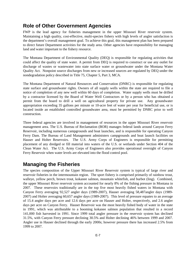## **Role of Other Government Agencies**

FWP is the lead agency for fisheries management in the upper Missouri River reservoir system. Maintaining a high quality, cost-effective, multi-species fishery with high levels of angler satisfaction is the department's overall management goal. To achieve this goal, this management plan has been prepared to direct future Department activities for the study area. Other agencies have responsibility for managing land and water important to the fishery resource.

The Montana Department of Environmental Quality (DEQ) is responsible for regulating activities that could affect the quality of state water. A permit from DEQ is required to construct or use any outlet for discharge of wastes or wastewater into state surface water or groundwater under the Montana Water Quality Act. Nonpoint source discharges from new or increased sources are regulated by DEQ under the nondegradation policy described in Title 75, Chapter 5, Part 3, MCA.

The Montana Department of Natural Resources and Conservation (DNRC) is responsible for regulating state surface and groundwater rights. Owners of all supply wells within the state are required to file a notice of completion of any new well within 60 days of completion. Water supply wells must be drilled by a contractor licensed by the Board of Water Well Contractors or by a person who has obtained a permit from the board to drill a well on agricultural property for private use. Any groundwater appropriation exceeding 35 gallons per minute or 10-acre feet of water per year for beneficial use, or is located inside an established controlled groundwater area, must be permitted by DNRC prior to well construction.

Three federal agencies are involved in management of resources in the upper Missouri River reservoir management area. The U.S. Bureau of Reclamation (BOR) manages federal lands around Canyon Ferry Reservoir, including numerous campgrounds and boat launches, and is responsible for operating Canyon Ferry Dam. The Bureau of Land Management administers campgrounds and boat launch facilities on Hauser and Holter Reservoirs. The U.S. Army Corps of Engineers is responsible for permitting placement of any dredged or fill material into waters of the U.S. or wetlands under Section 404 of the Clean Water Act. The U.S. Army Corps of Engineers also provides operational oversight of Canyon Ferry Reservoir when water levels are elevated into the flood control pool.

### **Managing the Fisheries**

The species composition of the Upper Missouri River Reservoir system is typical of large river and reservoir fisheries in the intermountain region. The sport fishery is comprised primarily of rainbow trout, walleye, yellow perch, brown trout, kokanee salmon, mountain whitefish, and burbot (ling). Combined, the upper Missouri River reservoir system accounted for nearly 8% of the fishing pressure in Montana in 2007. These reservoirs traditionally are in the top five most heavily fished waters in Montana with Canyon Ferry averaging 92,527 angler days (1989-2007), Hauser averaging 58,487angler days (1989- 2007) and Holter averaging 60,657 angler days (1989-2007). This level of pressure equates to an average of 15.4 angler days per acre and 12.6 days per acre on Hauser and Holter, respectively, and 2.6 angler days per acre on Canyon Ferry. Hauser Reservoir was the most heavily fished body of water in the state in 1991, which was attributable to a booming kokanee salmon population that resulted in a record 141,000 fish harvested in 1991. Since 1999 total angler pressure in the reservoir system has declined 31.5%, with Canyon Ferry pressure declining 30.5% and Holter declining 46% between 1999 and 2007. Angler use in Hauser declined through the early 2000s; however pressure there has increased 2.5% from 1999 to 2007.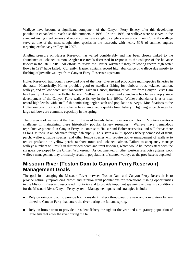Walleye have become a significant component of the Canyon Ferry fishery after this developing population expanded to reach fishable numbers in 1998. Prior to 1996, no walleye were observed in the standard roving creel census and reports of walleye caught by anglers were uncommon. Currently walleye serve as one of the most sought after species in the reservoir, with nearly 50% of summer anglers targeting exclusively walleye in 2007.

Angling pressure on Hauser Reservoir has varied considerably and has been closely linked to the abundance of kokanee salmon. Angler use trends decreased in response to the collapse of the kokanee fishery in the late 1990s. All efforts to revive the Hauser kokanee fishery following record high water flows in 1997 have failed. Currently, Hauser contains record high abundance of walleye due mostly to flushing of juvenile walleye from Canyon Ferry Reservoir upstream.

Holter Reservoir traditionally provided one of the most diverse and productive multi-species fisheries in the state. Historically, Holter provided good to excellent fishing for rainbow trout, kokanee salmon, walleye, and yellow perch simultaneously. Like in Hauser, flushing of walleye from Canyon Ferry Dam has heavily influenced the Holter fishery. Yellow perch harvest and abundance has fallen sharply since development of the Canyon Ferry walleye fishery in the late 1990s. Walleye abundance is at or near record high levels, with small fish dominating angler catch and population surveys. Modifications to the Holter rainbow trout stocking scheme has maintained a quality trout fishery. High angler catch rates for large rainbows are common, especially in the spring.

The presence of walleye at the head of the most heavily fished reservoir complex in Montana creates a challenge in maintaining these historically popular fishery resources. Walleye have tremendous reproductive potential in Canyon Ferry, in contrast to Hauser and Holter reservoirs, and will thrive there as long as there is an adequate forage fish supply. To sustain a multi-species fishery composed of trout, perch, walleye, native species, and other forage species will require active management of walleye to reduce predation on yellow perch, rainbow trout, and kokanee salmon. Failure to adequately manage walleye numbers will result in diminished perch and trout fisheries, which would be inconsistent with the six goals developed by the Citizen Workgroup. As documented in other western reservoir systems, poor walleye management may ultimately result in populations of stunted walleye as the prey base is depleted.

### **Missouri River (Toston Dam to Canyon Ferry Reservoir) Management Goals**

The goal for managing the Missouri River between Toston Dam and Canyon Ferry Reservoir is to provide naturally reproducing brown and rainbow trout populations for recreational fishing opportunities in the Missouri River and associated tributaries and to provide important spawning and rearing conditions for the Missouri River/Canyon Ferry system. Management goals and strategies include:

- Rely on rainbow trout to provide both a resident fishery throughout the year and a migratory fishery linked to Canyon Ferry that enters the river during the fall and spring.
- Rely on brown trout to provide a resident fishery throughout the year and a migratory population of large fish that enter the river during the fall.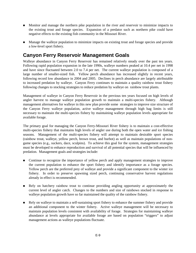- Monitor and manage the northern pike population in the river and reservoir to minimize impacts to the existing trout and forage species. Expansion of a predator such as northern pike could have negative effects to the existing fish community in the Missouri River.
- **Manage the walleye population to minimize impacts on existing trout and forage species and provide** a low-level sport fishery.

# **Canyon Ferry Reservoir Management Goals**

Walleye abundance in Canyon Ferry Reservoir has remained relatively steady over the past ten years. Following rapid population expansion in the late 1990s, walleye numbers peaked at 10.4 per net in 1998 and have since fluctuated between 2.0 to 7.4 per net. The current walleye population is composed of a large number of smaller-sized fish. Yellow perch abundance has increased slightly in recent years, following record low abundance in 2004 and 2005. Declines in perch abundance are largely attributable to increased predation by walleye. Canyon Ferry continues to maintain a quality rainbow trout fishery following changes to stocking strategies to reduce predation by walleye on rainbow trout plants.

Management of walleye in Canyon Ferry Reservoir in the previous ten years focused on high levels of angler harvest to manage walleye population growth to maintain a multi-species fishery. Although management alternatives for walleye in this new plan provide some strategies to improve size structure of the Canyon Ferry walleye population, active walleye management through high bag limits is still necessary to maintain the multi-species fishery by maintaining walleye population levels appropriate for available forage.

The primary goal for managing the Canyon Ferry-Missouri River fishery is to maintain a cost-effective multi-species fishery that maintains high levels of angler use during both the open water and ice fishing seasons. Management of the multi-species fishery will attempt to maintain desirable sport species (rainbow trout, walleye, yellow perch, brown trout, and burbot) as well as maintain populations of nongame species (e.g., suckers, dace, sculpins). To achieve this goal for the system, management strategies must be developed to enhance reproduction and survival of all potential species that will be influenced by predation. Management goals and strategies include:

- Continue to recognize the importance of yellow perch and apply management strategies to improve the current population to enhance the sport fishery and identify importance as a forage species. Yellow perch are the preferred prey of walleye and provide a significant component to the winter ice fishery. In order to preserve spawning sized perch, continuing conservative harvest regulations already in effect is recommended.
- Rely on hatchery rainbow trout to continue providing angling opportunity at approximately the current level of angler catch. Changes to the numbers and size of rainbows stocked in response to walleye population growth have so far maintained the quality of the rainbow fishery.
- Rely on walleve to maintain a self-sustaining sport fishery to enhance the summer fishery and provide an additional component to the winter fishery. Active walleye management will be necessary to maintain population levels consistent with availability of forage. Strategies for maintaining walleye abundance at levels appropriate for available forage are based on population "triggers" to adjust management actions as walleye populations fluctuate.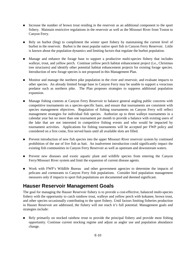- Increase the number of brown trout residing in the reservoir as an additional component to the sport fishery. Maintain restrictive regulations in the reservoir as well as the Missouri River from Toston to Canyon Ferry.
- Rely on burbot (ling) to compliment the winter sport fishery by maintaining the current level of burbot in the reservoir. Burbot is the most popular native sport fish in Canyon Ferry Reservoir. Little is known about the population dynamics and limiting factors that regulate the burbot population.
- Manage and enhance the forage base to support a productive multi-species fishery that includes walleye, trout, and yellow perch. Continue yellow perch habitat enhancement project (i.e., Christmas tree structures) and identify other potential habitat enhancement projects for existing forage species. Introduction of new forage species is not proposed in this Management Plan.
- Monitor and manage the northern pike population in the river and reservoir, and evaluate impacts to other species. An already limited forage base in Canyon Ferry may be unable to support a voracious predator such as northern pike. The Plan proposes strategies to suppress additional population expansion.
- Manage fishing contests at Canyon Ferry Reservoir to balance general angling public concerns with competitive tournaments on a species-specific basis, and ensure that tournaments are consistent with species management objectives. Regulation of fishing tournaments on Canyon Ferry will reflect management strategies for individual fish species. Authorize up to three walleye tournaments in a calendar year but no more than one tournament per month to provide a balance with existing users of the lake that are not interested in competitive fishing events and who would be impacted by tournament activities. Applications for fishing tournaments will be accepted per FWP policy and considered on a first come, first served basis until all available slots are filled.
- **Prevent introduction of new fish species into the upper Missouri River reservoir system by continued** prohibition of the use of live fish as bait. An inadvertent introduction could significantly impact the existing fish communities in Canyon Ferry Reservoir as well as upstream and downstream waters.
- Prevent new diseases and exotic aquatic plant and wildlife species from entering the Canyon Ferry/Missouri River system and limit the expansion of current disease agents.
- Work with FWP's Wildlife Bureau and other government agencies to determine the impacts of pelicans and cormorants to Canyon Ferry fish populations. Consider bird population management measures only if impacts to sport fish populations are documented and deemed significant.

### **Hauser Reservoir Management Goals**

The goal for managing the Hauser Reservoir fishery is to provide a cost-effective, balanced multi-species fishery with the opportunity to catch rainbow trout, walleye and yellow perch with kokanee, brown trout, and other species occasionally contributing to the sport fishery. Until factors limiting fisheries production in Hauser Reservoir are addressed, the fishery will not reach it's full potential. Management goals and strategies include:

Rely primarily on stocked rainbow trout to provide the principal fishery and provide most fishing opportunity. Continue current stocking regime and adjust as angler use and population abundance change.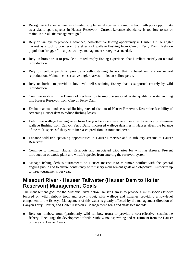- Recognize kokanee salmon as a limited supplemental species to rainbow trout with poor opportunity as a viable sport species in Hauser Reservoir. Current kokanee abundance is too low to set or maintain a realistic management goal.
- Rely on walleye to provide a balanced, cost-effective fishing opportunity in Hauser. Utilize angler harvest as a tool to counteract the effects of walleye flushing from Canyon Ferry Dam. Rely on population "triggers" to adjust walleye management strategies as needed.
- Rely on brown trout to provide a limited trophy-fishing experience that is reliant entirely on natural reproduction.
- Rely on yellow perch to provide a self-sustaining fishery that is based entirely on natural reproduction. Maintain conservative angler harvest limits on yellow perch.
- Rely on burbot to provide a low-level, self-sustaining fishery that is supported entirely by wild reproduction.
- Continue work with the Bureau of Reclamation to improve seasonal water quality of water running into Hauser Reservoir from Canyon Ferry Dam.
- Evaluate annual and seasonal flushing rates of fish out of Hauser Reservoir. Determine feasibility of screening Hauser dam to reduce flushing losses.
- Determine walleye flushing rates from Canyon Ferry and evaluate measures to reduce or eliminate walleye flushing from Canyon Ferry Dam. Increased walleye densities in Hauser affect the balance of the multi-species fishery with increased predation on trout and perch.
- Enhance wild fish spawning opportunities in Hauser Reservoir and in tributary streams to Hauser Reservoir.
- Continue to monitor Hauser Reservoir and associated tributaries for whirling disease. Prevent introduction of exotic plant and wildlife species from entering the reservoir system.
- Manage fishing derbies/tournaments on Hauser Reservoir to minimize conflict with the general angling public and to ensure consistency with fishery management goals and objectives. Authorize up to three tournaments per year.

### **Missouri River - Hauser Tailwater (Hauser Dam to Holter Reservoir) Management Goals**

The management goal for the Missouri River below Hauser Dam is to provide a multi-species fishery focused on wild rainbow trout and brown trout, with walleye and kokanee providing a low-level component to the fishery. Management of this water is greatly affected by the management direction of Canyon Ferry, Hauser, and Holter reservoirs. Management goals and strategies include:

Rely on rainbow trout (particularly wild rainbow trout) to provide a cost-effective, sustainable fishery. Encourage the development of wild rainbow trout spawning and recruitment from the Hauser tailrace and Beaver Creek.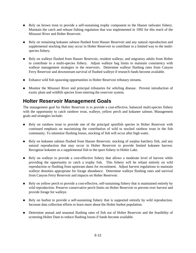- Rely on brown trout to provide a self-sustaining trophy component to the Hauser tailwater fishery. Maintain the catch and release fishing regulation that was implemented in 1992 for this reach of the Missouri River and Holter Reservoir.
- Rely on remaining kokanee salmon flushed from Hauser Reservoir and any natural reproduction and supplemental stocking that may occur in Holter Reservoir to contribute in a limited way to the multispecies fishery.
- Rely on walleye flushed from Hauser Reservoir, resident walleye, and migratory adults from Holter to contribute to a multi-species fishery. Adjust walleye bag limits to maintain consistency with walleye management strategies in the reservoirs. Determine walleye flushing rates from Canyon Ferry Reservoir and downstream survival of flushed walleye if research funds become available.
- Enhance wild fish spawning opportunities in Holter Reservoir tributary streams.
- **Monitor the Missouri River and principal tributaries for whirling disease.** Prevent introduction of exotic plant and wildlife species from entering the reservoir system.

# **Holter Reservoir Management Goals**

The management goal for Holter Reservoir is to provide a cost-effective, balanced multi-species fishery with the opportunity to catch rainbow trout, walleye, yellow perch and kokanee salmon. Management goals and strategies include:

- Rely on rainbow trout to provide one of the principal sportfish species in Holter Reservoir with continued emphasis on maximizing the contribution of wild to stocked rainbow trout in the fish community. To minimize flushing losses, stocking of fish will occur after high water.
- Rely on kokanee salmon flushed from Hauser Reservoir, stocking of surplus hatchery fish, and any natural reproduction that may occur in Holter Reservoir to provide limited kokanee harvest. Recognize kokanee as a supplemental fish to the sport fishery in Holter Lake.
- Rely on walleye to provide a cost-effective fishery that allows a moderate level of harvest while providing the opportunity to catch a trophy fish. This fishery will be reliant entirely on wild reproduction or flushing from upstream dams for recruitment. Adjust harvest regulations to maintain walleye densities appropriate for forage abundance. Determine walleye flushing rates and survival from Canyon Ferry Reservoir and impacts on Holter Reservoir.
- Rely on yellow perch to provide a cost-effective, self-sustaining fishery that is maintained entirely by wild reproduction. Preserve conservative perch limits on Holter Reservoir to prevent over harvest and provide forage for walleye.
- Rely on burbot to provide a self-sustaining fishery that is supported entirely by wild reproduction. Increase data collection efforts to learn more about the Holter burbot population.
- **Determine annual and seasonal flushing rates of fish out of Holter Reservoir and the feasibility of** screening Holter Dam to reduce flushing losses if funds become available.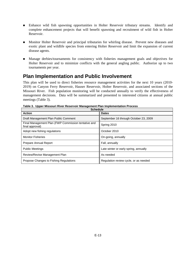- Enhance wild fish spawning opportunities in Holter Reservoir tributary streams. Identify and complete enhancement projects that will benefit spawning and recruitment of wild fish in Holter Reservoir.
- Monitor Holter Reservoir and principal tributaries for whirling disease. Prevent new diseases and exotic plant and wildlife species from entering Holter Reservoir and limit the expansion of current disease agents.
- Manage derbies/tournaments for consistency with fisheries management goals and objectives for Holter Reservoir and to minimize conflicts with the general angling public. Authorize up to two tournaments per year.

### **Plan Implementation and Public Involvement**

This plan will be used to direct fisheries resource management activities for the next 10 years (2010- 2019) on Canyon Ferry Reservoir, Hauser Reservoir, Holter Reservoir, and associated sections of the Missouri River. Fish population monitoring will be conducted annually to verify the effectiveness of management decisions. Data will be summarized and presented to interested citizens at annual public meetings (Table 3).

| <b>Schedule</b>                                                        |                                       |  |  |  |
|------------------------------------------------------------------------|---------------------------------------|--|--|--|
| <b>Action</b>                                                          | <b>Dates</b>                          |  |  |  |
| Draft Management Plan Public Comment                                   | September 16 through October 23, 2009 |  |  |  |
| Final Management Plan (FWP Commission tentative and<br>final approval) | Spring 2010                           |  |  |  |
| Adopt new fishing regulations                                          | October 2010                          |  |  |  |
| <b>Monitor Fisheries</b>                                               | On-going, annually                    |  |  |  |
| Prepare Annual Report                                                  | Fall, annually                        |  |  |  |
| <b>Public Meetings</b>                                                 | Late winter or early spring, annually |  |  |  |
| Review/Revise Management Plan                                          | As needed                             |  |  |  |
| Propose Changes to Fishing Regulations                                 | Regulation review cycle, or as needed |  |  |  |

**Table 3. Upper Missouri River Reservoir Management Plan Implementation Process**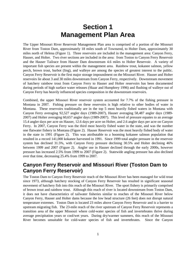# **Section 1 Management Plan Area**

The Upper Missouri River Reservoir Management Plan area is comprised of a portion of the Missouri River from Toston Dam, approximately 18 miles south of Townsend, to Holter Dam, approximately 30 miles north of Helena (Figure 1). Three reservoirs are included in the management area: Canyon Ferry, Hauser, and Holter. Two river sections are included in the area: from Toston to Canyon Ferry Reservoir and the Hauser Tailrace from Hauser Dam downstream 4.6 miles to Holter Reservoir. A variety of important fish species are present within the management area. Rainbow trout, kokanee salmon, yellow perch, brown trout, burbot (ling), and walleye are among the species of greatest interest to the public. Canyon Ferry Reservoir is the first major storage impoundment on the Missouri River. Hauser and Holter reservoirs lie about 3 and 30 miles downstream from Canyon Ferry, respectively. Downstream movement of hatchery rainbow trout from Canyon Ferry to Hauser and Holter reservoirs has been documented during periods of high surface water releases (Skaar and Humphrey 1996) and flushing of walleye out of Canyon Ferry has heavily influenced species composition in the downstream reservoirs.

Combined, the upper Missouri River reservoir system accounted for 7.7% of the fishing pressure in Montana in 2007. Fishing pressure on these reservoirs is high relative to other bodies of water in Montana. These reservoirs traditionally are in the top 5 most heavily fished waters in Montana with Canyon Ferry averaging 92,527 angler days (1989-2007), Hauser averaging 58,487 angler days (1989- 2007) and Holter averaging 60,657 angler days (1989-2007). This level of pressure equates to an average 15.4 angler days per acre on Hauser, 12.6 days per acre on Holter, and 2.6 angler days per acre on Canyon Ferry. In 2007, Canyon Ferry was the third most heavily fished water in the state, and was the number one flatwater fishery in Montana (Figure 2). Hauser Reservoir was the most heavily fished body of water in the state in 1991 (Figure 2). This was attributable to a booming kokanee salmon population that resulted in a record 141,000 kokanee harvested in 1991. Since 1999 total angler pressure in the reservoir system has declined 31.5%, with Canyon Ferry pressure declining 30.5% and Holter declining 46% between 1999 and 2007 (Figure 2). Angler use in Hauser declined through the early 2000s, however pressure has increased 2.5% from 1999 to 2007 (Figure 2). Statewide angling pressure has also declined over that time, decreasing 25.4% from 1999 to 2007.

### **Canyon Ferry Reservoir and Missouri River (Toston Dam to Canyon Ferry Reservoir)**

The Toston Dam to Canyon Ferry Reservoir reach of the Missouri River has been managed for wild trout since 1973, although hatchery stocking of Canyon Ferry Reservoir has resulted in significant seasonal movement of hatchery fish into this reach of the Missouri River. The sport fishery is primarily comprised of brown trout and rainbow trout. Although this reach of river is located downstream from Toston Dam, it does not have characteristics of tailwater fisheries similar to reaches of the Missouri River below Canyon Ferry, Hauser and Holter dams because the low head structure (26 feet) does not disrupt natural temperature extremes. Toston Dam is located 23 miles above Canyon Ferry Reservoir and is a barrier to upstream migrating fish. The 23-mile reach of the river upstream of Canyon Ferry Reservoir represents a transition area of the upper Missouri where cold-water species of fish and invertebrates thrive during average precipitation years or cool/wet years. During dry/warmer summers, this reach of the Missouri River becomes unsuitable for cold-water species of fish and invertebrates. Since the Canyon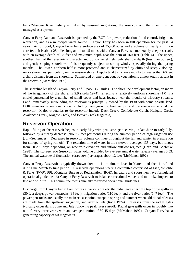Ferry/Missouri River fishery is linked by seasonal migrations, the reservoir and the river must be managed as a system.

Canyon Ferry Dam and Reservoir is operated by the BOR for power production, flood control, irrigation, recreation, and as a municipal water source. Canyon Ferry has been in full operation for the past 54 years. At full pool, Canyon Ferry has a surface area of 35,200 acres and a volume of nearly 2 million acre-feet. It is about 25 miles long and 1 to 4.5 miles wide. Canyon Ferry is a moderately deep reservoir, with an average depth of 58 feet and maximum depth near the dam of 160 feet (Table 4). The upper, southern half of the reservoir is characterized by low relief, relatively shallow depth (less than 50 feet), and gently sloping shorelines. It is frequently subject to strong winds, especially during the spring months. The lower, northern half is more protected and is characterized by cliffs and steeply sloping, rocky shorelines, particularly on the western shore. Depths tend to increase rapidly to greater than 60 feet a short distance from the shoreline. Submerged or emergent aquatic vegetation is almost totally absent in the reservoir (McMahon 1992).

The shoreline length of Canyon Ferry at full pool is 76 miles. The shoreline development factor, an index of the irregularity of the shore, is 2.9 (Rada 1974), reflecting a relatively uniform shoreline (1.0 is a circle) punctuated by a number of small coves and bays located near the mouths of tributary streams. Land immediately surrounding the reservoir is principally owned by the BOR with some private land. BOR manages recreational areas, including campgrounds, boat ramps, and day-use areas around the reservoir. Major tributaries to the reservoir include Duck Creek, Confederate Gulch, Hellgate Creek, Avalanche Creek, Magpie Creek, and Beaver Creek (Figure 3).

### **Reservoir Operation**

Rapid filling of the reservoir begins in early May with peak storage occurring in late June to early July, followed by a steady decrease (about 2 feet per month) during the summer period of high irrigation use (July-September). Decreases in reservoir volume continue throughout the fall and winter in preparation for storage of spring run-off. The retention time of water in the reservoir averages 135 days, but ranges from 50-200 days depending on reservoir elevation and inflow-outflow regimes (Horn and Boehmke 1998). The storage ratio (reservoir water volume divided by average annual water release) averages 0.53. The annual water level fluctuation (drawdown) averages about 12 feet (McMahon 1992).

Canyon Ferry Reservoir is typically drawn down to its minimum level in March, and then is refilled during the March to June period. A reservoir operations steering committee comprised of Fish, Wildlife & Parks (FWP), PPL Montana, Bureau of Reclamation (BOR), irrigators and sportsmen have formulated operational guidelines for Canyon Ferry Reservoir to balance recreational values and minimize impacts to fish and wildlife. This committee meets annually to review operational guidelines.

Discharge from Canyon Ferry Dam occurs at various outlets: the radial gates near the top of the spillway (30 feet deep); power penstocks (94 feet); irrigation outlet (110 feet); and the river outlet (147 feet). The power penstocks are usually the main release point, except in spring and summer when additional releases are made from the spillway, irrigation, and river outlets (Rada 1974). Releases from the radial gates typically occur during June and July following peak river run-off. Radial gate spills occur in roughly two out of every three years, with an average duration of 30-45 days (McMahon 1992). Canyon Ferry has a generating capacity of 50-megawatts.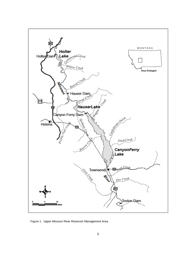

Figure 1. Upper Missouri River Reservoir Management Area.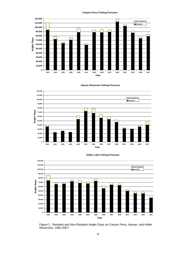#### **Canyon Ferry Fishing Pressure**





**Hauser Reservoir Fishing Pressure**



**Holter Lake Fishing Pressure**

Figure 2. Resident and Non-Resident Angler Days on Canyon Ferry, Hauser, and Holter Reservoirs, 1982-2007.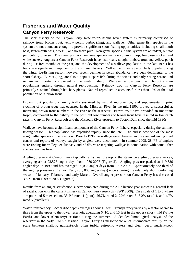# **Fisheries and Water Quality Canyon Ferry Reservoir**

The sport fishery of the Canyon Ferry Reservoir/Missouri River system is primarily comprised of rainbow trout, brown trout, yellow perch, burbot (ling), and walleye. Other game fish species in the system are not abundant enough to provide significant sport fishing opportunities, including smallmouth bass, largemouth bass, bluegill, and northern pike. Non-game species in this system are abundant, but not particularly diverse. The three primary nongame species include common carp, longnose sucker, and white sucker. Anglers at Canyon Ferry Reservoir have historically sought rainbow trout and yellow perch during ice free months of the year, and the development of a walleye population in the late-1990s has become a significant component of the summer fishery. Yellow perch were particularly popular during the winter ice-fishing season, however recent declines in perch abundance have been detrimental to the sport fishery. Burbot (ling) are also a popular sport fish during the winter and early spring season and remain an important component of the winter fishery. Walleye, yellow perch, and burbot sustain populations entirely through natural reproduction. Rainbow trout in Canyon Ferry Reservoir are primarily sustained through hatchery plants. Natural reproduction accounts for less than 10% of the total population of rainbow trout.

Brown trout populations are typically sustained by natural reproduction, and supplemental imprint stocking of brown trout that occurred in the Missouri River in the mid-1990s proved unsuccessful at increasing brown trout numbers in the river or the reservoir. Brown trout have provided an important trophy component to the fishery in the past, but low numbers of brown trout have resulted in low catch rates in Canyon Ferry Reservoir and the Missouri River upstream to Toston Dam since the mid-1990s.

Walleye have become a significant component of the Canyon Ferry fishery, especially during the summer fishing season. This population has expanded rapidly since the late 1990s and is now one of the most sought after species in the reservoir. Prior to 1996, no walleye were observed in the standard roving creel census and reports of walleye caught by anglers were uncommon. In summer 2008, 28.4% of anglers were fishing for walleye exclusively and 43.6% were targeting walleye in combination with some other species, such as trout.

Angling pressure at Canyon Ferry typically ranks near the top of the statewide angling pressure survey, averaging about 92,527 angler days from 1989-2007 (Figure 2). Angling pressure peaked at 119,886 angler days in 1999 and has averaged 96,083 angler days from 1997-2007. Approximately one third of the angling pressure at Canyon Ferry (35, 000 angler days) occurs during the relatively short ice-fishing season of January, February, and early March. Overall angler pressure on Canyon Ferry has decreased 30.5% from 1999 to 2007 (Figure 2).

Results from an angler satisfaction survey completed during the 2007 license year indicate a general lack of satisfaction with the current fishery in Canyon Ferry reservoir (FWP 2008). On a scale of 1 to 5 where  $1 =$  poor and  $5 =$  excellent, 33.2% rated 1 (poor), 26.7% rated 2, 27% rated 3, 8.2% rated 4, and 4.7% rated 5 (excellent).

Water transparency (Secchi disc depth) averages about 10 feet. Transparency varies by a factor of two to three from the upper to the lower reservoir, averaging 6, 10, and 15 feet in the upper (Silos), mid (White Earth), and lower (Cemetery) sections during the summer. A detailed limnological analysis of the reservoir in the early 1970s classified Canyon Ferry as mesotrophic or of intermediate fertility on the scale between shallow, nutrient-rich, often turbid eutrophic waters and clear, deep, nutrient-poor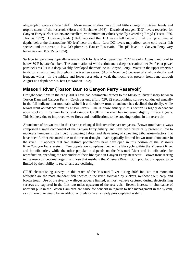oligotrophic waters (Rada 1974). More recent studies have found little change in nutrient levels and trophic status of the reservoir (Horn and Boehmke 1998). Dissolved oxygen (DO) levels recorded for Canyon Ferry surface waters are excellent, with minimum values typically exceeding 7 mg/l (Priscu 1986, Thomas 1992). However, Rada (1974) reported that DO levels fell below 5 mg/l during summer at depths below the thermocline (60 feet) near the dam. Low DO levels may affect some cold water fish species and can create a low DO plume in Hauser Reservoir. The pH levels in Canyon Ferry vary between 7 and 8.5 (Rada 1974).

Surface temperatures typically warm to 55°F by late May, peak near 70°F in early August, and cool to below 50°F by late October. The combination of wind action and a deep reservoir outlet (94 feet at power penstock) results in a deep, weakly developed thermocline in Canyon Ferry. Water in the upper reservoir tends to remain mixed throughout the ice-free season (April-December) because of shallow depths and frequent winds. In the middle and lower reservoir, a weak thermocline is present from June through August at a depth near 60 feet (McMahon 1992).

### **Missouri River (Toston Dam to Canyon Ferry Reservoir)**

Drought conditions in the early 2000s have had detrimental effects to the Missouri River fishery between Toston Dam and Canyon Ferry. Catch per unit effort (CPUE) electrofishing surveys conducted annually in the fall indicate that mountain whitefish and rainbow trout abundance has declined drastically, while brown trout abundance remains at low levels. The rainbow fishery in this section is highly dependent upon stocking in Canyon Ferry, and rainbow CPUE in the river has increased slightly in recent years. This is likely due to improved water flows and modifications to the stocking regime in the reservoir.

Abundance of brown trout in the river has changed little over the past ten years. Brown trout have always comprised a small component of the Canyon Ferry fishery, and have been historically present in low to moderate numbers in the river. Spawning habitat and dewatering of spawning tributaries—factors that have been further enhanced due to the recent drought—have typically limited brown trout abundance in the river. It appears that two distinct populations have developed in this portion of the Missouri River/Canyon Ferry system. One population completes their entire life cycle within the Missouri River and its tributaries, while the other population depends on the Missouri River and its tributaries for reproduction, spending the remainder of their life cycle in Canyon Ferry Reservoir. Brown trout rearing in the reservoir become larger than those that reside in the Missouri River. Both populations appear to be limited by their ability to recruit and are declining.

CPUE electrofishing surveys in this reach of the Missouri River during 2008 indicate that mountain whitefish are the most abundant fish species in the river, followed by suckers, rainbow trout, carp, and brown trout. Use of the river by walleyes appears limited, as most walleye captured during electrofishing surveys are captured in the first two miles upstream of the reservoir. Recent increase in abundance of northern pike in the Toston Dam area are cause for concern in regards to fish management in the system, as northern pike would be an additional predator in an already prey-depleted system.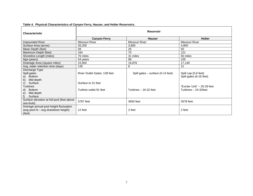| <b>Characteristic</b>                                                                                                              | <b>Reservoir</b>                                                                    |                                                            |                                                                                                        |  |  |  |
|------------------------------------------------------------------------------------------------------------------------------------|-------------------------------------------------------------------------------------|------------------------------------------------------------|--------------------------------------------------------------------------------------------------------|--|--|--|
|                                                                                                                                    | <b>Canyon Ferry</b><br><b>Hauser</b>                                                |                                                            | <b>Holter</b>                                                                                          |  |  |  |
| Impounded River                                                                                                                    | Missouri River                                                                      | Missouri River                                             | Missouri River                                                                                         |  |  |  |
| Surface Area (acres)                                                                                                               | 35,200                                                                              | 3,800                                                      | 4,800                                                                                                  |  |  |  |
| Mean Depth (feet)                                                                                                                  | 58                                                                                  | 26                                                         | 50                                                                                                     |  |  |  |
| Maximum Depth (feet)                                                                                                               | 164                                                                                 | 70                                                         | 121                                                                                                    |  |  |  |
| Shoreline Length (miles)                                                                                                           | 76 miles                                                                            | 31 miles                                                   | 50 miles                                                                                               |  |  |  |
| Age (years)                                                                                                                        | 54 years                                                                            | 98                                                         | 105                                                                                                    |  |  |  |
| Drainage Area (square miles)                                                                                                       | 15,904                                                                              | 16,876                                                     | 17,149                                                                                                 |  |  |  |
| Avg. water retention time (days)                                                                                                   | 135                                                                                 | 8                                                          | 21                                                                                                     |  |  |  |
| Discharge Type<br>Spill gates<br><b>Bottom</b><br>a)<br>Mid-depth<br>b)<br>Surface<br>C)<br><b>Turbines</b><br><b>Bottom</b><br>d) | <b>River Outlet Gates: 138 feet</b><br>Surface to 31 feet<br>Turbine outlet 91 feet | Spill gates - surface (0-14 feet)<br>Turbines - 16-32 feet | Spill cap (0-6 feet)<br>Spill gates (6-16 feet)<br>"Exciter Unit" - 25-29 feet<br>Turbines - 24-32feet |  |  |  |
| Mid-depth<br>e)<br>Surface<br>$f$ )                                                                                                |                                                                                     |                                                            |                                                                                                        |  |  |  |
| Surface elevation at full pool (feet above<br>sea level)                                                                           | 3797 feet                                                                           | 3650 feet                                                  | 3578 feet                                                                                              |  |  |  |
| Average annual pool height fluctuation<br>(avg pool ht - avg drawdown height)<br>(feet)                                            | 12 feet                                                                             | 2 feet                                                     | 2 feet                                                                                                 |  |  |  |

#### **Table 4. Physical Characteristics of Canyon Ferry, Hauser, and Holter Reservoirs.**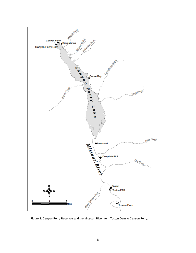

Figure 3. Canyon Ferry Reservoir and the Missouri River from Toston Dam to Canyon Ferry.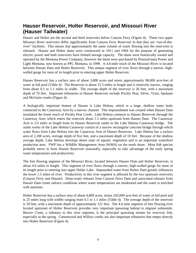# **Hauser Reservoir, Holter Reservoir, and Missouri River (Hauser Tailwater)**

Hauser and Holter are the second and third reservoirs below Canyon Ferry (Figure 4). These two upper Missouri River reservoirs differ significantly from Canyon Ferry Reservoir in that they are "run-of-theriver" facilities. This means that approximately the same volume of water flowing into the reservoirs is released. Hauser and Holter dams were constructed in 1911 and 1904 for the purpose of generating electric power and both reservoirs have limited storage capacity. The dams were historically owned and operated by the Montana Power Company; however the dams were purchased by Pennsylvania Power and Light Montana, now known as PPL Montana, in 1999. A 4.6-mile reach of the Missouri River is located between Hauser Dam and Holter Reservoir. This unique segment of river flows through a narrow, highwalled gorge for most of its length prior to entering upper Holter Reservoir.

Hauser Reservoir has a surface area of about 3,800 acres and stores approximately 98,000 acre-feet of water at full pool (Table 4). The Reservoir is about 15.5 miles in length and is relatively narrow, ranging from about 0.1 to 1.1 miles in width. The average depth of the reservoir is 26 feet, with a maximum depth of 70 feet. Important tributaries to Hauser Reservoir include Prickly Pear, Silver, Trout, Spokane and McGuire creeks (Figure 4).

A biologically important feature of Hauser is Lake Helena, which is a large, shallow water body connected to the Causeway Arm by a narrow channel. This impoundment was created when Hauser Dam inundated the lower reach of Prickly Pear Creek. Lake Helena connects to Hauser Reservoir through the Causeway Arm, which enters the reservoir about 1.5 miles upstream from Hauser Dam. The Causeway Arm is 3.9 miles in length from its Hauser Reservoir outlet to the Lake Helena Causeway bridge. The outlet works of the Lake Helena Causeway consist of a narrow rectangular concrete bridge through which water flows from Lake Helena into the Causeway Arm of Hauser Reservoir. Lake Helena has a surface area of 2,100 acres, average depth of five feet, and a maximum depth of 10 feet. Because of the shallow average depth, Lake Helena develops dense mats of aquatic vegetation and is an important waterfowl production area. FWP has a Wildlife Management Area (WMA) on the north shore. Most fish species probably move in from Hauser Reservoir seasonally, especially to take advantage of the early spring water temperatures and productivity.

The free flowing segment of the Missouri River, located between Hauser Dam and Holter Reservoir, is about 4.6 miles in length. This segment of river flows through a narrow, high-walled gorge for most of its length prior to entering into upper Holter Lake. Impounded water from Holter Dam greatly influences the lower 1.5 miles of river. Productivity in this river segment is affected by the two upstream reservoirs (Canyon Ferry and Hauser). Deep-water releases from Canyon Ferry Dam and associated releases from Hauser Dam create tailrace conditions where water temperatures are moderated and the water is enriched with nutrients.

Holter Reservoir has a surface area of about 4,800 acres, stores 243,000 acre-feet of water at full pool and is 25 miles long with widths ranging from 0.1 to 1.1 miles (Table 4). The average depth of the reservoir is 50 feet, with a maximum depth of approximately 121 feet. The 4.6 mile segment of free flowing river located upstream of Holter Reservoir provides very important spawning habitat to migrant salmonids. Beaver Creek, a tributary to this river segment, is the principal spawning stream for reservoir fish, especially in the spring. Cottonwood and Willow creeks are also important tributaries that empty directly into Holter Reservoir (Figure 4).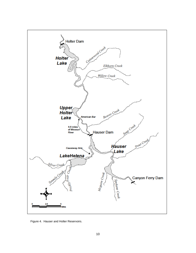

Figure 4. Hauser and Holter Reservoirs.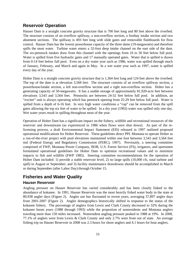### **Reservoir Operation**

Hauser Dam is a straight concrete gravity structure that is 700 feet long and 80 feet above the riverbed. The structure consists of an overflow spillway, a non-overflow section, a forebay intake section and two abutment sections. The spillway is 493 feet long with slide gates and removable flashboards for flow control. Hauser Dam has the lowest powerhouse capacity of the three dams (19-megawatts) and therefore spills the most water. Turbine water enters a 32-foot deep intake channel on the east side of the dam. The six-penstock intakes draw from this channel with the openings from 16 to 30 feet below full pool. Water is spilled from five hydraulic gates and 17 manually operated gates. Water that is spilled is drawn from 0-14 feet below full pool. Even on a dry water year such as 1986, water was spilled through much of January, February, and March and again in May. In a wet water year such as 1997, water is spilled every day of the year.

Holter Dam is a straight concrete gravity structure that is 1,364 feet long and 124 feet above the riverbed. The top of the dam is at elevation 3,568 feet. The structure consists of an overflow spillway section, a powerhouse/intake section, a left non-overflow section and a right non-overflow section. Holter has a generating capacity of 50-megawatts. It has a usable storage of approximately 81,920-acre feet between elevations 3,543 and 3,564 feet. Penstocks are between 24-32 feet below full pool. In addition, an "exciter" unit is always operating which has penstock opening from 25-29 feet below full pool. Water is spilled from a depth of 6-16 feet. In very high water conditions a "cap" can be removed from the spill gates allowing the top six feet of water to be spilled. In a dry year (1992) water was spilled only one day. Wet water years result in spilling throughout most of the year.

Operation of Holter Dam has a significant impact on the fishery, wildlife and recreational resources of the reservoir and downstream (as experienced in 1986 when flows were shut down). As part of the relicensing process, a draft Environmental Impact Statement (EIS) released in 1997 outlined proposed operational modifications for Holter Reservoir. These guidelines direct PPL Montana to operate Holter as a run-of-the-river project with pool elevations maintained within one foot between 3,543 and 3,564 feet msl (Federal Energy and Regulatory Commission (FERC), 1997). Previously, a steering committee comprised of FWP, Montana Power Company, BOR, U.S. Forest Service (FS), irrigators, and sportsmen formulated operational guidelines for Holter Dam to optimize recreational values and to minimize impacts to fish and wildlife (FWP 1985). Steering committee recommendations for the operation of Holter Dam included: 1) provide a stable reservoir level, 2) no large spills (10,000 cfs, total turbine and spill) in August or September; and 3) facility maintenance drawdowns should be accomplished in March or during September (after Labor Day) through October 15.

### **Fisheries and Water Quality**

### **Hauser Reservoir**

Angling pressure on Hauser Reservoir has varied considerably and has been closely linked to the abundance of kokanee. In 1991, Hauser Reservoir was the most heavily fished water body in the state at 80,938 angler days (Figure 2). Angler use has fluctuated in recent years, averaging 37,897 angler days from 2001-2007 (Figure 2). Angler demographics historically shifted in response to the status of the kokanee fishery. The percentage of anglers from Lewis and Clark County decreased to 32% during the kokanee boom years (1988 through 1993) while the proportion of nonresidents and Montana anglers traveling more than 150 miles increased. Nonresident angling pressure peaked in 1988 at 19%. In 2008, 77.1% of anglers were from Lewis & Clark County and only 2.7% were from out of state. An average fishing trip on Hauser Reservoir in 2008 was 2.3 hours for shore anglers and 4.1 hours for boat anglers.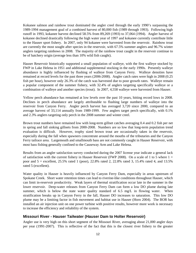Kokanee salmon and rainbow trout dominated the angler creel through the early 1990's surpassing the 1989-1994 management goal of a combined harvest of 80,000 fish (1989 through 1993). Following high runoff in 1993, kokanee harvest declined 58.5% from 89,269 (1993) to 37,064 (1994). Angler harvest of kokanee declined drastically following the high water year of 1997 and kokanee currently contribute little to the Hauser sport fishery. In 2007, only 94 kokanee were harvested from the reservoir. Rainbow trout are currently the most sought after species in the reservoir, with 67.5% summer anglers and 96.7% winter anglers targeting rainbows in 2008. The majority of the rainbow trout caught in the reservoir continue to be of hatchery origin (average less than 10% wild fish caught).

Hauser Reservoir historically supported a small population of walleye, with the first walleye stocked by FWP in Lake Helena in 1951 and additional supplemental stocking in the early 1990s. Presently walleye abundance is highly influenced by flushing of walleye from Canyon Ferry. Walleye densities have remained at record levels for the past three years (2006-2008). Angler catch rates were high in 2008 (0.25 fish per hour), however only 26.3% of the catch was harvested due to poor growth rates. Walleye remain a popular component of the summer fishery, with 32.4% of anglers targeting specifically walleye or a combination of walleye and another species (trout). In 2007, 4,558 walleye were harvested from Hauser.

Yellow perch abundance has remained at low levels over the past 10 years, hitting record lows in 2008. Declines in perch abundance are largely attributable to flushing large numbers of walleye into the reservoir from Canyon Ferry. Angler perch harvest has averaged 3,720 since 2000, compared to an average harvest of 33,114 annually from 1989-1999. Few anglers target perch specifically, with 0.1% and 2.3% anglers targeting only perch in the 2008 summer and winter creel.

Brown trout numbers have remained low with long-term gillnet catches averaging 0.4 and 0.2 fish per net in spring and fall sinking gillnets from 2000-2008. Numbers are so low that long-term population trend evaluation is difficult. However, trophy sized brown trout are occasionally taken in the reservoir, especially during the fall when spawners concentrate around the mouths of the tributaries and the Canyon Ferry tailrace area. Largemouth and smallmouth bass are not commonly caught in Hauser Reservoir, with most bass fishing generally confined to the Causeway Arm and Lake Helena.

Results from an angler satisfaction survey conducted during the 2007 license year indicate a general lack of satisfaction with the current fishery in Hauser Reservoir (FWP 2008). On a scale of 1 to 5 where  $1 =$ poor and 5 = excellent, 25.5% rated 1 (poor), 22.8% rated 2, 22.8% rated 3, 15.4% rated 4, and 13.5% rated 5 (excellent).

Water quality in Hauser is heavily influenced by Canyon Ferry Dam, especially in areas upstream of Spokane Creek. Short water retention times can lead to riverine-like conditions throughout Hauser, which can limit in-reservoir productivity. Weak layers of thermal stratification occur late in the summer in the lower reservoir. Deep-water releases from Canyon Ferry Dam can form a low DO plume during late summer, which is below the state water quality standard of 6.5 mg/L in flowing water. When stratification breaks up in Canyon Ferry in the fall, Hauser DO increases to saturation. This low DO plume may be a limiting factor in fish movement and habitat use in Hauser (Horn 2004). The BOR has installed an air injection unit on one power turbine with positive results, however more work is necessary to increase the efficiency and reliability of the system.

### **Missouri River - Hauser Tailwater (Hauser Dam to Holter Reservoir)**

Angler use is very high on this short segment of the Missouri River, averaging about 21,000 angler days per year (1991-2007). This is reflective of the fact that this is the closest river fishery to the greater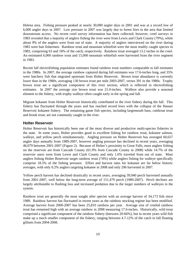Helena area. Fishing pressure peaked at nearly 30,000 angler days in 2001 and was at a record low of 6,000 angler days in 2007. Low pressure in 2007 was largely due to forest fires in the area that limited downstream access. No recent creel survey information has been collected; however, creel surveys in 1983 revealed that a majority of anglers fishing the river were from Lewis and Clark County (79%), while about 9% of the anglers were from out of state. A majority of anglers interviewed on the river during 1983 were bait fishermen. Rainbow trout and mountain whitefish were the most readily caught species in 1983, comprising 63 and 18% of the catch, respectively. Rainbow trout averaged 13.2 inches in the creel. An estimated 6,000 rainbow trout and 15,000 mountain whitefish were harvested from the river segment in 1983.

Recent fall electrofishing population estimates found rainbow trout numbers comparable to fall estimates in the 1980s. In 2007, the average rainbow captured during fall estimates was 17.6-inches long, and 35% were hatchery fish that migrated upstream from Holter Reservoir. Brown trout abundance is currently lower than in the 1980s, averaging 130 brown trout per mile 2003-2007, verses 391 in the 1980s. Trophy brown trout are a significant component of this river section, which is reflected in electrofishing estimates. In 2007 the average size brown trout was 21.0-inches. Walleye also provide a seasonal element to the fishery, with trophy walleye often caught early in the spring and fall.

Migrant kokanee from Holter Reservoir historically contributed to the river fishery during the fall. This fishery has fluctuated through the years and has reached record lows with the collapse of the Hauser Reservoir kokanee fishery. The remaining game fish species, including largemouth bass, cutthroat trout and brook trout, are not commonly caught in the river.

### **Holter Reservoir**

Holter Reservoir has historically been one of the most diverse and productive multi-species fisheries in the state. In some years, Holter provides good to excellent fishing for rainbow trout, kokanee salmon, walleye, and yellow perch simultaneously. Angling pressure on Holter Reservoir has averaged 60,657 angler days annually from 1989-2007, however angling pressure has declined in recent years, averaging 46,079 between 2001-2007 (Figure 2). Because of Holter's proximity to Great Falls, most anglers fishing on the reservoir are from Cascade County (61.9% from Cascade County in 2008) while 14.7% of the reservoir users were from Lewis and Clark County and only 1.6% traveled from out of state. Most anglers fishing Holter Reservoir target rainbow trout (74%) while anglers fishing for walleye specifically comprise 18.5% of the fishing pressure. Effort and harvest rates for kokanee are far below historic averages, with only 0.2% anglers targeting kokanee in 2008 and only 296 harvested in 2007.

Yellow perch harvest has declined drastically in recent years, averaging 39,940 perch harvested annually from 2001-2007, well below the long-term average of 151,479 perch (1989-2007). Perch declines are largely attributable to flushing loss and increased predation due to the larger numbers of walleyes in the system.

Rainbow trout are generally the most sought after species with an average harvest of 34,173 fish since 1989. Rainbow harvest has fluctuated in recent years as the rainbow stocking regime has been modified. Average harvest from 2000-2007 has been 25,810 rainbow per year. Average size of creeled rainbow trout has remained high with an average rainbow in 2008 measuring 17.6-inches. Historically, wild trout comprised a significant component of the rainbow fishery (between 20-66%), but in recent years wild fish make up a much smaller component of the fishery, ranging between 4.7-12% of the catch in fall floating gillnets from 2004-2008.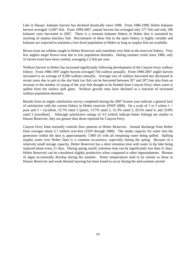Like in Hauser, kokanee harvest has declined drastically since 1998. From 1986-1998, Holter kokanee harvest averaged 13,897 fish. From 1999-2007, annual harvest has averaged only 577 fish and only 296 kokanee were harvested in 2007. There is a remnant kokanee fishery in Holter that is sustained by stocking of surplus hatchery fish. Recruitment of these fish to the sport fishery is highly variable and kokanee are expected to maintain a low-level population in Holter as long as surplus fish are available.

Brown trout are seldom caught in Holter Reservoir and contribute very little to the reservoir fishery. Very few anglers target brown trout due to low population densities. During summer creels since 1986, only 51 brown trout have been creeled, averaging 2.3 fish per year.

Walleye harvest in Holter has increased significantly following development of the Canyon Ferry walleye fishery. From 1986-1997 angler harvest averaged 744 walleye annually. From 1998-2007 angler harvest increased to an average of 9,300 walleye annually. Average size of walleye harvested has decreased in recent years due in part to the slot limit (no fish can be harvested between 20" and 28") but also from an increase in the number of young of the year fish thought to be flushed from Canyon Ferry when water is spilled from the surface spill gates. Walleye growth rates have declined as a function of increased walleye population densities.

Results from an angler satisfaction survey completed during the 2007 license year indicate a general lack of satisfaction with the current fishery in Holter reservoir (FWP 2008). On a scale of 1 to 5 where  $1 =$ poor and 5 = excellent, 23.7% rated 1 (poor), 13.7% rated 2, 31.3% rated 3, 20.5% rated 4, and 10.8% rated 5 (excellent). Although satisfaction ratings of 3-5 (which indicate better fishing) are similar to Hauser Reservoir, they are greater than those reported for Canyon Ferry.

Canyon Ferry Dam normally controls flow patterns in Holter Reservoir. Annual discharge from Holter Dam averages about 3.7 million acre-feet (1929 through 1988). The intake capacity for water into the generators within the dam is approximately 7,000 cfs with all remaining water being spilled. Spilling surplus water over Holter Dam is a common occurrence, especially during the spring. Because of a relatively small storage capacity, Holter Reservoir has a short retention time with water in the lake being replaced about every 21 days. During spring runoff, retention time can be significantly less than 21 days. Holter Reservoir can be considered slightly productive when compared to other impoundments. Blooms of algae occasionally develop during the summer. Water temperatures tend to be similar to those in Hauser Reservoir and weak thermal layering has been found to occur during the mid-summer period.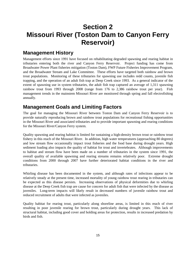# **Section 2 Missouri River (Toston Dam to Canyon Ferry Reservoir)**

## **Management History**

Management efforts since 1991 have focused on rehabilitating degraded spawning and rearing habitat in tributaries entering both the river and Canyon Ferry Reservoir. Project funding has come from Broadwater Power Plant fisheries mitigation (Toston Dam), FWP Future Fisheries Improvement Program, and the Broadwater Stream and Lake Committee. These efforts have targeted both rainbow and brown trout populations. Monitoring of these tributaries for spawning use includes redd counts, juvenile fish trapping, and the operation of an adult fish trap at Deep Creek since 1993. As a general indicator of the extent of spawning use in system tributaries, the adult fish trap captured an average of 1,311 spawning rainbow trout from 1993 through 2008 (range from 176 to 2,386 rainbow trout per year). Fish management trends in the mainstem Missouri River are monitored through spring and fall electrofishing annually.

# **Management Goals and Limiting Factors**

The goal for managing the Missouri River between Toston Dam and Canyon Ferry Reservoir is to provide naturally reproducing brown and rainbow trout populations for recreational fishing opportunities in the Missouri River and associated tributaries and to provide important spawning and rearing conditions for the Missouri River/Canyon Ferry system.

Quality spawning and rearing habitat is limited for sustaining a high-density brown trout or rainbow trout fishery in this reach of the Missouri River. In addition, high water temperatures (approaching 80 degrees) and low stream flow occasionally impact trout fisheries and the food base during drought years. High sediment loading also impacts the quality of habitat for trout and invertebrates. Although improvements to habitat and stream flow have been made on a number of tributaries in the system since 1991, the overall quality of available spawning and rearing streams remains relatively poor. Extreme drought conditions from 2000 through 2007 have further deteriorated habitat conditions in the river and tributaries.

Whirling disease has been documented in the system, and although rates of infections appear to be relatively steady at the present time, increased mortality of young rainbow trout rearing in tributaries can be expected as this disease persists. Increasing observations of physical deformities due to whirling disease at the Deep Creek fish trap are cause for concern for adult fish that were infected by the disease as juveniles. Long-term impacts will likely result in decreased numbers of juvenile rainbow trout and reduced recruitment of adults that were infected as juveniles.

Quality habitat for rearing trout, particularly along shoreline areas, is limited in this reach of river resulting in poor juvenile rearing for brown trout, particularly during drought years. This lack of structural habitat, including good cover and holding areas for protection, results in increased predation by birds and fish.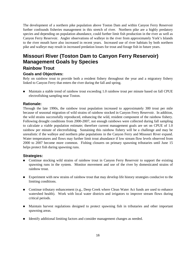The development of a northern pike population above Toston Dam and within Canyon Ferry Reservoir further confounds fisheries management in this stretch of river. Northern pike are a highly predatory species and depending on population abundance, could further limit fish production in the river as well as Canyon Ferry Reservoir. Angler observations of walleye in the river from approximately York's Islands to the river mouth have also increased in recent years. Increased use of river habitats by both northern pike and walleye may result in increased predation losses for trout and forage fish in future years.

# **Missouri River (Toston Dam to Canyon Ferry Reservoir) Management Goals by Species**

### **Rainbow Trout**

### **Goals and Objectives:**

Rely on rainbow trout to provide both a resident fishery throughout the year and a migratory fishery linked to Canyon Ferry that enters the river during the fall and spring.

■ Maintain a stable trend of rainbow trout exceeding 1.0 rainbow trout per minute based on fall CPUE electrofishing sampling near Toston.

### **Rationale:**

Through the late 1990s, the rainbow trout population increased to approximately 300 trout per mile because of seasonal migration of wild strains of rainbow stocked in Canyon Ferry Reservoir. In addition, the wild strains successfully reproduced, enhancing the wild, resident component of the rainbow fishery. Following drought conditions from 2000-2007, not enough rainbows were collected during fall sampling to calculate a viable population estimate; therefore current management goals are set on CPUE of 1.0 rainbow per minute of electrofishing. Sustaining this rainbow fishery will be a challenge and may be unrealistic if the walleye and northern pike populations in the Canyon Ferry and Missouri River expand. Water temperatures and flows may further limit trout abundance if low stream flow levels observed from 2000 to 2007 become more common. Fishing closures on primary spawning tributaries until June 15 helps protect fish during spawning runs.

### **Strategies:**

- Continue stocking wild strains of rainbow trout in Canyon Ferry Reservoir to support the existing spawning runs in the system. Monitor movement and use of the river by domesticated strains of rainbow trout.
- Experiment with new strains of rainbow trout that may develop life history strategies conducive to the limiting conditions.
- Continue tributary enhancement (e.g., Deep Creek where Clean Water Act funds are used to enhance watershed health). Work with local water districts and irrigators to improve stream flows during critical periods.
- Maintain harvest regulations designed to protect spawning fish in tributaries and other important spawning areas.
- Identify additional limiting factors and consider management changes as needed.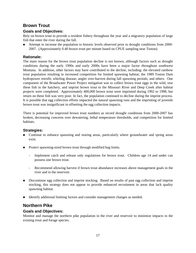### **Brown Trout**

### **Goals and Objectives:**

Rely on brown trout to provide a resident fishery throughout the year and a migratory population of large fish that enter the river during the fall.

Attempt to increase the population to historic levels observed prior to drought conditions from 2000-2007. (Approximately 0.40 brown trout per minute based on CPUE sampling near Toston).

### **Rationale:**

The main reason for the brown trout population decline is not known, although factors such as drought conditions during the early 1990s and early 2000s have been a major factor throughout southwest Montana. In addition, other factors may have contributed to the decline, including: the elevated rainbow trout population resulting in increased competition for limited spawning habitat; the 1989 Toston Dam hydropower retrofit; whirling disease; angler over-harvest during fall spawning periods; and others. One component of the Broadwater Power Project mitigation was to collect brown trout eggs in the wild, rear these fish in the hatchery, and imprint brown trout to the Missouri River and Deep Creek after habitat projects were completed. Approximately 400,000 brown trout were imprinted during 1992 to 1998, but return on these fish was very poor. In fact, the population continued to decline during the imprint process. It is possible that egg collection efforts impacted the natural spawning runs and the imprinting of juvenile brown trout was insignificant in offsetting the egg collection impacts.

There is potential for improved brown trout numbers as record drought conditions from 2000-2007 has broken, decreasing concerns over dewatering, lethal temperature thresholds, and competition for limited habitats.

### **Strategies:**

- Continue to enhance spawning and rearing areas, particularly where groundwater and spring areas exist.
- **Protect spawning-sized brown trout through modified bag limits.** 
	- Implement catch and release only regulations for brown trout. Children age 14 and under can possess one brown trout.
	- Recommend allowing harvest if brown trout abundance increases above management goals in the river and in the reservoir.
- Discontinue egg collection and imprint stocking. Based on results of past egg collection and imprint stocking, this strategy does not appear to provide enhanced recruitment in areas that lack quality spawning habitat.
- Identify additional limiting factors and consider management changes as needed.

### **Northern Pike**

### **Goals and Objectives:**

Monitor and manage the northern pike population in the river and reservoir to minimize impacts to the existing trout and forage species.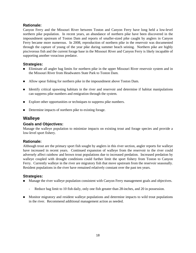# **Rationale:**

Canyon Ferry and the Missouri River between Toston and Canyon Ferry have long held a low-level northern pike population. In recent years, an abundance of northern pike have been discovered in the impoundment upstream of Toston Dam and reports of smaller-sized pike caught by anglers in Canyon Ferry became more numerous. In 2008, reproduction of northern pike in the reservoir was documented through the capture of young of the year pike during summer beach seining. Northern pike are highly piscivorous fish and the current forage base in the Missouri River and Canyon Ferry is likely incapable of supporting another voracious predator.

# **Strategies:**

- Eliminate all angler bag limits for northern pike in the upper Missouri River reservoir system and in the Missouri River from Headwaters State Park to Toston Dam.
- Allow spear fishing for northern pike in the impoundment above Toston Dam.
- Identify critical spawning habitats in the river and reservoir and determine if habitat manipulations can suppress pike numbers and emigration through the system.
- Explore other opportunities or techniques to suppress pike numbers.
- Determine impacts of northern pike to existing forage.

# **Walleye**

# **Goals and Objectives:**

Manage the walleye population to minimize impacts on existing trout and forage species and provide a low-level sport fishery.

# **Rationale:**

Although trout are the primary sport fish sought by anglers in this river section, angler reports for walleye have increased in recent years. Continued expansion of walleye from the reservoir to the river could adversely affect rainbow and brown trout populations due to increased predation. Increased predation by walleye coupled with drought conditions could further limit the sport fishery from Toston to Canyon Ferry. Currently walleye in the river are migratory fish that move upstream from the reservoir seasonally. Resident populations in the river have remained relatively constant over the past ten years.

- **Manage the river walleye population consistent with Canyon Ferry management goals and objectives.** 
	- Reduce bag limit to 10 fish daily, only one fish greater than 28-inches, and 20 in possession.
- **Monitor migratory and resident walleye populations and determine impacts to wild trout populations** in the river. Recommend additional management action as needed.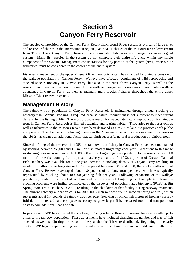# **Section 3 Canyon Ferry Reservoir**

The species composition of the Canyon Ferry Reservoir/Missouri River system is typical of large river and reservoir fisheries in the intermountain region (Table 5). Fisheries of the Missouri River downstream from Toston Dam, Canyon Ferry Reservoir, and associated tributaries are managed as an ecological system. Many fish species in the system do not complete their entire life cycle within any single component of the system. Management considerations for any portion of the system (river, reservoir, or tributaries) must be considered in the context of the entire system.

Fisheries management of the upper Missouri River reservoir system has changed following expansion of the walleye population in Canyon Ferry. Walleye have effected recruitment of wild reproducing and stocked species not only in Canyon Ferry, but also in the river above Canyon Ferry as well as the reservoir and river sections downstream. Active walleye management is necessary to manipulate walleye abundance in Canyon Ferry, as well as maintain multi-species fisheries throughout the entire upper Missouri River reservoir system.

# **Management History**

The rainbow trout population in Canyon Ferry Reservoir is maintained through annual stocking of hatchery fish. Annual stocking is required because natural recruitment is not sufficient to meet current demand by the fishing public. The most probable reason for inadequate natural reproduction for rainbow trout in Canyon Ferry Reservoir is limited spawning and rearing habitat. Tributaries to the reservoir, as well as tributaries to the Missouri River, have been degraded as a result of land use practices both public and private. The discovery of whirling disease in the Missouri River and some associated tributaries in the 1990s has created an additional factor that can limit successful natural reproduction of rainbow trout.

Since the filling of the reservoir in 1955, the rainbow trout fishery in Canyon Ferry has been maintained by stocking between 250,000 and 1.2 million fish, mostly fingerlings each year. Exceptions to this range in stocking rates occurred twice. In 1980, 2.0 million fingerlings were planted into the reservoir, with 1.0 million of these fish coming from a private hatchery donation. In 1992, a portion of Creston National Fish Hatchery was available for a one-year increase in stocking density at Canyon Ferry resulting in nearly 1.5 million fingerlings stocked. For the period between 1981 and 1998, the stocking allocation at Canyon Ferry Reservoir averaged about 1.0 pounds of rainbow trout per acre, which was typically represented by stocking about 400,000 yearling fish per year. Following expansion of the walleye population, predation on stocked rainbow reduced survival of fingerling rainbow plants. Rainbow stocking problems were further complicated by the discovery of polychlorinated biphenyls (PCBs) at Big Spring State Trout Hatchery in 2004, resulting in the shutdown of that facility during raceway treatment. The current hatchery allocation calls for 300,000 8-inch rainbow trout planted in spring and fall, which represents about 1.7 pounds of rainbow trout per acre. Stocking of 8-inch fish increased hatchery costs 7 fold due to increased hatchery space necessary to grow larger fish, increased food, and transportation costs to haul additional loads of fish.

In past years, FWP has adjusted the stocking of Canyon Ferry Reservoir several times in an attempt to enhance the rainbow population. These adjustments have included changing the number and size of fish stocked, as well as adjusting the season of the year that the fish were distributed. Beginning in the early 1980s, FWP began experimenting with different strains of rainbow trout and with different methods of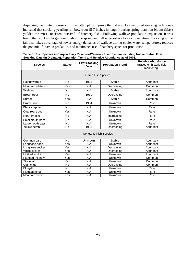dispersing them into the reservoir in an attempt to improve the fishery. Evaluation of stocking techniques indicated that stocking yearling rainbow trout (5-7 inches in length) during spring plankton bloom (May) yielded the most consistent survival of hatchery fish. Following walleye population expansion, it was found that stocking larger sized fish in the spring and fall is necessary to avoid predation. Stocking in the fall also takes advantage of lower energy demands of walleye during cooler water temperatures, reduces the potential for avian predation, and maximizes use of hatchery space for production.

| <b>Species</b>           | <b>Native</b> | <b>First Stocking</b><br><b>Date</b> | Dato (in Dramago), i opulation Trona and Rolativo Abandance ao 61 Evro<br><b>Population Trend</b> | <b>Relative Abundance</b><br>(Based on historic field<br>monitoring.) |  |  |  |  |
|--------------------------|---------------|--------------------------------------|---------------------------------------------------------------------------------------------------|-----------------------------------------------------------------------|--|--|--|--|
| <b>Game Fish Species</b> |               |                                      |                                                                                                   |                                                                       |  |  |  |  |
| Rainbow trout            | <b>No</b>     | 1928                                 | Stable                                                                                            | Abundant                                                              |  |  |  |  |
| Mountain whitefish       | Yes           | N/A                                  | Decreasing                                                                                        | Common                                                                |  |  |  |  |
| Walleye                  | <b>No</b>     | N/A                                  | <b>Stable</b>                                                                                     | Abundant                                                              |  |  |  |  |
| Brown trout              | <b>No</b>     | 1931                                 | Decreasing                                                                                        | Common                                                                |  |  |  |  |
| <b>Burbot</b>            | Yes           | N/A                                  | <b>Stable</b>                                                                                     | Common                                                                |  |  |  |  |
| <b>Brook trout</b>       | No            | 1934                                 | Unknown                                                                                           | Rare                                                                  |  |  |  |  |
| <b>Black crappie</b>     | No            | N/A                                  | Unknown                                                                                           | Rare                                                                  |  |  |  |  |
| Cutthroat trout          | Yes           | N/A                                  | Unknown                                                                                           | Rare                                                                  |  |  |  |  |
| Northern pike            | No            | N/A                                  | Increasing                                                                                        | Rare                                                                  |  |  |  |  |
| Smallmouth bass          | No            | N/A                                  | Unknown                                                                                           | Rare                                                                  |  |  |  |  |
| Largemouth bass          | <b>No</b>     | N/A                                  | Unknown                                                                                           | Rare                                                                  |  |  |  |  |
| Yellow perch             | <b>No</b>     | 1938                                 | Decreasing                                                                                        | Abundant                                                              |  |  |  |  |
| Nongame Fish Species     |               |                                      |                                                                                                   |                                                                       |  |  |  |  |
| Common carp              | <b>No</b>     | Unknown                              | <b>Stable</b>                                                                                     | Abundant                                                              |  |  |  |  |
| Longnose dace            | Yes           | N/A                                  | Unknown                                                                                           | Abundant                                                              |  |  |  |  |
| Longnose sucker          | Yes           | N/A                                  | Decreasing                                                                                        | Abundant                                                              |  |  |  |  |
| White sucker             | Yes           | N/A                                  | Decreasing                                                                                        | Abundant                                                              |  |  |  |  |
| Mottled sculpin          | Yes           | N/A                                  | Unknown                                                                                           | Abundant                                                              |  |  |  |  |
| Fathead minnow           | Yes           | N/A                                  | Unknown                                                                                           | Common                                                                |  |  |  |  |
| Stonecat                 | Yes           | N/A                                  | Unknown                                                                                           | Common                                                                |  |  |  |  |
| Utah chub                | <b>No</b>     | N/A                                  | Decreasing                                                                                        | Common                                                                |  |  |  |  |
| Bluegill                 | <b>No</b>     | N/A                                  | Unknown                                                                                           | Rare                                                                  |  |  |  |  |
| Flathead chub            | Yes           | N/A                                  | Unknown                                                                                           | Rare                                                                  |  |  |  |  |
| Mountain sucker          | Yes           | N/A                                  | Unknown                                                                                           | Rare                                                                  |  |  |  |  |

**Table 5. Fish Species in Canyon Ferry Reservoir/Missouri River System Including Native Status, First Stocking Date (In Drainage), Population Trend and Relative Abundance as of 2008.**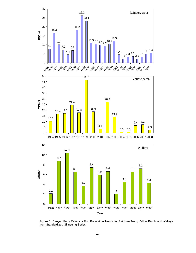

Figure 5. Canyon Ferry Reservoir Fish Population Trends for Rainbow Trout, Yellow Perch, and Walleye from Standardized Gillnetting Series.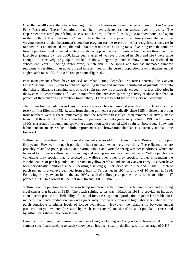Over the last 40 years, there have been significant fluctuations in the number of rainbow trout in Canyon Ferry Reservoir. These fluctuations in numbers have affected fishing success over the years. The Department measured poor fishing success (catch rates) in the mid 1960s (0.08 rainbow/hour), and again in the 1980s (0.08 – 0.14 rainbow/hour). These fluctuations appear to be closely associated with the varying success of the Department's stocking program for the reservoir. After a significant increase in rainbow trout abundance during the mid 1990s from increased stocking rates of yearling fish, the rainbow trout population trend remained relatively stable at approximately 10 rainbow trout per net throughout the late-1990s (Figure 5). By 2000, large year classes of walleye produced in 1996 and 1997 were large enough to effectively prey upon stocked rainbow fingerlings, and rainbow numbers declined in subsequent years. Stocking larger sized, 8-inch fish in the spring and fall has increased rainbow recruitment, resulting in an upward trend in recent years. The current population level maintains annual angler catch rates of 0.15 to 0.50 fish per hour (Figure 6).

Past management efforts have focused on rehabilitating degraded tributaries entering the Canyon Ferry/Missouri River system to enhance spawning habitat and increase recruitment of juvenile trout into the fishery. Sizeable spawning runs of wild strain rainbow trout have developed in various tributaries in the system, but contributions of juvenile trout from this increased spawning activity produces less than 10 percent of the Canyon Ferry rainbow trout fishery. Efforts to benefit the wild fishery will continue.

The brown trout population in Canyon Ferry Reservoir has remained at a relatively low level since the reservoir first filled in 1955. Results from sinking gill nets set periodically since 1955 indicate that brown trout numbers were highest immediately after the reservoir first filled, then remained relatively stable from 1958 through 1988. The brown trout population declined significantly between 1988 and the mid-1990s as a result of drought and spawning competition with stocked wild strain rainbow trout. Spawning habitat enhancements resulted in little improvement, and brown trout abundance is currently at an all time low level.

Yellow perch have been one of the most abundant species of fish in Canyon Ferry Reservoir for the past fifty years. However, the perch population has fluctuated extensively over time. These fluctuations are probably related to poor spawning and rearing habitat and variable spring weather conditions, which are believed to influence yellow perch spawning and rearing success on an annual basis. Yellow perch are a vulnerable prey species that is selected by walleye over other prey species, further influencing the variable nature of perch populations. Trends in yellow perch abundance in Canyon Ferry Reservoir have been periodically monitored since 1955 using a sinking gill net series set in June and August. Catch of perch per net pre-walleye declined from a high of 79 per net in 1964 to a low of 10 per net in 1994. Following walleye expansion in the late 1990s, catch of yellow perch per net has varied from a high of 47 per net in 1999 to a low of 0.5 per net in 2004 and 2005 (Figure 5).

Yellow perch population trends are also being monitored with summer beach seining data and a roving creel census that began in 1985. The beach seining series was initiated in 1991 to provide an index of annual perch production. Reliability of this tool for assessing annual production of perch is variable but it indicates that perch production can vary significantly from year to year and highlights years when yellow perch contribute to higher levels of forage availability. However, the relationship between annual production of yellow perch (measured by beach seine catches) and size of the adult population (measured by gillnet sets) shows little correlation.

Based on the roving creel census the number of anglers fishing on Canyon Ferry Reservoir during the summer specifically seeking to catch yellow perch has been steadily declining, with an average of 0.1%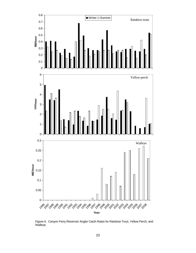

Figure 6. Canyon Ferry Reservoir Angler Catch Rates for Rainbow Trout, Yellow Perch, and Walleye.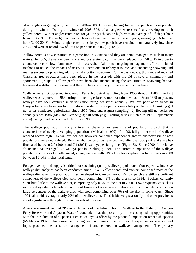of all anglers targeting only perch from 2004-2008. However, fishing for yellow perch is more popular during the winter. During the winter of 2008, 37% of all anglers were specifically seeking to catch yellow perch. Winter angler catch rates for yellow perch can be high, with an average of 2 fish per hour from 1986-1996 (Figure 6). Winter catch rates have been lower in recent years, averaging 1.6 fish per hour (2000-2008). Winter angler catch rates for yellow perch have remained comparatively low since 2005, and were at record low of 0.6 fish per hour in 2006 (Figure 6).

Yellow perch is now classified as a game fish in Montana and they are being managed as such in many waters. In 2005, the yellow perch daily and possession bag limits were reduced from 50 to 15 in order to counteract record low abundance in the reservoir. Additional ongoing management efforts included methods to reduce the impacts of reservoir operations on fishery resources and enhancing spawning and rearing success by providing additional lake bottom structure. For the past decade, thousands of recycled Christmas tree structures have been placed in the reservoir with the aid of several community and sportsman's groups. Yellow perch have been documented using the structures as spawning habitat, however it is difficult to determine if the structures positively influence perch abundance.

Walleye were not observed in Canyon Ferry biological sampling from 1955 through 1988. The first walleye was captured in 1989 during fall netting efforts to monitor rainbow trout. From 1989 to present, walleye have been captured in various monitoring net series annually. Walleye population trends in Canyon Ferry are based on four monitoring systems developed to assess fish populations: 1) sinking gill net series conducted periodically since 1955 (June and August sampling); 2) floating gill net series set annually since 1986 (May and October); 3) fall walleye gill netting series initiated in 1996 (September); and 4) roving creel census conducted since 1986.

The walleye population initially entered a phase of extremely rapid population growth that is characteristic of newly developing populations (McMahon 1992). In 1998 fall gill net catch of walleye reached record high 10.4 walleye per net, however continued exponential growth characteristic of new populations were not realized. Relative abundance of walleye declined after the 1998 peak and since has fluctuated between 2.0 (2004) and 7.4 (2001) walleye per fall gillnet (Figure 5). Since 2000, fall relative abundance has averaged 5.3 walleye per fall sinking gillnet. The current composition of the walleye population consists of smaller-sized, young walleye with 84% of walleye captured in fall gillnets in 2008 between 10-14.9-inches total length.

Forage diversity and supply is critical for sustaining quality walleye populations. Consequently, intensive walleye diet analyses has been conducted since 1994. Yellow perch and suckers comprised most of the walleye diet when the population first developed in Canyon Ferry. Yellow perch are still a significant component of the walleye diet, with perch comprising 49% of the diet since 1994. Suckers currently contribute little to the walleye diet, comprising only 0.3% of the diet in 2008. Low frequency of suckers in the walleye diet is largely a function of lower sucker densities. Salmonids (trout) can also comprise a large percentage of the walleye diet, with trout comprising over 70% of the diet in some years. Since 1994 salmonids average nearly 20% of the walleye diet. Food habits vary seasonally and other prey items are of significance through different periods of the year.

A risk assessment entitled "Potential Impacts of the Introduction of Walleye to the Fishery of Canyon Ferry Reservoir and Adjacent Waters" concluded that the possibility of increasing fishing opportunities with the introduction of a species such as walleye is offset by the potential impacts on other fish species (McMahon 1992). This assessment, along with numerous other sources of expertise, experience, and input, provided the basis for management efforts centered on walleye management. The primary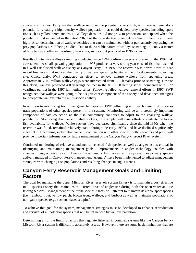concerns at Canyon Ferry are that walleye reproductive potential is very high, and there is tremendous potential for creating a high-density walleye population that could deplete prey species, including sport fish such as yellow perch and trout. Walleye densities did not grow to proportions anticipated when the population first expanded in the late-1990s, but the reproductive potential in Canyon Ferry is still very high. Also, determination of walleye densities that can be maintained without permanently depressing the prey populations is still being studied. Due to the variable nature of walleye spawning, it is only a matter of time before another extraordinary year class, such as that produced in 1996, occurs.

Results of intensive walleye sampling conducted since 1994 confirm concerns expressed in the 1992 risk assessment. A small spawning population in 1996 produced a very strong year class of fish that resulted in a well-established walleye fishery at Canyon Ferry. In 1997, the reservoir was drawn down to near record low levels that reduced the quality of walleye spawning habitat at the only documented spawning site. Concurrently, FWP conducted an effort to remove mature walleye from spawning areas. Approximately 40 million walleye eggs were intercepted from 175 females prior to spawning. Despite this effort, walleye produced 4.0 yearlings per net in the fall 1998 netting series, compared with 6.27 yearlings per net in the 1997 fall netting series. Following failed walleye removal efforts in 1997, FWP recognized that walleye were going to be a significant component of the fishery and developed strategies to incorporate walleye into the multi-species fishery.

In addition to monitoring traditional game fish species, FWP gillnetting and beach seining efforts also track populations of other species present in the system. Monitoring will be an increasingly important component of data collection as the fish community continues to adjust to the changing walleye population. Monitoring abundance of white suckers, for example, will assist efforts to evaluate the forage fish availability for walleye. White suckers have decreased significantly since the mid-1950s when the reservoir was filled, remained relatively stable through the early 1990s, and have declined significantly since 1996. Examining sucker abundance in conjunction with other species (both predators and prey) will provide important information for future management of the Canyon Ferry-Missouri River system.

Continued monitoring of relative abundance of selected fish species as well as angler use is critical in identifying and maintaining management goals. Improvements in angler technology coupled with changes in angler pressure can influence the amount of fish harvest in the system. For primary species actively managed in Canyon Ferry, management "triggers" have been implemented to adjust management strategies with changing fish populations and resulting changes in angler trends.

# **Canyon Ferry Reservoir Management Goals and Limiting Factors**

The goal for managing the upper Missouri River reservoir system fishery is to maintain a cost effective multi-species fishery that maintains the current level of angler use during both the open water and ice fishing seasons. Management of the multi-species fishery will attempt to maintain desirable sport species (i.e., rainbow trout, yellow perch, brown trout, walleye, and burbot) as well as maintain populations of non-game species (e.g., suckers, dace, sculpins).

To achieve this goal for the system, management strategies must be developed to enhance reproduction and survival of all potential species that will be influenced by walleye predation.

Determining all of the limiting factors that regulate fisheries in complex systems like the Canyon Ferry-Missouri River system is difficult to accurately assess. However, there are some basic limitations that are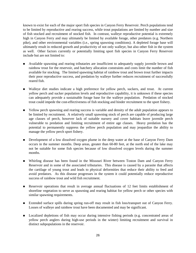known to exist for each of the major sport fish species in Canyon Ferry Reservoir. Perch populations tend to be limited by reproductive and rearing success, while trout populations are limited by number and size of fish stocked and recruitment of stocked fish. In contrast, walleye reproductive potential is extremely high in Canyon Ferry and may ultimately be limited by available forage, other predators (e.g. Northern pike), and other environmental variables (i.e., spring spawning conditions). A depleted forage base will ultimately result in reduced growth and productivity of not only walleye, but also other fish in the system as well. Other factors currently or potentially limiting sport fish species in Canyon Ferry Reservoir include but are not limited to:

- Available spawning and rearing tributaries are insufficient to adequately supply juvenile brown and rainbow trout for the reservoir, and hatchery allocation constraints and costs limit the number of fish available for stocking. The limited spawning habitat of rainbow trout and brown trout further impacts their poor reproductive success, and predation by walleye further reduces recruitment of successfully reared fish.
- Walleye diet studies indicate a high preference for yellow perch, suckers, and trout. At current yellow perch and sucker population levels and reproductive capability, it is unknown if these species can adequately provide a sustainable forage base for the walleye population. Predation of stocked trout could impede the cost-effectiveness of fish stocking and hinder recruitment to the sport fishery.
- Yellow perch spawning and rearing success is variable and density of the adult population appears to be limited by recruitment. A relatively small spawning stock of perch are capable of producing large age classes of perch, however lack of suitable nursery and cover habitats leave juvenile perch vulnerable to predation and limiting recruitment of entire age classes. Heavy predation has the potential to permanently suppress the yellow perch population and may jeopardize the ability to manage the yellow perch sport fishery.
- Development of a low dissolved oxygen plume in the deep water at the base of Canyon Ferry Dam occurs in the summer months. Deep areas, greater than 60-80 feet, at the north end of the lake may not be suitable for some fish species because of low dissolved oxygen levels during the summer months.
- Whirling disease has been found in the Missouri River between Toston Dam and Canyon Ferry Reservoir and in some of the associated tributaries. This disease is caused by a parasite that affects the cartilage of young trout and leads to physical deformities that reduce their ability to feed and avoid predators. As this disease progresses in the system it could potentially reduce reproductive success of rainbow trout and wild fish recruitment.
- Reservoir operations that result in average annual fluctuations of 12 feet limits establishment of shoreline vegetation to serve as spawning and rearing habitat for yellow perch or other species with similar spawning requirements.
- Extended surface spills during spring run-off may result in fish loss/transport out of Canyon Ferry. Losses of walleye and rainbow trout have been documented and may be significant.
- **Localized depletions of fish may occur during intensive fishing periods (e.g. concentrated areas of** yellow perch anglers during high-use periods in the winter) limiting recruitment and survival in distinct subpopulations in the reservoir.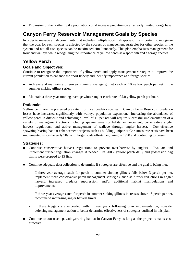**Expansion of the northern pike population could increase predation on an already limited forage base.** 

# **Canyon Ferry Reservoir Management Goals by Species**

In order to manage a fish community that includes multiple sport fish species, it is important to recognize that the goal for each species is affected by the success of management strategies for other species in the system and not all fish species can be maximized simultaneously. This plan emphasizes management for trout and walleye while recognizing the importance of yellow perch as a sport fish and a forage species.

# **Yellow Perch**

# **Goals and Objectives:**

Continue to recognize the importance of yellow perch and apply management strategies to improve the current population to enhance the sport fishery and identify importance as a forage species.

- Achieve and maintain a three-year running average gillnet catch of 10 yellow perch per net in the summer sinking gillnet series.
- Maintain a three-year running average winter angler catch rate of 2.0 yellow perch per hour.

# **Rationale:**

Yellow perch are the preferred prey item for most predator species in Canyon Ferry Reservoir; predation losses have increased significantly with walleye population expansion. Increasing the abundance of yellow perch is difficult and achieving a level of 10 per net will require successful implementation of a variety of management actions including spawning/rearing habitat enhancement, conservative angler harvest regulations, and active management of walleye through angler harvest. Cost-effective spawning/rearing habitat enhancement projects such as building juniper or Christmas tree reefs have been implemented since the early 90s, with larger scale efforts beginning in 1998 and continuing to present.

- Continue conservative harvest regulations to prevent over-harvest by anglers. Evaluate and implement further regulation changes if needed. In 2005, yellow perch daily and possession bag limits were dropped to 15 fish.
- Continue adequate data collection to determine if strategies are effective and the goal is being met.
	- If three-year average catch for perch in summer sinking gillnets falls below 3 perch per net, implement more conservative perch management strategies, such as further reductions in angler harvest, increased predator suppression, and/or additional habitat manipulations and improvements.
	- If three-year average catch for perch in summer sinking gillnets increases above 15 perch per net, recommend increasing angler harvest limits.
	- If these triggers are exceeded within three years following plan implementation, consider deferring management action to better determine effectiveness of strategies outlined in this plan.
- **Continue to construct spawning/rearing habitat in Canyon Ferry as long as the project remains cost**effective.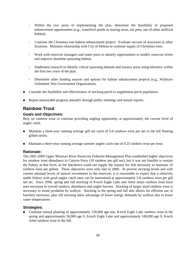- Within the two years of implementing the plan, determine the feasibility of proposed enhancement opportunities (e.g., waterfowl ponds as rearing areas, net pens, use of other artificial habitat).
- Continue the Christmas tree habitat enhancement project. Evaluate success of structures in other locations. Maintain relationship with City of Helena to continue supply of Christmas trees.
- Work with reservoir managers and water users to identify opportunities to modify reservoir levels and improve shoreline spawning habitat.
- Implement research to identify critical spawning habitats and nursery areas using telemetry within the first two years of the plan.
- Determine other funding sources and options for habitat enhancement projects (e.g., Walleyes Unlimited, Non Government Organization).
- Consider the feasibility and effectiveness of stocking perch to supplement perch population.
- Report measurable progress annually through public meetings and annual reports.

# **Rainbow Trout**

#### **Goals and Objectives:**

Rely on rainbow trout to continue providing angling opportunity at approximately the current level of angler catch.

- Maintain a three-year running average gill net catch of 5-6 rainbow trout per net in the fall floating gillnet series.
- **Maintain a three-year running average summer angler catch rate of 0.25 rainbow trout per hour.**

#### **Rationale:**

The 2001-2009 Upper Missouri River Reservoir Fisheries Management Plan established higher objectives for rainbow trout abundance in Canyon Ferry (10 rainbow per gill net), but it was not feasible to sustain the fishery at that level, as the hatcheries could not supply the request for fish necessary to maintain 10 rainbow trout per gillnet. These objectives were only met in 2000. At present stocking levels and with current minimal levels of natural recruitment to the reservoir, it is reasonable to expect that a relatively stable fishery with good angler catch rates can be maintained at approximately 5-6 rainbow trout per gill net set. Since 2006, spring and fall stocking of 8-inch Eagle Lake and Arlee strain rainbow trout have seen increases in overall rainbow abundance and angler harvest. Stocking of larger sized rainbow trout is necessary to avoid predation by walleye. Stocking in the spring and fall also allows for efficient use of hatchery raceways, plus fall stocking takes advantage of lower energy demands by walleye due to lower water temperatures.

# **Strategies:**

 Continue annual planting of approximately 150,000 age one, 8-inch Eagle Lake rainbow trout in the spring and approximately 50,000 age 0, 8-inch Eagle Lake and approximately 100,000 age 0, 8-inch Arlee rainbow trout in the fall.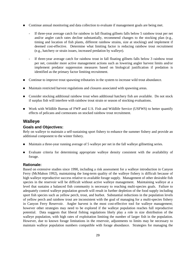- Continue annual monitoring and data collection to evaluate if management goals are being met.
	- If three-year average catch for rainbow in fall floating gillnets falls below 5 rainbow trout per net and/or angler catch rates decline substantially, recommend changes to the stocking plan (e.g., timing and location of fish plants, different rainbow strains, size at stocking) and implement if deemed cost-effective. Determine what limiting factor is reducing rainbow trout recruitment (e.g., hatchery or strain issues, increased predation by walleye).
	- If three-year average catch for rainbow trout in fall floating gillnets falls below 3 rainbow trout per net, consider more active management actions such as lowering angler harvest limits and/or implement predator suppression measures based on biological justification if predation is identified as the primary factor limiting recruitment.
- Continue to improve trout spawning tributaries in the system to increase wild trout abundance.
- Maintain restricted harvest regulations and closures associated with spawning areas.
- **Consider stocking additional rainbow trout when additional hatchery fish are available.** Do not stock if surplus fish will interfere with rainbow trout strain or season of stocking evaluations.
- Work with Wildlife Bureau of FWP and U.S. Fish and Wildlife Service (USFWS) to better quantify effects of pelicans and cormorants on stocked rainbow trout recruitment.

# **Walleye**

#### **Goals and Objectives:**

Rely on walleye to maintain a self-sustaining sport fishery to enhance the summer fishery and provide an additional component to the winter fishery.

- Maintain a three-year running average of 5 walleye per net in the fall walleye gillnetting series.
- Evaluate criteria for determining appropriate walleye density consistent with the availability of forage.

#### **Rationale:**

Based on extensive studies since 1990, including a risk assessment for a walleye introduction in Canyon Ferry (McMahon 1992), maintaining the long-term quality of the walleye fishery is difficult because of high walleye reproductive success relative to available forage supply. Management of other desirable fish species in the reservoir will be difficult without active walleye management. Maintaining walleye at a level that sustains a balanced fish community is necessary to reaching multi-species goals. Failure to adequately control walleye population growth will result in further depletion of the food supply including sport fish species such as yellow perch, trout, and burbot. Substantial reductions in the population levels of yellow perch and rainbow trout are inconsistent with the goal of managing for a multi-species fishery in Canyon Ferry Reservoir. Angler harvest is the most cost-effective tool for walleye management; however other strategies may need to be explored if the walleye population reaches full reproductive potential. Data suggests that liberal fishing regulations likely play a role in size distribution of the walleye population, with high rates of exploitation limiting the number of larger fish in the population. However, due to known forage limitations in the reservoir, adjustments to limits may be necessary to maintain walleye population numbers compatible with forage abundance. Strategies for managing the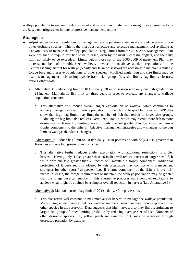walleye population to sustain the desired trout and yellow perch fisheries by using more aggressive tools are based on "triggers" to initiate progressive management actions.

- Adjust angler harvest regulations to manage walleye population abundance and reduce predation on other desirable species. This is the most cost-effective and selective management tool available at Canyon Ferry to manage the walleye population. Regulations from the 2000-2009 Management Plan were designed to require few fish to be released, even by the most successful anglers, and the daily limit not likely to be exceeded. Limits below those set in the 2000-2009 Management Plan may increase numbers of desirable sized walleye, however limits above standard regulations for the Central Fishing District for walleye (5 daily and 10 in possession) are necessary to maintain a suitable forage base and preserve populations of other species. Modified angler bag and size limits may be used as management tools to improve desirable size groups (i.e., slot limits, bag limits, closures, among other tools).
	- Alternative 1: Reduce bag limit to 10 fish daily, 20 in possession with only one fish greater than 28-inches. Maintain 10 fish limit for three years in order to evaluate any changes to walleye population structure.
		- o This alternative will reduce overall angler exploitation of walleye, while continuing to actively manage walleye to reduce predation of other desirable sport fish species. FWP data show that high bag limits may limit the number of fish that recruit to larger size groups. Reducing the bag limit also reduces overall exploitation, which may recruit more fish to more desirable size classes. By limiting harvest to only one fish greater than 28-inches maintains a trophy component to the fishery. Adaptive management strategies allow changes to the bag limit as walleye abundance changes.
	- Alternative 2: Reduce bag limit to 10 fish daily, 20 in possession with only 4 fish greater than 16-inches and one fish greater than 28-inches.
		- o This alternative further reduces angler exploitation with additional restrictions to angler harvest. Having only 4 fish greater than 16-inches will reduce harvest of larger sized fish while only one fish greater than 28-inches will maintain a trophy component. Additional protection of larger-sized fish offered by this alternative may conflict with management strategies for other sport fish species (e.g., if a large component of the fishery is over 16 inches in length, the forage requirements to maintain the walleye population may be greater than the forage base can support). This alternative proposes more complex regulations to achieve what might be attained by a simpler overall reduction in harvest (i.e., Alternative 1).
	- Alternative 3: Maintain current bag limit of 20 fish daily, 40 in possession.
		- o This alternative will continue to maximize angler harvest to manage the walleye population. Maximizing angler harvest reduces walleye numbers, which in turn reduces predation of other species in the reservoir. Data suggests that high harvest also may limit recruitment to larger size groups, further limiting predation by reducing average size of fish. Numbers of other desirable species (i.e., yellow perch and rainbow trout) may be increased through decreased predation by walleye.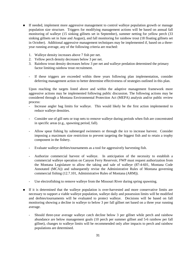- If needed, implement more aggressive management to control walleye population growth or manage population size structure. Triggers for modifying management actions will be based on annual fall monitoring of walleye (15 sinking gillnets set in September), summer netting for yellow perch (33 sinking gillnets set in June and August), and fall monitoring for rainbow trout (18 floating gillnets set in October). Additional aggressive management techniques may be implemented if, based on a threeyear running average, any of the following criteria are reached:
	- 1. Walleye density increases above 7 fish per net.
	- 2. Yellow perch density decreases below 3 per net.
	- 3. Rainbow trout density decreases below 3 per net and walleye predation determined the primary factor limiting rainbow trout recruitment.
	- If these triggers are exceeded within three years following plan implementation, consider deferring management action to better determine effectiveness of strategies outlined in this plan.

Upon reaching the targets listed above and within the adaptive management framework more aggressive actions may be implemented following public discussion. The following actions may be considered through a Montana Environmental Protection Act (MEPA) analysis and/or public review process:

- Increase angler bag limits for walleye. This would likely be the first action implemented to reduce walleye densities.
- Consider use of gill nets or trap nets to remove walleye during periods when fish are concentrated in specific areas (e.g., spawning period, fall).
- Allow spear fishing by submerged swimmers or through the ice to increase harvest. Consider imposing a maximum size restriction to prevent targeting the biggest fish and to retain a trophy component in the fishery.
- Evaluate walleye derbies/tournaments as a tool for aggressively harvesting fish.
- Authorize commercial harvest of walleye. In anticipation of the necessity to establish a commercial walleye operation on Canyon Ferry Reservoir, FWP must request authorization from the Montana Legislature to allow the taking and sale of walleye (87-4-601, Montana Code Annotated (MCA)) and subsequently revise the Administrative Rules of Montana governing commercial fishing (12.7.101, Administrative Rules of Montana (ARM)).
- Use electrofishing to remove walleye from the Missouri River during spring spawning.
- If it is determined that the walleye population is over-harvested and more conservative limits are necessary to support a viable walleye population, walleye daily and possession limits will be modified and derbies/tournaments will be evaluated to protect walleye. Decisions will be based on fall monitoring showing a decline in walleye to below 3 per fall gillnet net based on a three year running average.
	- Should three-year average walleye catch decline below 3 per gillnet while perch and rainbow abundance are below management goals (10 perch per summer gillnet and 5-6 rainbow per fall gillnet), changes to walleye limits will be recommended only after impacts to perch and rainbow populations are determined.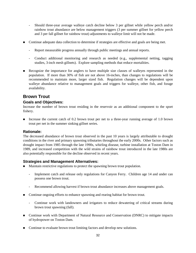- Should three-year average walleye catch decline below 3 per gillnet while yellow perch and/or rainbow trout abundance are below management triggers (3 per summer gillnet for yellow perch and 3 per fall gillnet for rainbow trout) adjustments to walleye limit will not be made.
- **Continue adequate data collection to determine if strategies are effective and goals are being met.** 
	- Report measurable progress annually through public meetings and annual reports.
	- Conduct additional monitoring and research as needed (e.g., supplemental netting, tagging studies, 3-inch mesh gillnets). Explore sampling methods that reduce mortalities.
- Recognize the importance for anglers to have multiple size classes of walleyes represented in the population. If more than 30% of fish are not above 16-inches, than changes to regulations will be recommended to maintain more, larger sized fish. Regulation changes will be dependent upon walleye abundance relative to management goals and triggers for walleye, other fish, and forage availability.

# **Brown Trout**

#### **Goals and Objectives:**

Increase the number of brown trout residing in the reservoir as an additional component to the sport fishery.

Increase the current catch of 0.2 brown trout per net to a three-year running average of 1.0 brown trout per net in the summer sinking gillnet series.

#### **Rationale:**

The decreased abundance of brown trout observed in the past 10 years is largely attributable to drought conditions in the river and primary spawning tributaries throughout the early 2000s. Other factors such as drought impact from 1985 through the late 1990s, whirling disease, turbine installation at Toston Dam in 1989, and increased competition with the wild strains of rainbow trout introduced in the late 1980s are also potentially responsible for the decline observed in recent years.

# **Strategies and Management Alternatives:**

- Maintain restrictive regulations to protect the spawning brown trout population.
	- Implement catch and release only regulations for Canyon Ferry. Children age 14 and under can possess one brown trout.
	- Recommend allowing harvest if brown trout abundance increases above management goals.
- Continue ongoing efforts to enhance spawning and rearing habitat for brown trout.
	- Continue work with landowners and irrigators to reduce dewatering of critical streams during brown trout spawning (fall).
- Continue work with Department of Natural Resource and Conservation (DNRC) to mitigate impacts of hydropower on Toston Dam.
- Continue to evaluate brown trout limiting factors and develop new solutions.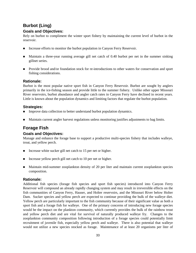# **Burbot (Ling)**

### **Goals and Objectives:**

Rely on burbot to compliment the winter sport fishery by maintaining the current level of burbot in the reservoir.

- Increase efforts to monitor the burbot population in Canyon Ferry Reservoir.
- Maintain a three-year running average gill net catch of 0.40 burbot per net in the summer sinking gillnet series.
- **Provide brood and/or foundation stock for re-introductions to other waters for conservation and sport** fishing considerations.

# **Rationale:**

Burbot is the most popular native sport fish in Canyon Ferry Reservoir. Burbot are sought by anglers primarily in the ice-fishing season and provide little to the summer fishery. Unlike other upper Missouri River reservoirs, burbot abundance and angler catch rates in Canyon Ferry have declined in recent years. Little is known about the population dynamics and limiting factors that regulate the burbot population.

# **Strategies:**

- Improve data collection to better understand burbot population dynamics.
- Maintain current angler harvest regulations unless monitoring justifies adjustments to bag limits.

# **Forage Fish**

# **Goals and Objectives:**

Manage and enhance the forage base to support a productive multi-species fishery that includes walleye, trout, and yellow perch.

- Increase white sucker gill net catch to 15 per net or higher.
- Increase yellow perch gill net catch to 10 per net or higher.
- Maintain mid-summer zooplankton density of 20 per liter and maintain current zooplankton species composition.

# **Rationale:**

Additional fish species (forage fish species and sport fish species) introduced into Canyon Ferry Reservoir will compound an already rapidly changing system and may result in irreversible effects on the fish communities of Canyon Ferry, Hauser, and Holter reservoirs, and the Missouri River below Holter Dam. Sucker species and yellow perch are expected to continue providing the bulk of the walleye diet. Yellow perch are particularly important to the fish community because of their significant value as both a sport fish and a forage fish for walleye. One of the primary concerns of introducing new forage species would be the impact on the plankton community, which currently provides the bulk of the rainbow trout and yellow perch diet and are vital for survival of naturally produced walleye fry. Changes to the zooplankton community composition following introduction of a forage species could potentially limit recruitment of juvenile fish, especially yellow perch and walleye. There is also potential that walleye would not utilize a new species stocked as forage. Maintenance of at least 20 organisms per liter of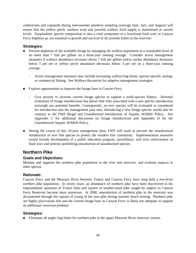cladocerans and copepods during mid-summer plankton sampling (average June, July, and August) will ensure that the yellow perch, rainbow trout and juvenile walleye food supply is maintained at current levels. Zooplankton species composition is also a vital component to a functional food web; in Canyon Ferry *Daphnia sp*. are essential to growth and survival of all juvenile fishes in the reservoir.

### **Strategies:**

- **Prevent depletion of the available forage by managing the walleye population at a sustainable level of** no more than 7 fish per gillnet on a three-year running average. Consider active management measures if walleye abundance increases above 7 fish per gillnet and/or sucker abundance decreases below 5 per net or yellow perch abundance decreases below 3 per net on a three-year running average.
	- Active management measures may include increasing walleye bag limits, species specific netting, or commercial fishing. See Walleye discussion for adaptive management strategies.
- Explore opportunities to improve the forage base in Canyon Ferry.
	- Give priority to increase current forage species to support a multi-species fishery. Informal evaluation of forage introductions has shown that risks associated with a new species introduction outweigh any potential benefits. Consequently, no new species will be evaluated or considered for introduction into the management plan area. Introducing a new forage species would also be contrary to the FWP Illegal and Unauthorized Introduction of Aquatic Wildlife Policy. See Appendix C for additional discussion on forage introductions and Appendix D for the Unauthorized Aquatic Wildlife Policy.
- During the course of this 10-year management plan, FWP will work to prevent the unauthorized introduction of new fish species to protect the resident fish community. Implementation measures would include development of a public education program, surveillance, and strict enforcement of State laws and policies prohibiting introduction of unauthorized species.

# **Northern Pike**

# **Goals and Objectives:**

Monitor and suppress the northern pike population in the river and reservoir, and evaluate impacts to other species.

# **Rationale:**

Canyon Ferry and the Missouri River between Toston and Canyon Ferry have long held a low-level northern pike population. In recent years, an abundance of northern pike have been discovered in the impoundment upstream of Toston Dam and reports of smaller-sized pike caught by anglers in Canyon Ferry Reservoir became more numerous. In 2008, reproduction of northern pike in the reservoir was documented through the capture of young of the year pike during summer beach seining. Northern pike are highly piscivorous fish and the current forage base in Canyon Ferry is likely not adequate to support an additional voracious predator.

# **Strategies:**

**Eliminate all angler bag limits for northern pike in the upper Missouri River reservoir system.**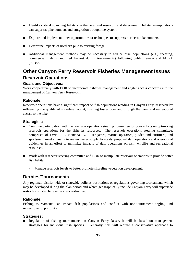- Identify critical spawning habitats in the river and reservoir and determine if habitat manipulations can suppress pike numbers and emigration through the system.
- **Explore and implement other opportunities or techniques to suppress northern pike numbers.**
- Determine impacts of northern pike to existing forage.
- Additional management methods may be necessary to reduce pike populations (e.g., spearing, commercial fishing, required harvest during tournaments) following public review and MEPA process.

# **Other Canyon Ferry Reservoir Fisheries Management Issues Reservoir Operations**

# **Goals and Objectives:**

Work cooperatively with BOR to incorporate fisheries management and angler access concerns into the management of Canyon Ferry Reservoir.

# **Rationale:**

Reservoir operations have a significant impact on fish populations residing in Canyon Ferry Reservoir by influencing the quality of shoreline habitat, flushing losses over and through the dam, and recreational access to the lake.

#### **Strategies:**

- Continue participation with the reservoir operations steering committee to focus efforts on optimizing reservoir operations for the fisheries resources. The reservoir operations steering committee, comprised of FWP, PPL Montana, BOR, irrigators, marina operators, guides and outfitters, and sportsmen, meet annually to review water supply forecasts, proposed dam operations and operational guidelines in an effort to minimize impacts of dam operations on fish, wildlife and recreational resources.
- Work with reservoir steering committee and BOR to manipulate reservoir operations to provide better fish habitat.
	- Manage reservoir levels to better promote shoreline vegetation development.

# **Derbies/Tournaments**

Any regional, district-wide or statewide policies, restrictions or regulations governing tournaments which may be developed during the plan period and which geographically include Canyon Ferry will supersede restrictions listed here unless less restrictive.

# **Rationale:**

Fishing tournaments can impact fish populations and conflict with non-tournament angling and recreational opportunity.

#### **Strategies:**

**Regulation of fishing tournaments on Canyon Ferry Reservoir will be based on management** strategies for individual fish species. Generally, this will require a conservative approach to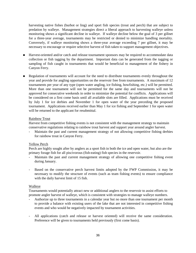harvesting native fishes (burbot or ling) and sport fish species (trout and perch) that are subject to predation by walleye. Management strategies direct a liberal approach to harvesting walleye unless monitoring shows a significant decline in walleye. If walleye decline below the goal of 3 per gillnet for a three-year average, tournaments may be restricted or denied to minimize handling mortality. Conversely, if walleye monitoring shows a three-year average exceeding 7 per gillnet, it may be necessary to encourage or require selective harvest of fish taken to support management objectives.

- Harvest-oriented and/or catch and release tournament sponsors may be required to accommodate data collection or fish tagging by the department. Important data can be generated from the tagging or sampling of fish caught in tournaments that would be beneficial to management of the fishery in Canyon Ferry.
- Regulation of tournaments will account for the need to distribute tournaments evenly throughout the year and provide for angling opportunities on the reservoir free from tournaments. A maximum of 12 tournaments per year of any type (open water angling, ice fishing, bowfishing, etc.) will be permitted. More than one tournament will not be permitted for the same day and tournaments will not be approved for consecutive weekends in order to minimize the potential for conflicts. Applications will be considered on a first come basis until all available slots are filled. Applications must be received by July 1 for ice derbies and November 1 for open water of the year preceding the proposed tournament. Applications received earlier than May 1 for ice fishing and September 1 for open water will be returned to the applicant for resubmittal.

#### Rainbow Trout

Harvest from competitive fishing events is not consistent with the management strategy to maintain conservative regulations relating to rainbow trout harvest and support year around angler harvest.

Maintain the past and current management strategy of not allowing competitive fishing derbies for rainbow trout in Canyon Ferry.

#### Yellow Perch

Perch are highly sought after by anglers as a sport fish in both the ice and open water, but also are the primary forage fish for all piscivorous (fish-eating) fish species in the reservoir.

- Maintain the past and current management strategy of allowing one competitive fishing event during January.
- Based on the conservative perch harvest limits adopted by the FWP Commission, it may be necessary to modify the structure of events (such as team fishing events) to ensure compliance with the daily harvest limit of 15 fish.

#### Walleye

Tournaments would potentially attract new or additional anglers to the reservoir to assist efforts to promote angler harvest of walleye, which is consistent with strategies to manage walleye numbers.

- Authorize up to three tournaments in a calendar year but no more than one tournament per month to provide a balance with existing users of the lake that are not interested in competitive fishing events and who would be negatively impacted by tournament activities.
- All applications (catch and release or harvest oriented) will receive the same consideration. Preference will be given to tournaments held previously (first come basis).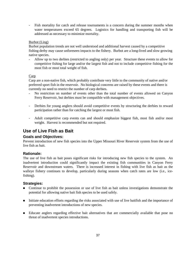Fish mortality for catch and release tournaments is a concern during the summer months when water temperatures exceed 65 degrees. Logistics for handling and transporting fish will be addressed as necessary to minimize mortality.

#### Burbot (Ling)

Burbot population trends are not well understood and additional harvest caused by a competitive fishing derby may cause unforeseen impacts to the fishery. Burbot are a long-lived and slow growing native species.

- Allow up to two derbies (restricted to angling only) per year. Structure these events to allow for competitive fishing for large and/or the largest fish and not to include competitive fishing for the most fish or most total weight of fish.

#### Carp

Carp are a non-native fish, which probably contribute very little to the community of native and/or preferred sport fish in the reservoir. No biological concerns are raised by these events and there is currently no need to restrict the number of carp derbies.

- No restriction on number of events other than the total number of events allowed on Canyon Ferry Reservoir, but derbies must be compatible with management objectives.
- Derbies for young anglers should avoid competitive events by structuring the derbies to reward participation rather than for catching the largest or most fish.
- Adult competitive carp events can and should emphasize biggest fish, most fish and/or most weight. Harvest is recommended but not required.

# **Use of Live Fish as Bait**

#### **Goals and Objectives:**

Prevent introduction of new fish species into the Upper Missouri River Reservoir system from the use of live fish as bait.

#### **Rationale:**

The use of live fish as bait poses significant risks for introducing new fish species to the system. An inadvertent introduction could significantly impact the existing fish communities in Canyon Ferry Reservoir and downstream waters. There is increased interest in fishing with live fish as bait as the walleye fishery continues to develop, particularly during seasons when catch rates are low (i.e., icefishing).

- Continue to prohibit the possession or use of live fish as bait unless investigations demonstrate the potential for allowing native bait fish species to be used safely.
- Initiate education efforts regarding the risks associated with use of live baitfish and the importance of preventing inadvertent introductions of new species.
- Educate anglers regarding effective bait alternatives that are commercially available that pose no threat of inadvertent species introductions.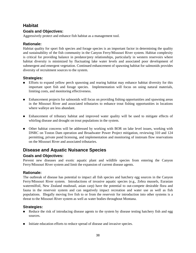# **Habitat**

# **Goals and Objectives:**

Aggressively protect and enhance fish habitat as a management tool.

# **Rationale:**

Habitat quality for sport fish species and forage species is an important factor in determining the quality and sustainability of the fish community in the Canyon Ferry/Missouri River system. Habitat complexity is critical for providing balance in predator/prey relationships, particularly in western reservoirs where habitat diversity is minimized by fluctuating lake water levels and associated poor development of submergent and emergent vegetation. Continued enhancement of spawning habitat for salmonids provides diversity of recruitment sources to the system.

# **Strategies:**

- **Efforts to expand yellow perch spawning and rearing habitat may enhance habitat diversity for this** important sport fish and forage species. Implementation will focus on using natural materials, limiting costs, and monitoring effectiveness.
- Enhancement projects for salmonids will focus on providing fishing opportunities and spawning areas in the Missouri River and associated tributaries to enhance trout fishing opportunities in locations where walleye are less abundant.
- Enhancement of tributary habitat and improved water quality will be used to mitigate effects of whirling disease and drought on trout populations in the system.
- Other habitat concerns will be addressed by working with BOR on lake level issues, working with DNRC on Toston Dam operation and Broadwater Power Project mitigation, reviewing 310 and 124 permitting, private pond licensing, and implementation and monitoring of instream flow reservations on the Missouri River and associated tributaries.

# **Disease and Aquatic Nuisance Species**

# **Goals and Objectives:**

Prevent new diseases and exotic aquatic plant and wildlife species from entering the Canyon Ferry/Missouri River system and limit the expansion of current disease agents.

# **Rationale:**

The outbreak of disease has potential to impact all fish species and hatchery egg sources in the Canyon Ferry/Missouri River system. Introductions of invasive aquatic species (e.g., Zebra mussels, Eurasian watermilfoil, New Zealand mudsnail, asian carp) have the potential to out-compete desirable flora and fauna in the reservoir system and can negatively impact recreation and water use as well as fish populations. Illegally moving live fish to or from the reservoir for introduction into other systems is a threat to the Missouri River system as well as water bodies throughout Montana.

- Reduce the risk of introducing disease agents to the system by disease testing hatchery fish and egg sources.
- Initiate education efforts to reduce spread of disease and invasive species.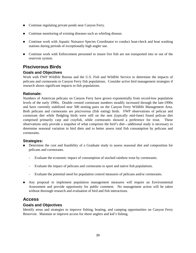- Continue regulating private ponds near Canyon Ferry.
- Continue monitoring of existing diseases such as whirling disease.
- Continue work with Aquatic Nuisance Species Coordinator to conduct boat-check and boat washing stations during periods of exceptionally high angler use.
- Continue work with Enforcement personnel to insure live fish are not transported into or out of the reservoir system.

# **Piscivorous Birds**

# **Goals and Objectives**

Work with FWP Wildlife Bureau and the U.S. Fish and Wildlife Service to determine the impacts of pelicans and cormorants to Canyon Ferry fish populations. Consider active bird management strategies if research shows significant impacts to fish populations.

#### **Rationale:**

Numbers of American pelicans on Canyon Ferry have grown exponentially from record-low population levels of the early 1990s. Double crested cormorant numbers steadily increased through the late-1990s and have currently stabilized near 500 nesting pairs on the Canyon Ferry Wildlife Management Area. Both pelicans and cormorants are piscivorous (fish eating) birds. FWP observations of pelican and cormorant diet while fledgling birds were still on the nest (typically mid-June) found pelican diet comprised primarily carp and crayfish, while cormorants showed a preference for trout. These observations only provide a snapshot of what comprises the bird's diet—additional study is necessary to determine seasonal variation in bird diets and to better assess total fish consumption by pelicans and cormorants.

#### **Strategies:**

- **Determine the cost and feasibility of a Graduate study to assess seasonal diet and composition for** pelicans and cormorants.
	- Evaluate the economic impact of consumption of stocked rainbow trout by cormorants.
	- Evaluate the impact of pelicans and cormorants to sport and native fish populations.
	- Evaluate the potential need for population control measures of pelicans and/or cormorants.
- Any proposal to implement population management measures will require an Environmental Assessment and provide opportunity for public comment. No management action will be taken without thorough research and evaluation of bird and fish interactions.

# **Access**

#### **Goals and Objectives**

Identify areas and strategies to improve fishing, boating, and camping opportunities on Canyon Ferry Reservoir. Maintain or improve access for shore anglers and kid's fishing.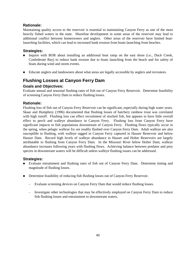# **Rationale:**

Maintaining quality access to the reservoir is essential to maintaining Canyon Ferry as one of the most heavily fished waters in the state. Shoreline development in some areas of the reservoir may lead to additional conflict between homeowners and anglers. Other areas of the reservoir have limited boatlaunching facilities, which can lead to increased bank erosion from boats launching from beaches.

# **Strategies:**

- Inquire with BOR about installing an additional boat ramp on the east shore (i.e., Duck Creek, Confederate Bay) to reduce bank erosion due to boats launching from the beach and for safety of boats during wind and storm events.
- Educate anglers and landowners about what areas are legally accessible by anglers and recreators.

# **Flushing Losses at Canyon Ferry Dam**

# **Goals and Objectives:**

Evaluate annual and seasonal flushing rates of fish out of Canyon Ferry Reservoir. Determine feasibility of screening Canyon Ferry Dam to reduce flushing losses.

# **Rationale:**

Flushing loss of fish out of Canyon Ferry Reservoir can be significant, especially during high water years. Skaar and Humphrey (1996) documented that flushing losses of hatchery rainbow trout was correlated with high runoff. Flushing loss can effect recruitment of stocked fish, but appears to have little overall effect to perch and walleye abundance in Canyon Ferry. Flushing loss from Canyon Ferry have significant impacts to fish populations downstream of Canyon Ferry. Flushing flows typically occur in the spring, when pelagic walleye fry are readily flushed over Canyon Ferry Dam. Adult walleye are also susceptible to flushing, with walleye tagged in Canyon Ferry captured in Hauser Reservoir and below Hauser Dam. Record high levels of walleye abundance in Hauser and Holter Reservoirs are largely attributable to flushing from Canyon Ferry Dam. In the Missouri River below Holter Dam, walleye abundance increases following years with flushing flows. Achieving balance between predator and prey species in downstream waters will be difficult unless walleye flushing issues can be addressed.

- **Evaluate entrainment and flushing rates of fish out of Canyon Ferry Dam.** Determine timing and magnitude of flushing losses.
- **Determine feasibility of reducing fish flushing losses out of Canyon Ferry Reservoir.** 
	- Evaluate screening devices on Canyon Ferry Dam that would reduce flushing losses.
	- Investigate other technologies that may be effectively employed on Canyon Ferry Dam to reduce fish flushing losses and entrainment to downstream waters.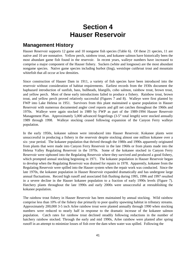# **Section 4 Hauser Reservoir**

# **Management History**

Hauser Reservoir supports 12 game and 10 nongame fish species (Table 6). Of these 21 species, 11 are native and 10 are nonnative. Yellow perch, rainbow trout, and kokanee salmon have historically been the most abundant game fish found in the reservoir. In recent years, walleye numbers have increased to comprise a major component of the Hauser fishery. Suckers (white and longnose) are the most abundant nongame species. Native game species including burbot (ling), westslope cutthroat trout and mountain whitefish that all occur at low densities.

Since construction of Hauser Dam in 1911, a variety of fish species have been introduced into the reservoir without consideration of habitat requirements. Earliest records from the 1930s document the haphazard introduction of sunfish, bass, bullheads, bluegills, coho salmon, rainbow trout, brown trout, and yellow perch. Most of these early introductions failed to produce a fishery. Rainbow trout, brown trout, and yellow perch proved relatively successful (Figures 7 and 8). Walleye were first planted by FWP into Lake Helena in 1951. Survivors from this plant maintained a sparse population in Hauser Reservoir with numerous documented angler creel reports and gill net catches throughout the 1960s and 1970s. Walleye were again stocked in 1989 by FWP as part of the 1989-1994 Hauser Reservoir Management Plan. Approximately 5,000 advanced fingerlings (3-5" total length) were stocked annually 1989 through 1998. Walleye stocking ceased following expansion of the Canyon Ferry walleye population.

In the early 1950s, kokanee salmon were introduced into Hauser Reservoir. Kokanee plants were unsuccessful in producing a fishery in the reservoir despite stocking almost one million kokanee over a six- year period. The kokanee population that thrived through the 1980s and 1990s apparently originated from plants that were made into Canyon Ferry Reservoir in the late 1960s or from plants made into the Helena Valley Regulating Reservoir in the 1970s. Some of the kokanee stocked in Canyon Ferry Reservoir were siphoned into the Regulating Reservoir where they survived and produced a good fishery, which prompted annual stocking beginning in 1971. The kokanee population in Hauser Reservoir began to develop when the Regulating Reservoir was drained for repairs in 1978. Apparently, kokanee from the Regulating Reservoir were spilled into the Hauser system when the repair work was conducted. Since the late 1970s, the kokanee population in Hauser Reservoir expanded dramatically and has undergone large annual fluctuations. Record high runoff and associated fish flushing during 1995, 1996 and 1997 resulted in a severe decline in the Hauser kokanee population to a fraction of early 1990s levels (Figure 7). Hatchery plants throughout the late 1990s and early 2000s were unsuccessful at reestablishing the kokanee population.

The rainbow trout fishery in Hauser Reservoir has been maintained by annual stocking. Wild rainbow comprise less than 10% of the fishery due primarily to poor quality spawning habitat in tributary streams. Approximately 200,000 3-5 inch Arlee rainbow trout were planted annually through 1990 when stocking numbers were reduced to nearly half in response to the dramatic increase of the kokanee salmon population. Catch rates for rainbow trout declined steadily following reductions in the number of hatchery rainbow stocked. Through the early and mid 1990s, Arlee rainbow were planted after spring runoff in an attempt to minimize losses of fish over the dam when water was spilled. Following the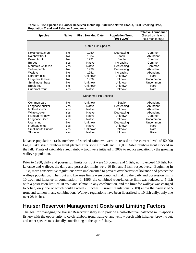|                          |                |                            |                         | <b>Relative Abundance</b> |  |  |  |  |
|--------------------------|----------------|----------------------------|-------------------------|---------------------------|--|--|--|--|
| <b>Species</b>           | <b>Native</b>  | <b>First Stocking Date</b> | <b>Population Trend</b> | (Based on historic        |  |  |  |  |
|                          |                |                            | (1986-2008)             | field monitoring.)        |  |  |  |  |
|                          |                |                            |                         |                           |  |  |  |  |
| <b>Game Fish Species</b> |                |                            |                         |                           |  |  |  |  |
| Kokanee salmon           | N <sub>0</sub> | 1950                       | Decreasing              | Common                    |  |  |  |  |
| Rainbow trout            | N <sub>0</sub> | 1934                       | Stable                  | Abundant                  |  |  |  |  |
| Brown trout              | <b>No</b>      | 1931                       | Stable                  | Common                    |  |  |  |  |
| <b>Burbot</b>            | Yes            | <b>Native</b>              | Increasing              | Common                    |  |  |  |  |
| Mountain whitefish       | Yes            | <b>Native</b>              | Decreasing              | Common                    |  |  |  |  |
| Yellow perch             | N <sub>0</sub> | 1938                       | Decreasing              | Abundant                  |  |  |  |  |
| Walleye                  | N <sub>0</sub> | 1951                       | Increasing              | Abundant                  |  |  |  |  |
| Northern pike            | <b>No</b>      | Unknown                    | Unknown                 | Rare                      |  |  |  |  |
| Largemouth bass          | <b>No</b>      | 1926                       | Unknown                 | Uncommon                  |  |  |  |  |
| Smallmouth bass          | N <sub>0</sub> | Unknown                    | Unknown                 | Uncommon                  |  |  |  |  |
| <b>Brook trout</b>       | <b>No</b>      | Unknown                    | Unknown                 | Rare                      |  |  |  |  |
| Cutthroat trout          | Yes            | <b>Native</b>              | Unknown                 | Rare                      |  |  |  |  |
|                          |                |                            |                         |                           |  |  |  |  |
| Nongame Fish Species     |                |                            |                         |                           |  |  |  |  |
| Common carp              | <b>No</b>      | Unknown                    | <b>Stable</b>           | Abundant                  |  |  |  |  |
| Longnose sucker          | Yes            | <b>Native</b>              | Decreasing              | Abundant                  |  |  |  |  |
| Mottled sculpin          | Yes            | <b>Native</b>              | <b>Unknown</b>          | Abundant                  |  |  |  |  |
| White sucker             | Yes            | <b>Native</b>              | Decreasing              | Abundant                  |  |  |  |  |
| Fathead minnow           | Yes            | <b>Native</b>              | Unknown                 | Common                    |  |  |  |  |
| Longnose Dace            | Yes            | <b>Native</b>              | Unknown                 | Uncommon                  |  |  |  |  |
| Utah chub                | N <sub>0</sub> | Unknown                    | Decreasing              | Uncommon                  |  |  |  |  |
| Flathead chub            | Yes            | <b>Native</b>              | Unknown                 | Rare                      |  |  |  |  |
| Smallmouth Buffalo       | Yes            | Unknown                    | Unknown                 | Rare                      |  |  |  |  |
| Stonecat                 | Yes            | <b>Native</b>              | Unknown                 | Rare                      |  |  |  |  |

**Table 6. Fish Species in Hauser Reservoir Including Statewide Native Status, First Stocking Date, Population Trend and Relative Abundance.**

kokanee population crash, numbers of stocked rainbows were increased to the current level of 50,000 Eagle Lake strain rainbow trout planted after spring runoff and 100,000 Arlee rainbow trout stocked in the fall. Plants of catchable sized rainbow trout were initiated in 2002 to reduce predation by the growing walleye population.

Prior to 1988, daily and possession limits for trout were 10 pounds and 1 fish, not to exceed 10 fish. For kokanee and walleye, the daily and possession limits were 10 fish and 5 fish, respectively. Beginning in 1988, more conservative regulations were implemented to prevent over harvest of kokanee and protect the walleye population. The trout and kokanee limits were combined making the daily and possession limits 10 trout and kokanee in combination. In 1996, the combined trout/kokanee limit was reduced to 5 fish with a possession limit of 10 trout and salmon in any combination, and the limit for walleye was changed to 5 fish, only one of which could exceed 20 inches. Current regulations (2009) allow the harvest of 5 trout and salmon in any combination. Walleye regulations have been liberalized to 10 fish daily, only one over 28-inches.

# **Hauser Reservoir Management Goals and Limiting Factors**

The goal for managing the Hauser Reservoir fishery is to provide a cost-effective, balanced multi-species fishery with the opportunity to catch rainbow trout, walleye, and yellow perch with kokanee, brown trout, and other species occasionally contributing to the sport fishery.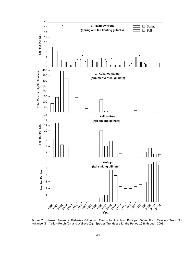

Figure 7. Hauser Reservoir Fisheries Gillnetting Trends for the Four Principal Game Fish: Rainbow Trout (A), Kokanee (B), Yellow Perch (C), and Walleye (D). Species Trends are for the Period 1986 through 2008.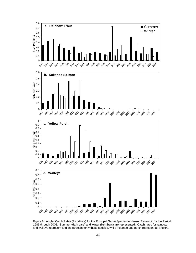

Figure 8. Angler Catch Rates (Fish/Hour) for the Principal Game Species in Hauser Reservoir for the Period 1986 through 2008. Summer (dark bars) and winter (light bars) are represented. Catch rates for rainbow and walleye represent anglers targeting only those species, while kokanee and perch represent all anglers.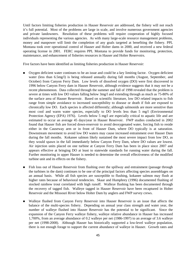Until factors limiting fisheries production in Hauser Reservoir are addressed, the fishery will not reach it's full potential. Most of the problems are large in scale, and involve numerous government agencies and private landowners. Resolution of these problems will require cooperation of highly focused individuals representing the various agencies. As with many large-scale resource management problems, money and manpower will limit the completion of any goals targeted at benefiting the fishery. PPL Montana took over operational control of Hauser and Holter dams in 2000, and received a new federal operating license in 2001. FERC requires PPL Montana to provide funds for monitoring, protection, maintenance, and enhancement of fisheries resources in Hauser and Holter Reservoirs.

Five factors have been identified as limiting fisheries production in Hauser Reservoir:

- Oxygen deficient water continues to be an issue and could be a key limiting factor. Oxygen deficient water (less than 6.5mg/l) is being released annually during fall months (August, September, and October) from Canyon Ferry Dam. Low levels of dissolved oxygen (DO) were first discovered in 1996 below Canyon Ferry dam in Hauser Reservoir, although evidence suggests that it may not be a recent phenomenon. Data collected through the summer and fall of 1998 revealed that the problem is severe at times with low DO values falling below 3mg/l and extending through as much as 75-80% of the surface area of Hauser Reservoir. Based on scientific literature, low DO related impacts to fish range from simple avoidance to increased susceptibility to disease or death if fish are exposed to chronically low DO. Each species is affected differently; although salmonids are more sensitive than most cool and warm water species, especially to DO levels less than 5 mg/l (Environmental Protection Agency (EPA) 1976). Levels below 5 mg/l are especially critical to aquatic life and are estimated to occur an average 45 days/year in Hauser Reservoir. FWP studies conducted in 2002 found that Hauser fish are forced down-reservoir to avoid deoxygenated water, forcing fish to reside either in the Causeway arm or in front of Hauser Dam, where DO typically is at saturation. Downstream movement to avoid low DO waters may cause increased entrainment over Hauser Dam during the fall months. Kokanee salmon likely sustained the most severe impact from low DO, as they would spawn in the fall immediately below Canyon Ferry Dam, where DO values are lowest. Air injection units placed on one turbine at Canyon Ferry Dam has been in place since 2007 and appears effective at bringing DO at least to statewide standards for running water during the fall. Further monitoring in upper Hauser is needed to determine the overall effectiveness of the modified turbine unit and its effects on the fishery.
- Fish loss out of Hauser Reservoir from flushing over the spillway and entrainment (passage through the turbines in the dam) continues to be one of the principal factors affecting species assemblages on an annual basis. While all fish species are susceptible to flushing, kokanee salmon may flush at higher rates because of behavioral tendencies. Skaar and Humphrey (1996) documented flushing of stocked rainbow trout correlated with high runoff. Walleye flushing has been documented through the recovery of tagged fish. Walleye tagged in Hauser Reservoir have been recaptured in Holter Reservoir and the Missouri River below Holter Dam by anglers and FWP survey crews.
- Walleye flushed from Canyon Ferry Reservoir into Hauser Reservoir is an issue that affects the balance of the multi-species fishery. Depending on annual year class strength and water year, the number of walleye flushed into Hauser Reservoir has the potential to be significant. Since the expansion of the Canyon Ferry walleye fishery, walleye relative abundance in Hauser has increased 1,700%, from an average abundance of 0.2 walleye per net (1986-1997) to an average of 3.6 walleye per net (1998-2008). Although Hauser has historically supported a low-level walleye population, there is not enough forage to support the current abundance of walleye in Hauser. Growth rates and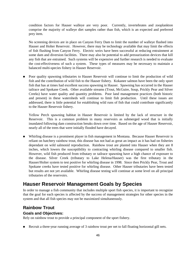condition factors for Hauser walleye are very poor. Currently, invertebrates and zooplankton comprise the majority of walleye diet samples rather than fish, which is an expected and preferred prey item.

No screening devices are in place on Canyon Ferry Dam to limit the number of walleye flushed into Hauser and Holter Reservoir. However, there may be technology available that may limit the effects of fish flushing from Canyon Ferry. Electric weirs have been successful at reducing entrainment at some dam and diversion facilities. There may also be potential to add pressurization devices that kill any fish that are entrained. Such systems will be expensive and further research is needed to evaluate the cost-effectiveness of such a system. These types of measures may be necessary to maintain a balanced multi-species fishery in Hauser Reservoir.

 Poor quality spawning tributaries to Hauser Reservoir will continue to limit the production of wild fish and the contribution of wild fish to the Hauser fishery. Kokanee salmon have been the only sport fish that has at times had excellent success spawning in Hauser. Spawning has occurred in the Hauser tailrace and Spokane Creek. Other available streams (Trout, McGuire, Soup, Prickly Pear and Silver Creeks) have water quality and quantity problems. Poor land management practices (both historic and present) in these watersheds will continue to limit fish production. Until these issues are addressed, there is little potential for establishing wild runs of fish that could contribute significantly to the Hauser Reservoir fishery.

Yellow Perch spawning habitat in Hauser Reservoir is limited by the lack of structure in the Reservoir. This is a common problem in many reservoirs as submerged wood that is initially inundated following dam construction breaks down over time. Based on the age of Hauser Reservoir, nearly all of the trees that were initially flooded have decayed.

 Whirling disease is a prominent player in fish management in Montana. Because Hauser Reservoir is reliant on hatchery rainbow trout, this disease has not had as great an impact as it has had on fisheries dependant on wild salmonid reproduction. Rainbow trout are planted into Hauser when they are 8 inches, which lowers the susceptibility to contracting whirling disease compared to smaller fish. However, wild fish produced from tributary or tailrace spawning have a high chance of exposure to the disease. Silver Creek (tributary to Lake Helena/Hauser) was the first tributary in the Hauser/Holter system to test positive for whirling disease in 1998. Since then Prickly Pear, Trout and Spokane creeks have tested positive for whirling disease. Other Hauser tributaries have been tested but results are not yet available. Whirling disease testing will continue at some level on all principal tributaries of the reservoirs.

# **Hauser Reservoir Management Goals by Species**

In order to manage a fish community that includes multiple sport fish species, it is important to recognize that the goal for each species is affected by the success of management strategies for other species in the system and that all fish species may not be maximized simultaneously.

# **Rainbow Trout**

**Goals and Objectives:**

Rely on rainbow trout to provide a principal component of the sport fishery.

Recruit a three-year running average of 3 rainbow trout per net to fall floating horizontal gill nets.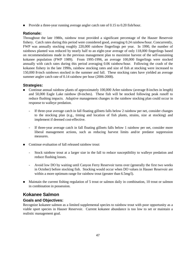**Provide a three-year running average angler catch rate of 0.15 to 0.20 fish/hour.** 

# **Rationale:**

Throughout the late 1980s, rainbow trout provided a significant percentage of the Hauser Reservoir fishery. Catch rates during this period were considered good, averaging 0.24 rainbow/hour. Concurrently, FWP was annually stocking roughly 220,000 rainbow fingerlings per year. In 1990, the number of rainbows planted was reduced by nearly half to an eight-year average of only 118,000 fingerlings based on recommendations made in the previous management plan to maximize harvest of the self-sustaining kokanee population (FWP 1989). From 1995-1996, an average 100,000 fingerlings were stocked annually with catch rates during this period averaging 0.06 rainbow/hour. Following the crash of the kokanee fishery in the late 1990s, rainbow stocking rates and size of fish at stocking were increased to 150,000 8-inch rainbows stocked in the summer and fall. These stocking rates have yielded an average summer angler catch rate of 0.14 rainbow per hour (2006-2008).

# **Strategies:**

- Continue annual rainbow plants of approximately 100,000 Arlee rainbow (average 8-inches in length) and 50,000 Eagle Lake rainbow (8-inches). These fish will be stocked following peak runoff to reduce flushing impacts. Adaptive management changes in the rainbow stocking plan could occur in response to walleye predation.
	- If three-year average catch in fall floating gillnets falls below 2 rainbow per net, consider changes to the stocking plan (e.g., timing and location of fish plants, strains, size at stocking) and implement if deemed cost-effective.
	- If three-year average catch in fall floating gillnets falls below 1 rainbow per net, consider more liberal management actions, such as reducing harvest limits and/or predator suppression measures.
- Continue evaluation of fall released rainbow trout:
	- Stock rainbow trout at a larger size in the fall to reduce susceptibility to walleye predation and reduce flushing losses.
	- Avoid low DO by waiting until Canyon Ferry Reservoir turns over (generally the first two weeks in October) before stocking fish. Stocking would occur when DO values in Hauser Reservoir are within a more optimum range for rainbow trout (greater than 6.5mg/l).
- Maintain the current fishing regulation of 5 trout or salmon daily in combination, 10 trout or salmon in combination in possession.

# **Kokanee Salmon**

# **Goals and Objectives:**

Recognize kokanee salmon as a limited supplemental species to rainbow trout with poor opportunity as a viable sport species in Hauser Reservoir. Current kokanee abundance is too low to set or maintain a realistic management goal.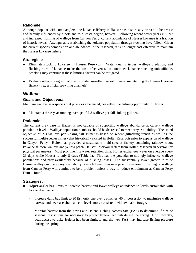# **Rationale:**

Although popular with some anglers, the kokanee fishery in Hauser has historically proven to be erratic and heavily influenced by runoff and to a lesser degree, harvest. Following record water years in 1997 and increased flushing of walleye from Canyon Ferry, current abundance of Hauser kokanee is a fraction of historic levels. Attempts at reestablishing the kokanee population through stocking have failed. Given the current species composition and abundance in the reservoir, it is no longer cost effective to maintain the Hauser kokanee fishery.

# **Strategies:**

- Eliminate stocking kokanee in Hauser Reservoir. Water quality issues, walleye predation, and flushing rates of kokanee make the cost-effectiveness of continued kokanee stocking unjustifiable. Stocking may continue if these limiting factors can be mitigated.
- Evaluate other strategies that may provide cost-effective solutions to maintaining the Hauser kokanee fishery (i.e., artificial spawning channels).

# **Walleye**

# **Goals and Objectives:**

Maintain walleye as a species that provides a balanced, cost-effective fishing opportunity in Hauser.

Maintain a three-year running average of 2-3 walleye per fall sinking gill net.

# **Rationale:**

The current prey base in Hauser is not capable of supporting walleye abundance at current walleye population levels. Walleye population numbers should be decreased to meet prey availability. The stated objective of 2-3 walleye per sinking fall gillnet is based on recent gillnetting trends as well as the successful multi-species fishery that historically existed in Holter Reservoir prior to expansion of walleye in Canyon Ferry. Holter has provided a sustainable multi-species fishery containing rainbow trout, kokanee salmon, walleye and yellow perch. Hauser Reservoir differs from Holter Reservoir in several key physical parameters. Most prominent is water retention time: Holter exchanges water on average every 21 days while Hauser is only 8 days (Table 1). This has the potential to strongly influence walleye populations and prey availability because of flushing losses. The substantially lower growth rates of Hauser walleye indicate prey availability is much lower than in adjacent reservoirs. Flushing of walleye from Canyon Ferry will continue to be a problem unless a way to reduce entrainment at Canyon Ferry Dam is found.

- Adjust angler bag limits to increase harvest and lower walleye abundance to levels sustainable with forage abundance.
	- Increase daily bag limit to 20 fish only one over 28-inches, 40 in possession to maximize walleye harvest and decrease abundance to levels more consistent with available forage.
	- Monitor harvest from the new Lake Helena Fishing Access Site (FAS) to determine if size or seasonal restrictions are necessary to protect larger-sized fish during the spring. Until recently, boat access to Lake Helena has been limited, and the new FAS may increase fishing pressure during the spring.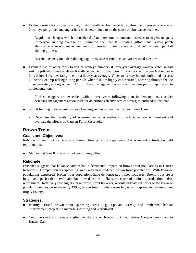- Evaluate restrictions in walleye bag limits if walleye abundance falls below the three-year average of 2 walleye per gillnet and angler harvest is determined to be the cause of abundance declines.
	- Regulation changes will be considered if rainbow trout abundance exceeds management goals (three-year running average of 3 rainbow trout per fall floating gillnet) and yellow perch abundance is near management goals (three-year running average of 4 yellow perch per fall sinking gillnet).
	- Restrictions may include reducing bag limits, size restrictions, and/or seasonal closures.
- Evaluate use of other tools to reduce walleye numbers if three-year average walleye catch in fall sinking gillnets increases above 6 walleye per net or if rainbow trout and/or yellow perch abundance falls below 1 fish per fall gillnet on a three-year average. Other tools may include unlimited harvest, gillnetting or trap netting during periods when fish are highly concentrated, spearing through the ice or underwater, among others. Any of these management actions will require public input prior to implementation.
	- If these triggers are exceeded within three years following plan implementation, consider deferring management action to better determine effectiveness of strategies outlined in this plan.
- Solicit funding to determine walleye flushing and entrainment at Canyon Ferry Dam.
	- Determine the feasibility of screening or other methods to reduce walleye entrainment and evaluate the effects on Canyon Ferry Reservoir.

# **Brown Trout**

# **Goals and Objectives:**

Rely on brown trout to provide a limited trophy-fishing experience that is reliant entirely on wild reproduction.

■ Maintain at least 0.5 brown trout per sinking gillnet.

# **Rationale:**

Evidence suggests that kokanee salmon had a detrimental impact on brown trout populations in Hauser Reservoir. Competition for spawning areas may have reduced brown trout populations. With kokanee populations depressed, brown trout populations have demonstrated minor increases. Brown trout are a long-lived species that have maintained low densities in Hauser because of limited reproduction and/or recruitment. Relatively few anglers target brown trout however, records indicate that prior to the kokanee population explosion in the early 1990s, brown trout numbers were higher and represented an important trophy fishery.

- Identify critical brown trout spawning areas (e.g., Spokane Creek) and implement habitat improvement projects to increase spawning and recruitment.
- Continue catch and release angling regulations on brown trout from below Canyon Ferry dam to Hauser Dam.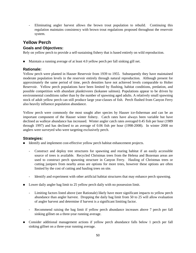- Eliminating angler harvest allows the brown trout population to rebuild. Continuing this regulation maintains consistency with brown trout regulations proposed throughout the reservoir system.

# **Yellow Perch**

# **Goals and Objectives:**

Rely on yellow perch to provide a self-sustaining fishery that is based entirely on wild reproduction.

Maintain a running average of at least 4.0 yellow perch per fall sinking gill net.

# **Rationale:**

Yellow perch were planted in Hauser Reservoir from 1939 to 1955. Subsequently they have maintained moderate population levels in the reservoir entirely through natural reproduction. Although present for approximately the same period of time, perch densities have not achieved levels comparable to Holter Reservoir. Yellow perch populations have been limited by flushing, habitat conditions, predation, and possible competition with abundant planktivores (kokanee salmon). Populations appear to be driven by environmental conditions rather than by the number of spawning aged adults. A relatively small spawning stock of adult yellow perch can still produce large year-classes of fish. Perch flushed from Canyon Ferry also heavily influence population abundance.

Yellow perch were commonly the most sought after species by Hauser ice-fisherman and can be an important component of the Hauser winter fishery. Catch rates have always been variable but have declined as walleye abundance has increased. Winter angler catch rates averaged 0.45 fish per hour (1989 through 1997) and has declined to an average of 0.06 fish per hour (1998-2008). In winter 2008 no anglers were surveyed who were targeting exclusively perch.

- Identify and implement cost-effective yellow perch habitat enhancement projects.
	- Construct and deploy tree structures for spawning and rearing habitat if an easily accessible source of trees is available. Recycled Christmas trees from the Helena and Bozeman areas are used to construct perch spawning structure in Canyon Ferry. Hauling of Christmas trees or cutting junipers from nearby areas are options for more trees, however these options are often limited by the cost of cutting and hauling trees on site.
	- Identify and experiment with other artificial habitat structures that may enhance perch spawning.
- Lower daily angler bag limit to 25 yellow perch daily with no possession limit.
	- Limiting factors listed above (see Rationale) likely have more significant impacts to yellow perch abundance than angler harvest. Dropping the daily bag limit from 50 to 25 will allow evaluation of angler harvest and determine if harvest is a significant limiting factor.
	- Recommend raising the bag limit if yellow perch abundance increases above 7 perch per fall sinking gillnet on a three-year running average.
- Consider additional management actions if yellow perch abundance falls below 1 perch per fall sinking gillnet on a three-year running average.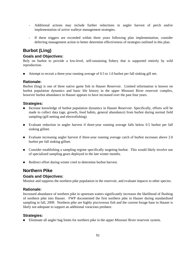- Additional actions may include further reductions in angler harvest of perch and/or implementation of active walleye management strategies.
- If these triggers are exceeded within three years following plan implementation, consider deferring management action to better determine effectiveness of strategies outlined in this plan.

# **Burbot (Ling)**

# **Goals and Objectives:**

Rely on burbot to provide a low-level, self-sustaining fishery that is supported entirely by wild reproduction.

Attempt to recruit a three-year running average of 0.5 to 1.0 burbot per fall sinking gill net.

# **Rationale:**

Burbot (ling) is one of three native game fish in Hauser Reservoir. Limited information is known on burbot population dynamics and basic life history in the upper Missouri River reservoir complex, however burbot abundance in Hauser appears to have increased over the past four years.

# **Strategies:**

- Increase knowledge of burbot population dynamics in Hauser Reservoir. Specifically, efforts will be made to collect data (age, growth, food habits, general abundance) from burbot during normal field sampling (gill netting and electrofishing).
- Evaluate reduction in angler harvest if three-year running average falls below 0.5 burbot per fall sinking gillnet.
- Evaluate increasing angler harvest if three-year running average catch of burbot increases above 2.0 burbot per fall sinking gillnet.
- Consider establishing a sampling regime specifically targeting burbot. This would likely involve use of specialized sampling gears deployed in the late winter months.
- Redirect effort during winter creel to determine burbot harvest.

# **Northern Pike**

# **Goals and Objectives:**

Monitor and suppress the northern pike population in the reservoir, and evaluate impacts to other species.

# **Rationale:**

Increased abundance of northern pike in upstream waters significantly increases the likelihood of flushing of northern pike into Hauser. FWP documented the first northern pike in Hauser during standardized sampling in fall, 2009. Northern pike are highly piscivorous fish and the current forage base in Hauser is likely not adequate to support an additional voracious predator.

#### **Strategies:**

**Eliminate all angler bag limits for northern pike in the upper Missouri River reservoir system.**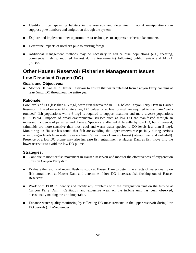- Identify critical spawning habitats in the reservoir and determine if habitat manipulations can suppress pike numbers and emigration through the system.
- **Explore and implement other opportunities or techniques to suppress northern pike numbers.**
- Determine impacts of northern pike to existing forage.
- Additional management methods may be necessary to reduce pike populations (e.g., spearing, commercial fishing, required harvest during tournaments) following public review and MEPA process.

# **Other Hauser Reservoir Fisheries Management Issues Low Dissolved Oxygen (DO)**

# **Goals and Objectives:**

**Monitor DO values in Hauser Reservoir to ensure that water released from Canyon Ferry contains at** least 5mg/l DO throughout the entire year.

# **Rationale:**

Low levels of DO (less than 6.5 mg/l) were first discovered in 1996 below Canyon Ferry Dam in Hauser Reservoir. Based on scientific literature, DO values of at least 5 mg/l are required to maintain "wellrounded" fish populations while 6 mg/l is required to support healthier and more diverse populations (EPA 1976). Impacts of broad environmental stresses such as low DO are manifested through an increased incidence of parasites and disease. Species are affected differently by low DO, but in general, salmonids are more sensitive than most cool and warm water species to DO levels less than 5 mg/l. Monitoring on Hauser has found that fish are avoiding the upper reservoir; especially during periods when oxygen levels from water releases from Canyon Ferry Dam are lowest (late-summer and early-fall). Presence of a low DO plume may also increase fish entrainment at Hauser Dam as fish move into the lower reservoir to avoid the low DO plume.

- Continue to monitor fish movement in Hauser Reservoir and monitor the effectiveness of oxygenation units on Canyon Ferry dam.
- Evaluate the results of recent flushing study at Hauser Dam to determine effects of water quality on fish entrainment at Hauser Dam and determine if low DO increases fish flushing out of Hauser Reservoir.
- Work with BOR to identify and rectify any problems with the oxygenation unit on the turbine at Canyon Ferry Dam. Cavitation and excessive wear on the turbine unit has been observed, occasionally making the unit inoperable.
- **Enhance water quality monitoring by collecting DO measurements in the upper reservoir during low** DO periods (July-September).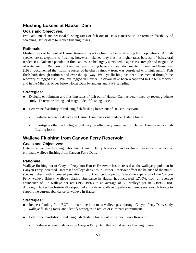# **Flushing Losses at Hauser Dam**

# **Goals and Objectives:**

Evaluate annual and seasonal flushing rates of fish out of Hauser Reservoir. Determine feasibility of screening Hauser dam to reduce flushing losses.

# **Rationale:**

Flushing loss of fish out of Hauser Reservoir is a key limiting factor affecting fish populations. All fish species are susceptible to flushing, however, kokanee may flush at higher rates because of behavioral tendencies. Kokanee population fluctuations can be largely attributed to age class strength and magnitude of water runoff. Rainbow trout and walleye flushing have also been documented. Skaar and Humphrey (1996) documented that flushing losses of hatchery rainbow trout was correlated with high runoff. Fish flush both through turbines and over the spillway. Walleye flushing has been documented through the recovery of tagged fish. Walleye tagged in Hauser Reservoir have been recaptured in Holter Reservoir and in the Missouri River below Holter Dam by anglers and FWP sampling.

# **Strategies:**

- **Evaluate entrainment and flushing rates of fish out of Hauser Dam as determined by recent graduate** study. Determine timing and magnitude of flushing losses.
- Determine feasibility of reducing fish flushing losses out of Hauser Reservoir.
	- Evaluate screening devices on Hauser Dam that would reduce flushing losses.
	- Investigate other technologies that may be effectively employed on Hauser Dam to reduce fish flushing losses.

# **Walleye Flushing from Canyon Ferry Reservoir**

# **Goals and Objectives:**

Determine walleye flushing rates from Canyon Ferry Reservoir and evaluate measures to reduce or eliminate walleye flushing from Canyon Ferry Dam.

# **Rationale:**

Walleye flushing out of Canyon Ferry into Hauser Reservoir has increased as the walleye population in Canyon Ferry increased. Increased walleye densities in Hauser Reservoir affect the balance of the multispecies fishery with increased predation on trout and yellow perch. Since the expansion of the Canyon Ferry walleye fishery, walleye relative abundance in Hauser has increased 1,700%, from an average abundance of 0.2 walleye per net (1986-1997) to an average of 3.6 walleye per net (1998-2008). Although Hauser has historically supported a low-level walleye population, there is not enough forage to support the current abundance of walleye in Hauser.

- Request funding from BOR to determine how most walleye pass through Canyon Ferry Dam, study walleye flushing rates, and identify strategies to reduce or eliminate entrainment.
- Determine feasibility of reducing fish flushing losses out of Canyon Ferry Reservoir.
	- Evaluate screening devices on Canyon Ferry Dam that would reduce flushing losses.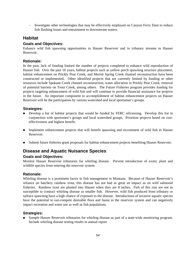- Investigate other technologies that may be effectively employed on Canyon Ferry Dam to reduce fish flushing losses and entrainment to downstream waters.

## **Habitat**

## **Goals and Objectives:**

Enhance wild fish spawning opportunities in Hauser Reservoir and in tributary streams to Hauser Reservoir.

#### **Rationale:**

In the past, lack of funding limited the number of projects completed to enhance wild reproduction of Hauser fish. Over the past 10 years, habitat projects such as yellow perch spawning structure placement, habitat enhancement on Prickly Pear Creek, and Merritt Spring Creek channel reconstruction have been constructed or implemented. Other identified projects that are currently limited by funding or other resources include Spokane Creek channel reconstruction, water allocation in Prickly Pear Creek, removal of potential barriers on Trout Creek, among others. The Future Fisheries program provides funding for projects targeting enhancement of wild fish and will continue to provide financial assistance for projects in the future. An important component to accomplishment of habitat enhancement projects on Hauser Reservoir will be the participation by various watershed and local sportsman's groups.

### **Strategies:**

- **Develop a list of habitat projects that would be funded by FERC relicensing.** Develop this list in conjunction with sportsmen's groups and local watershed groups. Prioritize projects based on costeffectiveness and highest benefit.
- Implement enhancement projects that will benefit spawning and recruitment of wild fish in Hauser Reservoir.
- Submit future fisheries grant proposals for habitat enhancement projects benefiting Hauser Reservoir.

# **Disease and Aquatic Nuisance Species**

## **Goals and Objectives:**

Monitor Hauser Reservoir tributaries for whirling disease. Prevent introduction of exotic plant and wildlife species from entering the reservoir system.

#### **Rationale:**

Whirling disease is a prominent factor in fish management in Montana. Because of Hauser Reservoir's reliance on hatchery rainbow trout, this disease has not had as great an impact as on wild salmonid fisheries. Rainbow trout are planted into Hauser when they are 8 inches. Fish of this size are not as susceptible to contract whirling disease as smaller fish. However, wild fish produced from tributary or tailrace spawning have a high chance of exposure to the disease. Introductions of invasive aquatic species have the potential to out-compete desirable flora and fauna in the reservoir system and can negatively impact recreation and water use as well as fish populations.

## **Strategies:**

Sample Hauser Reservoir tributaries for whirling disease as part of a state-wide monitoring program. Include whirling disease testing results in annual report.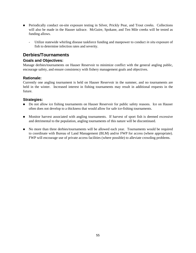- Periodically conduct on-site exposure testing in Silver, Prickly Pear, and Trout creeks. Collections will also be made in the Hauser tailrace. McGuire, Spokane, and Ten Mile creeks will be tested as funding allows.
	- Utilize statewide whirling disease taskforce funding and manpower to conduct *in situ* exposure of fish to determine infection rates and severity.

## **Derbies/Tournaments**

#### **Goals and Objectives:**

Manage derbies/tournaments on Hauser Reservoir to minimize conflict with the general angling public, encourage safety, and ensure consistency with fishery management goals and objectives.

### **Rationale:**

Currently one angling tournament is held on Hauser Reservoir in the summer, and no tournaments are held in the winter. Increased interest in fishing tournaments may result in additional requests in the future.

#### **Strategies:**

- Do not allow ice fishing tournaments on Hauser Reservoir for public safety reasons. Ice on Hauser often does not develop to a thickness that would allow for safe ice-fishing tournaments.
- **Monitor harvest associated with angling tournaments.** If harvest of sport fish is deemed excessive and detrimental to the population, angling tournaments of this nature will be discontinued.
- No more than three derbies/tournaments will be allowed each year. Tournaments would be required to coordinate with Bureau of Land Management (BLM) and/or FWP for access (where appropriate). FWP will encourage use of private access facilities (where possible) to alleviate crowding problems.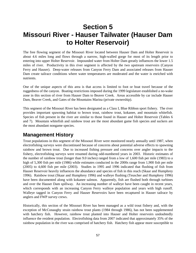# **Section 5 Missouri River - Hauser Tailwater (Hauser Dam to Holter Reservoir)**

The free flowing segment of the Missouri River located between Hauser Dam and Holter Reservoir is about 4.6 miles long and flows through a narrow, high-walled gorge for most of its length prior to entering into upper Holter Reservoir. Impounded water from Holter Dam greatly influences the lower 1.5 miles of river. Productivity in this river segment is affected by the two upstream reservoirs (Canyon Ferry and Hauser). Deep-water releases from Canyon Ferry Dam and associated releases from Hauser Dam create tailrace conditions where water temperatures are moderated and the water is enriched with nutrients.

One of the unique aspects of this area is that access is limited to foot or boat travel because of the ruggedness of the canyon. Boating restrictions imposed during the 1999 legislature established a no-wake zone in this section of river from Hauser Dam to Beaver Creek. Areas accessible by car include Hauser Dam, Beaver Creek, and Gates of the Mountains Marina (private ownership).

This segment of the Missouri River has been designated as a Class I, Blue Ribbon sport fishery. The river provides important spawning habitat to brown trout, rainbow trout, kokanee, and mountain whitefish. Species of fish present in the river are similar to those found in Hauser and Holter Reservoir (Tables 6 and 7). Mountain whitefish and rainbow trout are the most abundant game fish species and suckers are the most abundant nongame species.

# **Management History**

Trout populations in this segment of the Missouri River were monitored nearly annually until 1987, when electrofishing surveys were discontinued because of concerns about potential adverse effects to spawning rainbow and brown trout. Due to increased fishing pressure and concerns over angler impacts to the fishery, electrofishing surveys were resumed during odd-numbered years in 2003. Historic estimates of the number of rainbow trout (longer than 9.0 inches) ranged from a low of 1,600 fish per mile (1983) to a high of 5,300 fish per mile (1986) while estimates conducted in the 2000s range from 1,900 fish per mile (2005) to 4,600 fish per mile (2003). Studies in 1995 and 1996 indicated that flushing of fish from Hauser Reservoir heavily influences the abundance and species of fish in this reach (Skaar and Humphrey 1996). Rainbow trout (Skaar and Humphrey 1996) and walleye flushing (Teuscher and Humphrey 1996) have been documented along with kokanee salmon. Apparently, fish are flushed both through turbines and over the Hauser Dam spillway. An increasing number of walleye have been caught in recent years, which corresponds with an increasing Canyon Ferry walleye population and years with high runoff. Walleye tagged in Canyon Ferry and Hauser Reservoirs have been recaptured in Hauser tailrace by anglers and FWP survey crews.

Historically, this section of the Missouri River has been managed as a wild trout fishery and, with the exception of McConaughy strain rainbow trout plants (1984 through 1986), has not been supplemented with hatchery fish. However, rainbow trout planted into Hauser and Holter reservoirs undoubtedly influence the resident population. Electrofishing data from 2007 indicated that approximately 35% of the rainbow population in the river was comprised of hatchery fish. Hatchery fish appear more susceptible to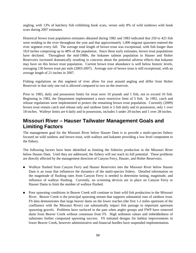angling, with 13% of hatchery fish exhibiting hook scars, verses only 8% of wild rainbows with hook scars during 2007 estimates.

Historical brown trout population estimates obtained during 1982 and 1983 indicated that 250 to 425 fish were residing in the river throughout the year and that approximately 1,000 migrant spawners entered the river segment every fall. The average total length of brown trout was exceptional, with fish longer than 18.0 inches comprising up to 48% of the population. Since these early estimates, brown trout populations have declined. Throughout the mid-1980s, the kokanee salmon population in Hauser and Holter Reservoirs increased dramatically resulting in concerns about the potential adverse effects that kokanee may have on this brown trout population. Current brown trout abundance is well below historic levels, averaging 130 brown trout per mile (2003-2007). Average size of brown trout is still exceptional, with an average length of 21-inches in 2007.

Fishing regulations on this segment of river allow for year around angling and differ from Holter Reservoir in that only one rod is allowed compared to two on the reservoir.

Prior to 1983, daily and possession limits for trout were 10 pounds and 1 fish, not to exceed 10 fish. Beginning in 1983, the Department implemented a more restrictive limit of 5 fish. In 1992, catch and release regulations were implemented to protect the remaining brown trout population. Currently (2009) brown trout remain catch and release only and rainbow limit is 5 fish daily and in possession, only 1 over 18-inches. Walleye limits are 6 daily and in possession, includes 5 under 20-inches and 1 over 28-inches.

# **Missouri River – Hauser Tailwater Management Goals and Limiting Factors**

The management goal for the Missouri River below Hauser Dam is to provide a multi-species fishery focused on wild rainbow and brown trout, with walleye and kokanee providing a low level component to the fishery.

The following factors have been identified as limiting the fisheries production in the Missouri River below Hauser Dam. Until they are addressed, the fishery will not reach its full potential. These problems are directly affected by the management direction of Canyon Ferry, Hauser, and Holter Reservoirs.

- Walleye flushed from Canyon Ferry and Hauser Reservoirs into the Missouri River below Hauser Dam is an issue that influences the dynamics of the multi-species fishery. Detailed information on the magnitude of flushing rates from Canyon Ferry is needed to determine timing, magnitude, and influence of walleye flushing. Currently, no screening devices are in place on Canyon Ferry or Hauser Dams to limit the number of walleye flushed.
- **Poor spawning conditions in Beaver Creek will continue to limit wild fish production in the Missouri** River. Beaver Creek is the principal spawning stream that supports substantial runs of rainbow trout. FS data demonstrates that large beaver dams on the lower reaches (the first 1-2 miles upstream of the confluence with the Missouri River) can substantially impact fish passage to important upstream spawning gravels. Problems have surfaced in the past when angler groups and FWP have removed dams from Beaver Creek without consensus from FS. High sediment values and imbeddedness of substrates further compound spawning success. FS initiated designs for habitat improvements in lower Beaver Creek, however administrative and financial hurdles have suspended implementation.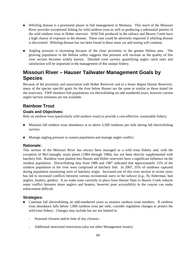- Whirling disease is a prominent player in fish management in Montana. This reach of the Missouri River provides exceptional fishing for wild rainbow trout as well as producing a substantial portion of the wild rainbow trout in Holter reservoir. Wild fish produced in the tailrace and Beaver Creek have a high chance of exposure to the disease. These runs could be adversely impacted if whirling disease is discovered. Whirling disease has not been found in these areas yet and testing will continue.
- Angling pressure is increasing because of the close proximity to the greater Helena area. The growing population in the Helena valley suggests that pressure will increase as the quality of this river section becomes widely known. Detailed creel surveys quantifying angler catch rates and satisfaction will be important in the management of this unique fishery.

# **Missouri River – Hauser Tailwater Management Goals by Species**

Because of the proximity and association with Holter Reservoir and to a lesser degree Hauser Reservoir, many of the species specific goals for the river below Hauser are the same or similar as those stated for the reservoirs. FWP monitors fish populations via electrofishing on odd numbered years, however current angler harvest estimates are not available.

## **Rainbow Trout**

## **Goals and Objectives:**

Rely on rainbow trout (particularly wild rainbow trout) to provide a cost-effective, sustainable fishery.

- Maintain fall rainbow trout abundance at or above 3,500 rainbows per mile during fall electrofishing surveys.
- Manage angling pressure to sustain population and manage angler conflict.

## **Rationale:**

This section of the Missouri River has always been managed as a wild trout fishery and, with the exception of McConaughy strain plants (1984 through 1986), has not been directly supplemented with hatchery fish. Rainbow trout planted into Hauser and Holter reservoirs have a significant influence on the resident population. Electrofishing data from 1986 and 1987 indicated that approximately 15% of the rainbow population in the river were comprised of hatchery fish. In 2007, 35% of rainbows captured during population monitoring were of hatchery origin. Increased use of this river section in recent years has led to increased conflicts between various recreational users in the tailrace (e.g., fly fisherman, bait anglers, boaters, guides). A no wake zone currently in place from Hauser Dam to Beaver Creek reduces some conflict between shore anglers and boaters, however poor accessibility in the canyon can make enforcement difficult.

#### **Strategies:**

- Continue fall electrofishing on odd-numbered years to monitor rainbow trout numbers. If rainbow trout abundance falls below 1,000 rainbow trout per mile, consider regulation changes to protect the wild trout fishery. Changes may include but are not limited to:
	- Seasonal closures and/or time of day closures.
	- Additional motorized restrictions (also see other Management Issues).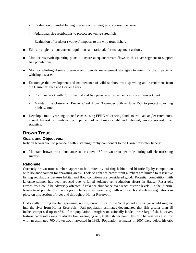- Evaluation of guided fishing pressure and strategies to address the issue.
- Additional size restrictions to protect spawning-sized fish.
- Evaluation of predator (walleye) impacts to the wild trout fishery.
- Educate anglers about current regulations and rationale for management actions.
- Monitor reservoir-operating plans to ensure adequate stream flows in this river segment to support fish populations.
- **Monitor whirling disease presence and identify management strategies to minimize the impacts of** whirling disease.
- **Encourage the development and maintenance of wild rainbow trout spawning and recruitment from** the Hauser tailrace and Beaver Creek.
	- Continue work with FS for habitat and fish passage improvements in lower Beaver Creek.
	- Maintain the closure on Beaver Creek from November 30th to June 15th to protect spawning rainbow trout.
- Develop a multi-year angler creel census using FERC relicencing funds to evaluate angler catch rates, annual harvest of rainbow trout, percent of rainbows caught and released, among several other statistics.

## **Brown Trout**

#### **Goals and Objectives:**

Rely on brown trout to provide a self-sustaining trophy component to the Hauser tailwater fishery.

 Maintain brown trout abundance at or above 150 brown trout per mile during fall electrofishing surveys.

#### **Rationale:**

Currently brown trout numbers appear to be limited by existing habitat and historically by competition with kokanee salmon for spawning areas. Tools to enhance brown trout numbers are limited to restrictive fishing regulations because habitat and flow conditions are considered good. Potential competition with kokanee salmon has been reduced due to failed kokanee reintroduction efforts in Hauser Reservoir. Brown trout could be adversely affected if kokanee abundance ever reach historic levels. In the interim, brown trout populations have a good chance to experience growth with catch and release regulations in place on this section of river and throughout Holter Reservoir.

Historically, during the fall spawning season, brown trout in the 5-10 pound size range would migrate into the river from Holter Reservoir. Fall population estimates documented that fish greater than 18 inches comprised up to 48% of the population. Anglers occasionally landed these large fish, however, historic catch rates were relatively low, averaging only 0.04 fish per hour. Historic harvest was also low with an estimated 700 brown trout harvested in 1983. Population estimates in 2007 were below historic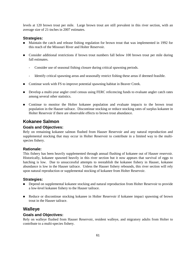levels at 120 brown trout per mile. Large brown trout are still prevalent in this river section, with an average size of 21-inches in 2007 estimates.

#### **Strategies:**

- Maintain the catch and release fishing regulation for brown trout that was implemented in 1992 for this reach of the Missouri River and Holter Reservoir.
- Consider additional restrictions if brown trout numbers fall below 100 brown trout per mile during fall estimates.
	- Consider use of seasonal fishing closure during critical spawning periods.
	- Identify critical spawning areas and seasonally restrict fishing these areas if deemed feasible.
- Continue work with FS to improve potential spawning habitat in Beaver Creek.
- Develop a multi-year angler creel census using FERC relicencing funds to evaluate angler catch rates among several other statistics.
- Continue to monitor the Holter kokanee population and evaluate impacts to the brown trout population in the Hauser tailrace. Discontinue stocking or reduce stocking rates of surplus kokanee in Holter Reservoir if there are observable effects to brown trout abundance.

## **Kokanee Salmon**

#### **Goals and Objectives:**

Rely on remaining kokanee salmon flushed from Hauser Reservoir and any natural reproduction and supplemental stocking that may occur in Holter Reservoir to contribute in a limited way to the multispecies fishery.

#### **Rationale:**

This fishery has been heavily supplemented through annual flushing of kokanee out of Hauser reservoir. Historically, kokanee spawned heavily in this river section but it now appears that survival of eggs to hatching is low. Due to unsuccessful attempts to reestablish the kokanee fishery in Hauser, kokanee abundance is low in the Hauser tailrace. Unless the Hauser fishery rebounds, this river section will rely upon natural reproduction or supplemental stocking of kokanee from Holter Reservoir.

#### **Strategies:**

- **Depend on supplemental kokanee stocking and natural reproduction from Holter Reservoir to provide** a low-level kokanee fishery to the Hauser tailrace.
- Reduce or discontinue stocking kokanee in Holter Reservoir if kokanee impact spawning of brown trout in the Hauser tailrace.

## **Walleye**

#### **Goals and Objectives:**

Rely on walleye flushed from Hauser Reservoir, resident walleye, and migratory adults from Holter to contribute to a multi-species fishery.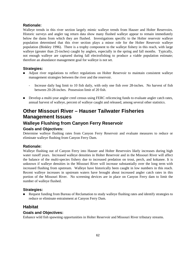#### **Rationale:**

Walleye trends in this river section largely mimic walleye trends from Hauser and Holter Reservoirs. Historic surveys and angler tag return data show many flushed walleye appear to remain immediately below the dams from which they are flushed. Investigations specific to the Holter reservoir walleye population determined that this river section plays a minor role for the Holter Reservoir walleye population (Binkley 1996). There is a trophy component to the walleye fishery in this reach, with large walleye (greater than 25-inches) caught by anglers, especially in the spring and fall months. Typically, not enough walleye are captured during fall electrofishing to produce a viable population estimate; therefore an abundance management goal for walleye is not set.

#### **Strategies:**

- Adjust river regulations to reflect regulations on Holter Reservoir to maintain consistent walleye management strategies between the river and the reservoir.
	- Increase daily bag limit to 10 fish daily, with only one fish over 28-inches. No harvest of fish between 20-28-inches. Possession limit of 20 fish.
- Develop a multi-year angler creel census using FERC relicencing funds to evaluate angler catch rates, annual harvest of walleye, percent of walleye caught and released, among several other statistics.

# **Other Missouri River – Hauser Tailwater Fisheries Management Issues**

# **Walleye Flushing from Canyon Ferry Reservoir**

## **Goals and Objectives:**

Determine walleye flushing rates from Canyon Ferry Reservoir and evaluate measures to reduce or eliminate walleye flushing from Canyon Ferry Dam.

#### **Rationale:**

Walleye flushing out of Canyon Ferry into Hauser and Holter Reservoirs likely increases during high water runoff years. Increased walleye densities in Holter Reservoir and in the Missouri River will affect the balance of the multi-species fishery due to increased predation on trout, perch, and kokanee. It is unknown if walleye densities in the Missouri River will increase substantially over the long term with increased flushing from upstream. Walleye have historically been caught in low numbers in this reach. Recent walleye increases in upstream waters have brought about increased angler catch rates in this portion of the Missouri River. No screening devices are in place on Canyon Ferry dam to limit the number of walleye flushed.

#### **Strategies:**

Request funding from Bureau of Reclamation to study walleye flushing rates and identify strategies to reduce or eliminate entrainment at Canyon Ferry Dam.

## **Habitat**

## **Goals and Objectives:**

Enhance wild fish spawning opportunities in Holter Reservoir and Missouri River tributary streams.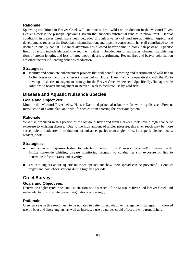#### **Rationale:**

Spawning conditions in Beaver Creek will continue to limit wild fish production in the Missouri River. Beaver Creek is the principal spawning stream that supports substantial runs of rainbow trout. Habitat conditions in Beaver Creek have been degraded through a variety of land use activities. Agricultural development, roads on the floodplain, channelization, and pipeline construction have all contributed to the decline in quality habitat. Channel alteration has allowed beaver dams to block fish passage. Specific limiting factors include elevated fine sediment values, imbeddedness of substrates, channel straightening (loss of stream length), and loss of large woody debris recruitment. Recent fires and beaver colonization are other factors influencing fisheries production.

#### **Strategies:**

 Identify and complete enhancement projects that will benefit spawning and recruitment of wild fish in Holter Reservoir and the Missouri River below Hauser Dam. Work cooperatively with the FS to develop a fisheries management strategy for the Beaver Creek watershed. Specifically, find agreeable solutions to beaver management in Beaver Creek to facilitate use by wild fish.

# **Disease and Aquatic Nuisance Species**

#### **Goals and Objectives:**

Monitor the Missouri River below Hauser Dam and principal tributaries for whirling disease. Prevent introduction of exotic plant and wildlife species from entering the reservoir system.

#### **Rationale:**

Wild fish produced in this portion of the Missouri River and from Beaver Creek have a high chance of exposure to whirling disease. Due to the high amount of angler pressure, this river reach may be more susceptible to inadvertent introductions of nuisance species from anglers (i.e., improperly cleaned boats, waders, boots).

#### **Strategies:**

- **•** Conduct in situ exposure testing for whirling disease in the Missouri River and/or Beaver Creek. Utilize statewide whirling disease monitoring program to conduct *in situ* exposure of fish to determine infection rates and severity.
- Educate anglers about aquatic nuisance species and how their spread can be prevented. Conduct angler and boat check stations during high use periods.

# **Creel Survey**

#### **Goals and Objectives:**

Determine angler catch rates and satisfaction on this reach of the Missouri River and Beaver Creek and make adaptations to strategies and regulations accordingly.

#### **Rationale:**

Creel surveys in this reach need to be updated to better direct adaptive management strategies. Increased use by boat and shore anglers, as well as increased use by guides could affect the wild trout fishery.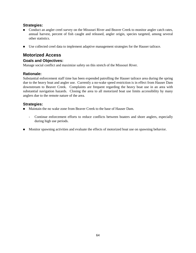## **Strategies:**

- Conduct an angler creel survey on the Missouri River and Beaver Creek to monitor angler catch rates, annual harvest, percent of fish caught and released, angler origin, species targeted, among several other statistics.
- Use collected creel data to implement adaptive management strategies for the Hauser tailrace.

## **Motorized Access**

#### **Goals and Objectives:**

Manage social conflict and maximize safety on this stretch of the Missouri River.

### **Rationale:**

Substantial enforcement staff time has been expended patrolling the Hauser tailrace area during the spring due to the heavy boat and angler use. Currently a no-wake speed restriction is in effect from Hauser Dam downstream to Beaver Creek. Complaints are frequent regarding the heavy boat use in an area with substantial navigation hazards. Closing the area to all motorized boat use limits accessibility by many anglers due to the remote nature of the area.

### **Strategies:**

- Maintain the no wake zone from Beaver Creek to the base of Hauser Dam.
	- Continue enforcement efforts to reduce conflicts between boaters and shore anglers, especially during high use periods.
- Monitor spawning activities and evaluate the effects of motorized boat use on spawning behavior.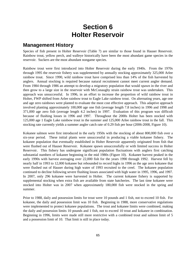# **Section 6 Holter Reservoir**

# **Management History**

Species of fish present in Holter Reservoir (Table 7) are similar to those found in Hauser Reservoir. Rainbow trout, yellow perch, and walleye historically have been the most abundant game species in the reservoir. Suckers are the most abundant nongame species.

Rainbow trout were first introduced into Holter Reservoir during the early 1940s. From the 1970s through 1995 the reservoir fishery was supplemented by annually stocking approximately 325,000 Arlee rainbow trout. Since 1990, wild rainbow trout have comprised less than 14% of the fish harvested by anglers. Annual stocking is required because natural recruitment cannot meet current angler demand. From 1984 through 1986 an attempt to develop a migratory population that would spawn in the river and then grow to a large size in the reservoir with McConaughy strain rainbow trout was undertaken. This approach was unsuccessful. In 1996, in an effort to increase the proportion of wild rainbow trout in Holter, FWP shifted from Arlee rainbow trout to Eagle Lake rainbow trout. On alternating years, age one and age zero rainbows were planted to evaluate the most cost effective approach. This adaptive approach involved planting approximately 100,000 age one fish (average length 7.8 inches) in 1996 and 1998 and 371,000 age zero fish (average length 4.2 inches) in 1997. Evaluation of this program was difficult because of flushing losses in 1996 and 1997. Throughout the 2000s Holter has been stocked with 125,000 age 1 Eagle Lake rainbow trout in the summer and 125,000 Arlee rainbow trout in the fall. This stocking rate currently yields a summer angler catch rate of 0.29 fish per hour (2006-2008, Figure 10).

Kokanee salmon were first introduced in the early 1950s with the stocking of about 800,000 fish over a six-year period. These initial plants were unsuccessful in producing a viable kokanee fishery. The kokanee population that eventually established in Holter Reservoir apparently originated from fish that were flushed out of Hauser Reservoir. Kokanee spawn unsuccessfully or with limited success in Holter Reservoir. This fishery has undergone significant population fluctuations with anglers first catching substantial numbers of kokanee beginning in the mid 1980s (Figure 10). Kokanee harvest peaked in the early 1990s with harvest averaging over 22,000 fish for the years 1990 through 1992. Harvest fell by nearly half in 1993 to 12,000 kokanee but rebounded to record highs in 1996 as the age zero kokanee that were flushed out of Hauser during high water of 1993 recruited to the creel. The kokanee population continued to decline following severe flushing losses associated with high water in 1995, 1996, and 1997. In 2007, only 296 kokanee were harvested in Holter. The current kokanee fishery is supported by supplemental stocking when extra fish are available from state hatcheries. The last time kokanee were stocked into Holter was in 2007 when approximately 180,000 fish were stocked in the spring and summer.

Prior to 1988, daily and possession limits for trout were 10 pounds and 1 fish, not to exceed 10 fish. For kokanee, the daily and possession limit was 10 fish. Beginning in 1988, more conservative regulations were implemented to protect kokanee populations. The trout and kokanee limits were combined, making the daily and possession limits 10 pounds and 1 fish, not to exceed 10 trout and kokanee in combination. Beginning in 1996, limits were made still more restrictive with a combined trout and salmon limit of 5 and a possession limit of 10. That limit is still in place today.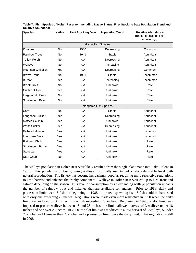| <b>Species</b>           | <b>Native</b> | <b>First Stocking Date</b> | <b>Population Trend</b> | <b>Relative Abundance</b><br>(Based on historic field<br>monitoring.) |
|--------------------------|---------------|----------------------------|-------------------------|-----------------------------------------------------------------------|
| <b>Game Fish Species</b> |               |                            |                         |                                                                       |
| Kokanee                  | <b>No</b>     | 1950                       | Decreasing              | Common                                                                |
| <b>Rainbow Trout</b>     | <b>No</b>     | 1941                       | Stable                  | Abundant                                                              |
| <b>Yellow Perch</b>      | <b>No</b>     | N/A                        | Decreasing              | Abundant                                                              |
| Walleye                  | <b>No</b>     | N/A                        | Increasing              | Abundant                                                              |
| Mountain Whitefish       | Yes           | N/A                        | Decreasing              | Common                                                                |
| <b>Brown Trout</b>       | <b>No</b>     | 1931                       | <b>Stable</b>           | Uncommon                                                              |
| <b>Burbot</b>            | Yes           | N/A                        | Increasing              | Uncommon                                                              |
| <b>Brook Trout</b>       | No            | N/A                        | Unknown                 | Rare                                                                  |
| <b>Cutthroat Trout</b>   | Yes           | N/A                        | Unknown                 | Rare                                                                  |
| Largemouth Bass          | No            | N/A                        | Unknown                 | Rare                                                                  |
| Smallmouth Bass          | <b>No</b>     | N/A                        | Unknown                 | Rare                                                                  |
| Nongame Fish Species     |               |                            |                         |                                                                       |
| Carp                     | <b>No</b>     | N/A                        | Stable                  | Abundant                                                              |
| Longnose Sucker          | Yes           | N/A                        | Decreasing              | Abundant                                                              |
| <b>Mottled Sculpin</b>   | Yes           | N/A                        | Unknown                 | Abundant                                                              |
| <b>White Sucker</b>      | Yes           | N/A                        | Decreasing              | Abundant                                                              |
| <b>Fathead Minnow</b>    | Yes           | N/A                        | Unknown                 | Uncommon                                                              |
| Longnose Dace            | Yes           | N/A                        | Unknown                 | Uncommon                                                              |
| <b>Flathead Chub</b>     | Yes           | N/A                        | Unknown                 | Rare                                                                  |
| Smallmouth Buffalo       | Yes           | N/A                        | Unknown                 | Rare                                                                  |
| Stonecat                 | Yes           | N/A                        | <b>Unknown</b>          | Rare                                                                  |
| Utah Chub                | <b>No</b>     | N/A                        | <b>Unknown</b>          | Rare                                                                  |

**Table 7. Fish Species of Holter Reservoir Including Native Status, First Stocking Date Population Trend and Relative Abundance.**

The walleye population in Holter Reservoir likely resulted from the single plant made into Lake Helena in 1951. This population of fast growing walleye historically maintained a relatively stable level with natural reproduction. The fishery has become increasingly popular, requiring more restrictive regulations to limit harvest and enhance the trophy component. Walleye in Holter Reservoir eat up to 45% trout and salmon depending on the season. This level of consumption by an expanding walleye population impacts the number of rainbow trout and kokanee that are available for anglers. Prior to 1988, daily and possession limits were 5 fish but beginning in 1988, to protect spawning fish, 5 fish could be harvested with only one exceeding 20 inches. Regulations were made even more restrictive in 1990 when the daily limit was reduced to 3 fish with one fish exceeding 20 inches. Beginning in 1996, a slot limit was imposed to protect walleye between 18 and 28 inches, the limits allowed harvest of 3 walleye under 18 inches and one over 28 inches. In 2000, the slot limit was modified to allow harvest of 6 walleye, 5 under 20-inches and 1 greater then 28-inches and a possession limit twice the daily limit. That regulation is still in 2008.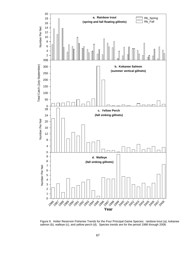

Figure 9. Holter Reservoir Fisheries Trends for the Four Principal Game Species: rainbow trout (a), kokanee salmon (b), walleye (c), and yellow perch (d). Species trends are for the period 1986 through 2008.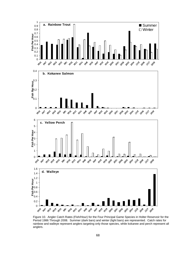

Figure 10. Angler Catch Rates (Fish/Hour) for the Four Principal Game Species in Holter Reservoir for the Period 1986 Through 2008. Summer (dark bars) and winter (light bars) are represented. Catch rates for rainbow and walleye represent anglers targeting only those species, while kokanee and perch represent all anglers.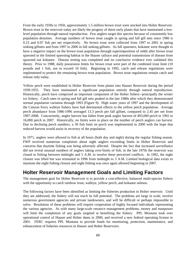From the early 1930s to 1950, approximately 1.5 million brown trout were stocked into Holter Reservoir. Brown trout in the reservoir today are likely the progeny of these early plants that have maintained a lowlevel population through natural reproduction. Few anglers target this species because of consistently low population densities. Average numbers of brown trout caught in spring and fall gill nets since 1986 is 0.23 and 0.07 fish per net respectively. No brown trout were collected from 1997 to 2001 in spring sinking gillnets and from 1997 to 2006 in fall sinking gillnets. As fall spawners, kokanee were thought to have a negative impact on the brown trout population through superimposition of redds after brown trout spawned in the limited spawning habitat in the Hauser tailrace and potential transmission of disease from spawned out kokanee. Disease testing was completed and no conclusive evidence ever validated this theory. Prior to 1988, daily possession limits for brown trout were part of the combined trout limit (10 pounds and 1 fish, not to exceed 10 fish). Beginning in 1992, catch and release regulations were implemented to protect the remaining brown trout population. Brown trout regulations remain catch and release only today.

Yellow perch were established in Holter Reservoir from plants into Hauser Reservoir during the period 1939-1955. They have maintained a significant population entirely through natural reproduction. Historically, perch have comprised an important component of the Holter fishery--principally the winter ice fishery. Catch rates in spring and fall gill nets peaked in the late 1980s after which they demonstrated normal population variation through 1993 (Figure 9). High water years of 1997 and the development of the Canyon Ferry walleye fishery have had detrimental effects to the yellow perch population. Average perch abundance from 1986-1996 averaged 13.3 perch per fall gillnet, compared to 2.45 per net from 1997-2008. Concurrently, angler harvest has fallen from peak angler harvest of 493,000 perch in 1992 to 16,000 perch in 2007. Historically, no limits were in place on the number of perch anglers can harvest. Due to declining perch numbers, a 50 fish limit on perch was implemented in 2000 with the hope that reduced harvest would assist in recovery of the population.

In 1971, anglers were allowed to fish at all hours (both day and night) during the regular fishing season. FWP received numerous complaints about night anglers exceeding limits in Holter Reservoir and concerns that daytime fishing was being adversely affected. Despite the fact that increased surveillance did not reveal unusual numbers of anglers taking over-limits of fish, in the late 1970s the reservoir was closed to fishing between midnight and 5 A.M. to resolve these perceived conflicts. In 1992, the night closure was lifted but was reinstated in 1996 from midnight to 3 A.M. Limited biological data exists to maintain the night fishing closure and night fishing was once again allowed beginning in 2007.

# **Holter Reservoir Management Goals and Limiting Factors**

The management goal for Holter Reservoir is to provide a cost-effective, balanced multi-species fishery with the opportunity to catch rainbow trout, walleye, yellow perch, and kokanee salmon.

The following factors have been identified as limiting the fisheries production in Holter reservoir. Until they are addressed, the fishery will not reach its full potential. The problems are large in scale, involve numerous government agencies and private landowners, and will be difficult or perhaps impossible to solve. Resolution of these problems will require cooperation of highly focused individuals representing the various agencies. As with many large-scale resource management problems, money and manpower will limit the completion of any goals targeted at benefiting the fishery. PPL Montana took over operational control of Hauser and Holter dams in 2000, and received a new federal operating license in 2001. FERC requires PPL Montana to provide funds for monitoring, protection, maintenance, and enhancement of fisheries resources in Hauser and Holter Reservoirs.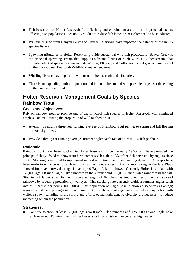- Fish losses out of Holter Reservoir from flushing and entrainment are one of the principal factors affecting fish populations. Feasibility studies to reduce fish losses from Holter need to be conducted.
- Walleye flushed from Canyon Ferry and Hauser Reservoirs have impacted the balance of the multispecies fishery.
- Spawning tributaries to Holter Reservoir provide substantial wild fish production. Beaver Creek is the principal spawning stream that supports substantial runs of rainbow trout. Other streams that provide potential spawning areas include Willow, Elkhorn, and Cottonwood creeks, which are located on the FWP-owned Beartooth Wildlife Management Area.
- Whirling disease may impact the wild trout in the reservoir and tributaries.
- There is an expanding burbot population and it should be studied with possible targets set depending on the numbers identified.

# **Holter Reservoir Management Goals by Species Rainbow Trout**

#### **Goals and Objectives:**

Rely on rainbow trout to provide one of the principal fish species in Holter Reservoir with continued emphasis on maximizing the proportion of wild rainbow trout.

- Attempt to recruit a three-year running average of 6 rainbow trout per net to spring and fall floating horizontal gill nets.
- **Provide a three-year running average summer angler catch rate of at least 0.25 fish per hour.**

#### **Rationale:**

Rainbow trout have been stocked in Holter Reservoir since the early 1940s and have provided the principal fishery. Wild rainbow trout have comprised less than 15% of the fish harvested by anglers since 1990. Stocking is required to supplement natural recruitment and meet angling demand. Attempts have been made to enhance wild rainbow trout runs without success. Annual monitoring in the late 1990s showed improved survival of age 1 over age 0 Eagle Lake rainbows. Currently Holter is stocked with 125,000 age 1 8-inch Eagle Lake rainbows in the summer and 125,000 8-inch Arlee rainbows in the fall. Stocking of larger sized fish with average length of 8-inches has improved recruitment of stocked rainbows by reducing predation by walleyes. This stocking rate currently yields a summer angler catch rate of 0.29 fish per hour (2006-2008). This population of Eagle Lake rainbows also serves as an egg source for hatchery propagation of rainbow trout. Rainbow trout eggs are collected in conjunction with walleye spawn sampling in the spring and efforts to maintain genetic diversity are necessary to reduce inbreeding within the population.

#### **Strategies:**

 Continue to stock at least 125,000 age zero 8-inch Arlee rainbow and 125,000 age one Eagle Lake rainbow trout. To minimize flushing losses, stocking of fish will occur after high water.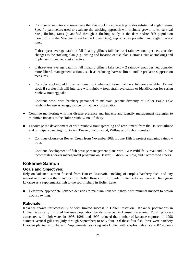- Continue to monitor and investigate that this stocking approach provides substantial angler return. Specific parameters used to evaluate the stocking approach will include: growth rates, survival rates, flushing rates (quantified through a flushing study at the dam and/or fish population monitoring in the Missouri River below Holter Dam), reproductive potential, and angler harvest rates.
- If three-year average catch in fall floating gillnets falls below 4 rainbow trout per net, consider changes to the stocking plan (e.g., timing and location of fish plants, strains, size at stocking) and implement if deemed cost effective.
- If three-year average catch in fall floating gillnets falls below 2 rainbow trout per net, consider more liberal management actions, such as reducing harvest limits and/or predator suppression measures.
- Consider stocking additional rainbow trout when additional hatchery fish are available. Do not stock if surplus fish will interfere with rainbow trout strain evaluation or identification for spring rainbow trout egg take.
- Continue work with hatchery personnel to maintain genetic diversity of Holter Eagle Lake rainbow for use as an egg source for hatchery propagation.
- **Continue monitoring whirling disease presence and impacts and identify management strategies to** minimize impacts to the Holter rainbow trout fishery.
- **Encourage the development of wild rainbow trout spawning and recruitment from the Hauser tailrace** and principal spawning tributaries (Beaver, Cottonwood, Willow and Elkhorn creeks).
	- Continue closure on Beaver Creek from November 30th to June 15th to protect spawning rainbow trout.
	- Continue development of fish passage management plans with FWP Wildlife Bureau and FS that incorporates beaver management programs on Beaver, Elkhorn, Willow, and Cottonwood creeks.

## **Kokanee Salmon**

#### **Goals and Objectives:**

Rely on kokanee salmon flushed from Hauser Reservoir, stocking of surplus hatchery fish, and any natural reproduction that may occur in Holter Reservoir to provide limited kokanee harvest. Recognize kokanee as a supplemental fish to the sport fishery in Holter Lake.

**Determine appropriate kokanee densities to maintain kokanee fishery with minimal impacts to brown** trout spawning.

#### **Rationale:**

Kokanee spawn unsuccessfully or with limited success in Holter Reservoir. Kokanee populations in Holter historically mirrored kokanee population trends observed in Hauser Reservoir. Flushing losses associated with high water in 1995, 1996, and 1997 reduced the number of kokanee captured in 1998 summer vertical gill nets (July through September) to only four. Of these four fish, three were hatchery kokanee planted into Hauser. Supplemental stocking into Holter with surplus fish since 2002 appears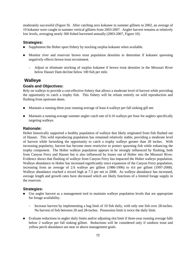moderately successful (Figure 9). After catching zero kokanee in summer gillnets in 2002, an average of 19 kokanee were caught in summer vertical gillnets from 2003-2007. Angler harvest remains at relatively low levels, averaging nearly 300 fished harvested annually (2003-2007, Figure 10).

#### **Strategies:**

- Supplement the Holter sport fishery by stocking surplus kokanee when available.
- Monitor river and reservoir brown trout population densities to determine if kokanee spawning negatively effects brown trout recruitment.
	- Adjust or eliminate stocking of surplus kokanee if brown trout densities in the Missouri River below Hauser Dam decline below 100 fish per mile.

## **Walleye**

### **Goals and Objectives:**

Rely on walleye to provide a cost-effective fishery that allows a moderate level of harvest while providing the opportunity to catch a trophy fish. This fishery will be reliant entirely on wild reproduction and flushing from upstream dams.

- Maintain a running three-year running average of least 4 walleye per fall sinking gill net.
- Maintain a running average summer angler catch rate of 0.10 walleye per hour for anglers specifically targeting walleye.

#### **Rationale:**

Holter historically supported a healthy population of walleye that likely originated from fish flushed out of Hauser. This wild reproducing population has remained relatively stable, providing a moderate level of harvest while furnishing the opportunity to catch a trophy walleye greater than 28 inches. With increasing popularity, harvest has become more restrictive to protect spawning fish while enhancing the trophy component. The Holter walleye population appears to be strongly influenced by flushing, both from Canyon Ferry and Hauser but is also influenced by losses out of Holter into the Missouri River. Evidence shows that flushing of walleye from Canyon Ferry has impacted the Holter walleye population. Walleye abundance in Holter has increased significantly since expansion of the Canyon Ferry population, increasing from an average of 2.6 walleye per gillnet (1986-1996) to 4.6 per gillnet (1997-2008). Walleye abundance reached a record high at 7.3 per net in 2008. As walleye abundance has increased, average length and growth rates have decreased which are likely functions of a limited forage supply in the reservoir.

#### **Strategies:**

- Use angler harvest as a management tool to maintain walleye population levels that are appropriate for forage availability.
	- Increase harvest by implementing a bag limit of 10 fish daily, with only one fish over 28-inches. No harvest of fish between 20 and 28-inches. Possession limit is twice the daily limit.
- Evaluate reductions in angler daily limits and/or adjusting slot limit if three-year running average falls below 2 walleye per fall sinking gillnet. Reductions will be considered only if rainbow trout and yellow perch abundance are near or above management goals.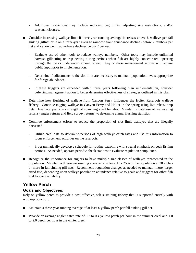- Additional restrictions may include reducing bag limits, adjusting size restrictions, and/or seasonal closures.
- Consider increasing walleye limit if three-year running average increases above 6 walleye per fall sinking gillnet or if on a three-year average rainbow trout abundance declines below 2 rainbow per net and yellow perch abundance declines below 2 per net.
	- Evaluate use of other tools to reduce walleye numbers. Other tools may include unlimited harvest, gillnetting or trap netting during periods when fish are highly concentrated, spearing through the ice or underwater, among others. Any of these management actions will require public input prior to implementation.
	- Determine if adjustments to the slot limit are necessary to maintain population levels appropriate for forage abundance.
	- If these triggers are exceeded within three years following plan implementation, consider deferring management action to better determine effectiveness of strategies outlined in this plan.
- **Determine how flushing of walleye from Canyon Ferry influences the Holter Reservoir walleye** fishery. Continue tagging walleye in Canyon Ferry and Holter in the spring using live release trap nets. Evaluate year class strength of spawning aged females. Maintain a database of walleye tag returns (angler returns and field survey returns) to determine annual flushing statistics.
- Continue enforcement efforts to reduce the proportion of slot limit walleyes that are illegally harvested.
	- Utilize creel data to determine periods of high walleye catch rates and use this information to focus enforcement activities on the reservoir.
	- Programmatically develop a schedule for routine patrolling with special emphasis on peak fishing periods. As needed, operate periodic check stations to evaluate regulation compliance.
- Recognize the importance for anglers to have multiple size classes of walleyes represented in the population. Maintain a three-year running average of at least 10 - 25% of the population at 20 inches or more in fall sinking gill nets. Recommend regulation changes as needed to maintain more, larger sized fish, depending upon walleye population abundance relative to goals and triggers for other fish and forage availability.

## **Yellow Perch**

#### **Goals and Objectives:**

Rely on yellow perch to provide a cost effective, self-sustaining fishery that is supported entirely with wild reproduction.

- Maintain a three-year running average of at least 6 yellow perch per fall sinking gill net.
- **Provide an average angler catch rate of 0.2 to 0.4 yellow perch per hour in the summer creel and 1.0** to 2.0 perch per hour in the winter creel.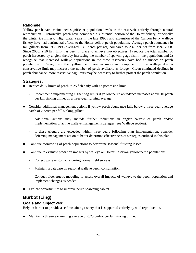### **Rationale:**

Yellow perch have maintained significant population levels in the reservoir entirely through natural reproduction. Historically, perch have comprised a substantial portion of the Holter fishery; principally the winter ice fishery. High water years in the late 1990s and expansion of the Canyon Ferry walleye fishery have had detrimental effects to the Holter yellow perch population. Average perch abundance in fall gillnets from 1986-1996 averaged 13.3 perch per net, compared to 2.45 per net from 1997-2008. Since 2000, a 50 fish limit has been in place to achieve two objectives: 1) reduce the total number of perch harvested by anglers thereby increasing the number of spawning age fish in the population, and 2) recognize that increased walleye populations in the three reservoirs have had an impact on perch populations. Recognizing that yellow perch are an important component of the walleye diet, a conservative limit may increase the number of perch available as forage. Given continued declines in perch abundance, more restrictive bag limits may be necessary to further protect the perch population.

### **Strategies:**

- Reduce daily limits of perch to 25 fish daily with no possession limit.
	- Recommend implementing higher bag limits if yellow perch abundance increases above 10 perch per fall sinking gillnet on a three-year running average.
- **EXECONS** Consider additional management actions if yellow perch abundance falls below a three-year average catch of 2 perch per fall sinking gillnet.
	- Additional actions may include further reductions in angler harvest of perch and/or implementation of active walleye management strategies (see Walleye section).
	- If these triggers are exceeded within three years following plan implementation, consider deferring management action to better determine effectiveness of strategies outlined in this plan.
- Continue monitoring of perch populations to determine seasonal flushing losses.
- Continue to evaluate predation impacts by walleye on Holter Reservoir yellow perch populations.
	- Collect walleye stomachs during normal field surveys.
	- Maintain a database on seasonal walleye perch consumption.
	- Conduct bioenergetic modeling to assess overall impacts of walleye to the perch population and implement changes as needed.
- Explore opportunities to improve perch spawning habitat.

# **Burbot (Ling)**

#### **Goals and Objectives:**

Rely on burbot to provide a self-sustaining fishery that is supported entirely by wild reproduction.

Maintain a three-year running average of 0.25 burbot per fall sinking gillnet.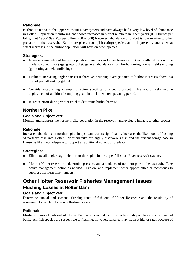## **Rationale:**

Burbot are native to the upper Missouri River system and have always had a very low level of abundance in Holter. Population monitoring has shown increases in burbot numbers in recent years (0.01 burbot per fall gillnet 1986-1999, 0.3 per gillnet 2000-2008) however; abundance of burbot is low relative to other predators in the reservoir. Burbot are piscivorous (fish-eating) species, and it is presently unclear what effect increases in the burbot population will have on other species.

#### **Strategies:**

- Increase knowledge of burbot population dynamics in Holter Reservoir. Specifically, efforts will be made to collect data (age, growth, diet, general abundance) from burbot during normal field sampling (gillnetting and electrofishing).
- Evaluate increasing angler harvest if three-year running average catch of burbot increases above 2.0 burbot per fall sinking gillnet.
- Consider establishing a sampling regime specifically targeting burbot. This would likely involve deployment of additional sampling gears in the late winter spawning period.
- Increase effort during winter creel to determine burbot harvest.

# **Northern Pike**

### **Goals and Objectives:**

Monitor and suppress the northern pike population in the reservoir, and evaluate impacts to other species.

#### **Rationale:**

Increased abundance of northern pike in upstream waters significantly increases the likelihood of flushing of northern pike into Holter. Northern pike are highly piscivorous fish and the current forage base in Hauser is likely not adequate to support an additional voracious predator.

## **Strategies:**

- Eliminate all angler bag limits for northern pike in the upper Missouri River reservoir system.
- Monitor Holter reservoir to determine presence and abundance of northern pike in the reservoir. Take active management action as needed. Explore and implement other opportunities or techniques to suppress northern pike numbers.

# **Other Holter Reservoir Fisheries Management Issues Flushing Losses at Holter Dam**

# **Goals and Objectives:**

Determine annual and seasonal flushing rates of fish out of Holter Reservoir and the feasibility of screening Holter Dam to reduce flushing losses.

#### **Rationale:**

Flushing losses of fish out of Holter Dam is a principal factor affecting fish populations on an annual basis. All fish species are susceptible to flushing, however, kokanee may flush at higher rates because of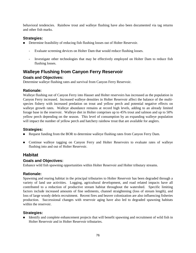behavioral tendencies. Rainbow trout and walleye flushing have also been documented via tag returns and other fish marks.

#### **Strategies:**

- Determine feasibility of reducing fish flushing losses out of Holter Reservoir.
	- Evaluate screening devices on Holter Dam that would reduce flushing losses.
	- Investigate other technologies that may be effectively employed on Holter Dam to reduce fish flushing losses.

## **Walleye Flushing from Canyon Ferry Reservoir**

#### **Goals and Objectives:**

Determine walleye flushing rates and survival from Canyon Ferry Reservoir.

#### **Rationale:**

Walleye flushing out of Canyon Ferry into Hauser and Holter reservoirs has increased as the population in Canyon Ferry increased. Increased walleye densities in Holter Reservoir affect the balance of the multispecies fishery with increased predation on trout and yellow perch and potential negative effects on walleye growth rates. Walleye abundance remains at record high levels, adding to an already limited forage base in the reservoir. Walleye diet in Holter comprises up to 45% trout and salmon and up to 50% yellow perch depending on the season. This level of consumption by an expanding walleye population will impact the number of yellow perch and hatchery rainbow trout that are available for anglers.

#### **Strategies:**

- Request funding from the BOR to determine walleye flushing rates from Canyon Ferry Dam.
- Continue walleye tagging on Canyon Ferry and Holter Reservoirs to evaluate rates of walleye flushing into and out of Holter Reservoir.

## **Habitat**

#### **Goals and Objectives:**

Enhance wild fish spawning opportunities within Holter Reservoir and Holter tributary streams.

#### **Rationale:**

Spawning and rearing habitat in the principal tributaries to Holter Reservoir has been degraded through a variety of land use activities. Logging, agricultural development, and road related impacts have all contributed to a reduction of productive stream habitat throughout the watershed. Specific limiting factors include increased amounts of fine sediments, channel straightening (loss of stream length), and loss of large woody debris recruitment. Recent fires and beaver colonization are also influencing fisheries production. Successional changes with reservoir aging have also led to degraded spawning habitats within the reservoir.

#### **Strategies:**

 Identify and complete enhancement projects that will benefit spawning and recruitment of wild fish in Holter Reservoir and in Holter Reservoir tributaries.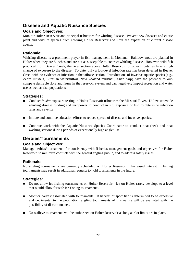# **Disease and Aquatic Nuisance Species**

## **Goals and Objectives:**

Monitor Holter Reservoir and principal tributaries for whirling disease. Prevent new diseases and exotic plant and wildlife species from entering Holter Reservoir and limit the expansion of current disease agents.

#### **Rationale:**

Whirling disease is a prominent player in fish management in Montana. Rainbow trout are planted in Holter when they are 8 inches and are not as susceptible to contract whirling disease. However, wild fish produced from Beaver Creek, the river section above Holter Reservoir, or other tributaries have a high chance of exposure to the disease. To date, only a low-level infection rate has been detected in Beaver Creek with no evidence of infection in the tailrace section. Introductions of invasive aquatic species (e.g., Zebra mussels, Eurasian watermilfoil, New Zealand mudsnail, asian carp) have the potential to outcompete desirable flora and fauna in the reservoir system and can negatively impact recreation and water use as well as fish populations.

#### **Strategies:**

- Conduct *in situ* exposure testing in Holter Reservoir tributaries the Missouri River. Utilize statewide whirling disease funding and manpower to conduct in situ exposure of fish to determine infection rates and severity.
- Initiate and continue education efforts to reduce spread of disease and invasive species.
- Continue work with the Aquatic Nuisance Species Coordinator to conduct boat-check and boat washing stations during periods of exceptionally high angler use.

## **Derbies/Tournaments**

#### **Goals and Objectives:**

Manage derbies/tournaments for consistency with fisheries management goals and objectives for Holter Reservoir, to minimize conflicts with the general angling public, and to address safety issues.

#### **Rationale:**

No angling tournaments are currently scheduled on Holter Reservoir. Increased interest in fishing tournaments may result in additional requests to hold tournaments in the future.

#### **Strategies:**

- Do not allow ice-fishing tournaments on Holter Reservoir. Ice on Holter rarely develops to a level that would allow for safe ice-fishing tournaments.
- Monitor harvest associated with tournaments. If harvest of sport fish is determined to be excessive and detrimental to the population, angling tournaments of this nature will be evaluated with the possibility of discontinuance.
- No walleye tournaments will be authorized on Holter Reservoir as long as slot limits are in place.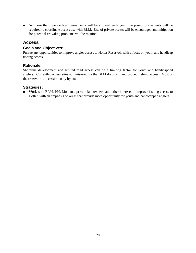No more than two derbies/tournaments will be allowed each year. Proposed tournaments will be required to coordinate access use with BLM. Use of private access will be encouraged and mitigation for potential crowding problems will be required.

## **Access**

#### **Goals and Objectives:**

Pursue any opportunities to improve angler access to Holter Reservoir with a focus on youth and handicap fishing access.

## **Rationale:**

Shoreline development and limited road access can be a limiting factor for youth and handicapped anglers. Currently, access sites administered by the BLM do offer handicapped fishing access. Most of the reservoir is accessible only by boat.

#### **Strategies:**

 Work with BLM, PPL Montana, private landowners, and other interests to improve fishing access to Holter, with an emphasis on areas that provide more opportunity for youth and handicapped anglers.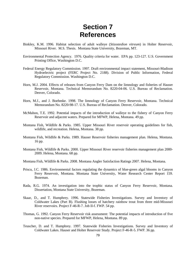# **Section 7 References**

- Binkley, K.M. 1996. Habitat selection of adult walleye (*Stizostedion vitreum*) in Holter Reservoir, Missouri River. M.S. Thesis. Montana State University, Bozeman, MT.
- Environmental Protection Agency. 1976. Quality criteria for water. EPA pp. 123-127. U.S. Government Printing Office, Washington D.C.
- Federal Energy Regulatory Commission. 1997. Draft environmental impact statement, Missouri-Madison Hydroelectric project (FERC Project No. 2188). Division of Public Information, Federal Regulatory Commission. Washington D.C.
- Horn, M.J. 2004. Effects of releases from Canyon Ferry Dam on the limnology and fisheries of Hauser Reservoir, Montana. Technical Memorandum No. 8220-04-06. U.S. Bureau of Reclamation. Denver, Colorado.
- Horn, M.J., and J. Boehmke. 1998. The limnology of Canyon Ferry Reservoir, Montana. Technical Memorandum No. 8220-98-17. U.S. Bureau of Reclamation. Denver, Colorado.
- McMahon, T.E. 1992. Potential impacts of the introduction of walleye to the fishery of Canyon Ferry Reservoir and adjacent waters. Prepared for MFWP, Helena, Montana. 49 pp.
- Montana Fish, Wildlife & Parks. 1985. Upper Missouri River reservoir operating guidelines for fish, wildlife, and recreation. Helena, Montana. 38 pp.
- Montana Fish, Wildlife & Parks. 1989. Hauser Reservoir fisheries management plan. Helena, Montana. 16 pp.
- Montana Fish, Wildlife & Parks. 2000. Upper Missouri River reservoir fisheries management plan 2000- 2009. Helena, Montana. 68 pp.
- Montana Fish, Wildlife & Parks. 2008. Montana Angler Satisfaction Ratings 2007. Helena, Montana.
- Priscu, J.C. 1986. Environmental factors regulating the dynamics of blue-green algal blooms in Canyon Ferry Reservoir, Montana. Montana State University, Water Research Center Report 159. Bozeman.
- Rada, R.G. 1974. An investigation into the trophic status of Canyon Ferry Reservoir, Montana. Dissertation, Montana State University, Bozeman.
- Skaar, D., and T. Humphrey. 1996. Statewide Fisheries Investigations. Survey and Inventory of Coldwater Lakes (Part B). Flushing losses of hatchery rainbow trout from three mid-Missouri River reservoirs. Project F-46-R-7. Job II-f. FWP. 54 pp.
- Thomas, G. 1992. Canyon Ferry Reservoir risk assessment: The potential impacts of introduction of five non-native species. Prepared for MFWP, Helena, Montana. 89 pp.
- Teuscher, D. and T. Humphrey. 1997. Statewide Fisheries Investigations. Survey and Inventory of Coldwater Lakes. Hauser and Holter Reservoir Study. Project F-46-R-5. FWP. 36 pp.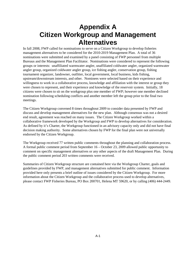# **Appendix A Citizen Workgroup and Management Alternatives**

In fall 2008, FWP called for nominations to serve on a Citizen Workgroup to develop fisheries management alternatives to be considered for the 2010-2019 Management Plan. A total of 36 nominations were submitted and examined by a panel consisting of FWP personnel from multiple Bureaus and the Management Plan Facilitator. Nominations were considered to represent the following groups or interests: unaffiliated warmwater angler, unaffiliated coldwater angler, organized warmwater angler group, organized coldwater angler group, ice fishing angler, conservation group, fishing tournament organizer, landowner, outfitter, local government, local business, kids fishing, upstream/downstream interests, and other. Nominees were selected based on their experience and willingness to work in a collaborative process, knowledge and affiliation with the interest or group they were chosen to represent, and their experience and knowledge of the reservoir system. Initially, 18 citizens were chosen to sit on the workgroup plus one member of FWP; however one member declined nomination following scheduling conflicts and another member left the group prior to the final two meetings.

The Citizen Workgroup convened 8 times throughout 2009 to consider data presented by FWP and discuss and develop management alternatives for the new plan. Although consensus was not a desired end result, agreement was reached on many issues. The Citizen Workgroup worked within a collaborative framework developed by the Workgroup and FWP to develop alternatives for consideration. As defined by it's Charter, the Workgroup functioned in an advisory capacity only and did not have final decision making authority. Some alternatives chosen by FWP for the final plan were not universally endorsed by the Citizen Workgroup.

The Workgroup received 77 written public comments throughout the planning and collaboration process. A formal public comment period from September 16 – October 23, 2009 allowed public opportunity to comment on specific management alternatives or any other aspects of the draft Management Plan. During the public comment period 203 written comments were received.

Summaries of Citizen Workgroup structure are contained here via the Workgroup Charter, goals and guidelines provided by FWP, and management alternatives submitted for public comment. Information provided here only presents a brief outline of issues considered by the Citizen Workgroup. For more information about the Citizen Workgroup and the collaborative process used to develop alternatives, please contact FWP Fisheries Bureau, PO Box 200701, Helena MT 59620, or by calling (406) 444-2449.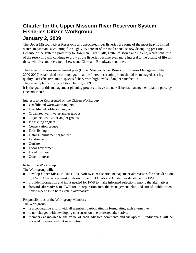# **Charter for the Upper Missouri River Reservoir System Fisheries Citizen Workgroup January 2, 2009**

The Upper Missouri River Reservoirs and associated river fisheries are some of the most heavily fished waters in Montana accounting for roughly 15 percent of the total annual statewide angling pressure. Because of the system's proximity to Bozeman, Great Falls, Butte, Missoula and Helena, recreational use of the reservoirs will continue to grow as the fisheries become even more integral to the quality of life for those who live and recreate in Lewis and Clark and Broadwater counties.

The current fisheries management plan (Upper Missouri River Reservoir Fisheries Management Plan 2000-2009) established a common goal that the "three-reservoir system should be managed as a high quality, cost effective, multi species fishery with high levels of angler satisfaction."

The current plan will expire December 31, 2009.

It is the goal of this management planning process to have the new fisheries management plan in place by December 2009.

Interests to be Represented on the Citizen Workgroup

- Unaffiliated warmwater anglers
- Unaffiliated coldwater anglers
- **Organized warmwater-angler groups**
- Organized coldwater-angler groups
- $\blacksquare$  Ice-fishing anglers
- Conservation groups
- $\blacksquare$  Kids' fishing
- Fishing-tournament organizer
- **Landowner**
- **n** Outfitter
- **Local government**
- $\Box$  Local business
- **n** Other interests

#### Role of the Workgroup

The Workgroup will:

- develop Upper Missouri River Reservoir system fisheries management alternatives for consideration by FWP. Alternatives must conform to the joint Goals and Guidelines developed by FWP.
- **n** provide information and input needed for FWP to make informed selections among the alternatives.
- **forward alternatives to FWP for incorporation into the management plan and attend public open**house meetings to help explain alternatives.

#### Responsibilities of the Workgroup Members

The Workgroup:

- $\blacksquare$  is a cooperative effort, with all members participating in formulating each alternative.
- is not charged with developing consensus on one preferred alternative.
- members acknowledge the value of each advisors comments and viewpoint— individuals will be allowed to speak without interruption.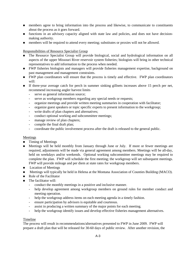- members agree to bring information into the process and likewise, to communicate to constituents about the process as it goes forward.
- functions in an advisory capacity aligned with state law and policies, and does not have decisionmaking authority.
- members will be required to attend every meeting; substitutes or proxies will not be allowed.

Responsibilities of Resource Specialist Group

- The Resource Specialist Group will provide biological, social and hydrological information on all aspects of the upper Missouri River reservoir system fisheries; biologists will bring in other technical representatives to add information to the process when needed.
- **FWP** fisheries biologists and managers will provide fisheries management expertise, background on past management and management constraints.
- FWP plan coordinators will ensure that the process is timely and effective. FWP plan coordinators will:
- If three-year average catch for perch in summer sinking gillnets increases above 15 perch per net, recommend increasing angler harvest limits
	- serve as general information source;
	- serve as workgroup members regarding any special needs or requests;
	- organize meetings and provide written meeting summaries in cooperation with facilitator;
	- organize guest speakers or topic specific experts to present information to the workgroup;
	- write drafts of plan chapters and alternatives;
	- conduct optional working and subcommittee meetings;
	- manage review of plan chapters;
	- compile the final draft plan;
	- coordinate the public involvement process after the draft is released to the general public.

#### Meetings

- $\blacksquare$  Timing of Meetings
- Meetings will be held monthly from January through June or July. If more or fewer meetings are required, adjustments will be made via general agreement among members. Meetings will be all-day, held on weekdays and/or weekends. Optional working subcommittee meetings may be required to complete the plan. FWP will schedule the first meeting; the workgroup will set subsequent meetings. FWP will provide mileage and per diem at state rates for workgroup members.
- **Location of Meetings**
- **Meetings will typically be held in Helena at the Montana Association of Counties Building (MACO).**
- $\blacksquare$  Role of the Facilitator
- The facilitator will:
	- conduct the monthly meetings in a positive and inclusive manner.
	- help develop agreement among workgroup members on ground rules for member conduct and meeting operation.
	- help the workgroup address items on each meeting agenda in a timely fashion.
	- ensure participation by advisors is equitable and courteous.
	- assist in producing a written summary of the major points for each meeting.
	- help the workgroup identify issues and develop effective fisheries management alternatives.

#### Timeline

The process will result in recommendations/alternatives presented to FWP in June 2009. FWP will prepare a draft plan that will be released for 30-60 days of public review. After another revision, the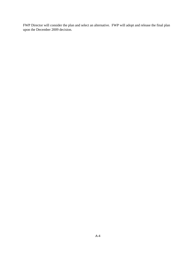FWP Director will consider the plan and select an alternative. FWP will adopt and release the final plan upon the December 2009 decision.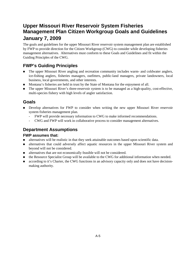# **Upper Missouri River Reservoir System Fisheries Management Plan Citizen Workgroup Goals and Guidelines January 7, 2009**

The goals and guidelines for the upper Missouri River reservoir system management plan are established by FWP to provide direction for the Citizen Workgroup (CWG) to consider while developing fisheries management alternatives. Alternatives must conform to these Goals and Guidelines and fit within the Guiding Principles of the CWG.

# **FWP's Guiding Principles**

- The upper Missouri River angling and recreation community includes warm- and coldwater anglers, ice-fishing anglers, fisheries managers, outfitters, public-land managers, private landowners, local business, local governments, and other interests.
- **Montana's fisheries are held in trust by the State of Montana for the enjoyment of all.**
- The upper Missouri River's three-reservoir system is to be managed as a high-quality, cost-effective, multi-species fishery with high levels of angler satisfaction.

## **Goals**

- **Develop alternatives for FWP to consider when writing the new upper Missouri River reservoir** system fisheries management plan.
	- FWP will provide necessary information to CWG to make informed recommendations.
	- CWG and FWP will work in collaborative process to consider management alternatives.

## **Department Assumptions**

#### **FWP assumes that:**

- alternatives will be realistic in that they seek attainable outcomes based upon scientific data.
- **Example 1** alternatives that could adversely affect aquatic resources in the upper Missouri River system and beyond will not be considered.
- alternatives that are not economically feasible will not be considered.
- **the Resource Specialist Group will be available to the CWG for additional information when needed.**
- according to it's Charter, the CWG functions in an advisory capacity only and does not have decisionmaking authority.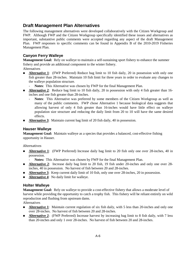# **Draft Management Plan Alternatives**

The following management alternatives were developed collaboratively with the Citizen Workgroup and FWP. Although FWP and the Citizen Workgroup specifically identified these issues and alternatives as important, substantive public comments were accepted regarding any aspect of the draft Management Plan. FWP responses to specific comments can be found in Appendix B of the 2010-2019 Fisheries Management Plan.

## **Canyon Ferry Walleye**

**Management Goal:** Rely on walleye to maintain a self-sustaining sport fishery to enhance the summer fishery and provide an additional component to the winter fishery.

- Alternatives
- **Alternative 1:** (FWP Preferred) Reduce bag limit to 10 fish daily, 20 in possession with only one fish greater than 28-inches. Maintain 10 fish limit for three years in order to evaluate any changes to the walleye population structure.
	- Notes: This Alternative was chosen by FWP for the final Management Plan.
- **Alternative 2:** Reduce bag limit to 10 fish daily, 20 in possession with only 4 fish greater than 16inches and one fish greater than 28-inches.
	- **Notes**: This Alternative was preferred by some members of the Citizen Workgroup as well as many of the public comments. FWP chose Alternative 1 because biological data suggests that allowing harvest of only 4 fish greater than 16-inches would have little effect on walleye population size structure and reducing the daily limit from 20 to 10 will have the same desired effects.
- **Alternative 3:** Maintain current bag limit of 20 fish daily, 40 in possession.

## **Hauser Walleye**

**Management Goal:** Maintain walleye as a species that provides a balanced, cost-effective fishing opportunity in Hauser.

#### Alternatives

- **Alternative 1:** (FWP Preferred) Increase daily bag limit to 20 fish only one over 28-inches, 40 in possession.
	- Notes: This Alternative was chosen by FWP for the final Management Plan.
- **Alternative 2:** Increase daily bag limit to 20 fish, 19 fish under 20-inches and only one over 28inches, 40 in possession. No harvest of fish between 20 and 28-inches.
- Ξ Alternative 3: Keep current daily limit of 10 fish, only one over 28-inches, 20 in possession.
- Ξ **Alternative 4**: No daily limit for walleye.

#### **Holter Walleye**

**Management Goal:** Rely on walleye to provide a cost-effective fishery that allows a moderate level of harvest while providing the opportunity to catch a trophy fish. This fishery will be reliant entirely on wild reproduction and flushing from upstream dams.

**Alternatives** 

- **Alternative 1:** Maintain current regulation of six fish daily, with 5 less than 20-inches and only one over 28-inches. No harvest of fish between 20 and 28-inches.
- Ξ **Alternative 2**: (FWP Preferred) Increase harvest by increasing bag limit to 8 fish daily, with 7 less than 20-inches and only 1 over 28-inches. No harvest of fish between 20 and 28-inches.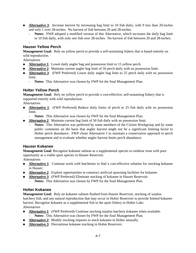- **Alternative 3:** Increase harvest by increasing bag limit to 10 fish daily, with 9 less than 20-inches and only 1 over 28-inches. No harvest of fish between 20 and 28-inches.
	- **Notes:** FWP adopted a modified version of this Alternative, which increases the daily bag limit to 10 fish daily, with only one fish over 28-inches. No harvest of fish between 20 and 28-inches.

#### - **Hauser Yellow Perch**

**Management Goal:** Rely on yellow perch to provide a self-sustaining fishery that is based entirely on wild reproduction.

Alternatives

- **Alternative 1:** Lower daily angler bag and possession limit to 15 yellow perch.
- **Alternative 2:** Maintain current angler bag limit of 50 perch daily with no possession limit.
- **Alternative 3:** (FWP Preferred) Lower daily angler bag limit to 25 perch daily with no possession limit.
	- **Notes:** This Alternative was chosen by FWP for the final Management Plan.

#### **Holter Yellow Perch**

**Management Goal:** Rely on yellow perch to provide a cost-effective, self-sustaining fishery that is supported entirely with wild reproduction.

Alternatives

- **Alternative 1:** (FWP Preferred) Reduce daily limits of perch to 25 fish daily with no possession limit.
	- Notes: This Alternative was chosen by FWP for the final Management Plan.
- **Alternative 2:** Maintain current bag limit of 50 fish daily with no possession limit.
	- Notes: This Alternative was preferred by some members of the Citizen Workgroup and by some public comments on the basis that angler harvest might not be a significant limiting factor to Holter perch abundance. FWP chose Alternative 1 to maintain a conservative approach to perch management and to evaluate whether angler harvest limits perch abundance.

#### **Hauser Kokanee**

**Management Goal:** Recognize kokanee salmon as a supplemental species to rainbow trout with poor opportunity as a viable sport species in Hauser Reservoir.

Alternatives

- **Alternative 1:** Continue work with hatcheries to find a cost-effective solution for stocking kokanee in Hauser.
- **Alternative 2:** Explore opportunities to construct artificial spawning facilities for kokanee.
- **Alternative 3:** (FWP Preferred) Eliminate stocking of kokanee in Hauser Reservoir.
	- Notes: This Alternative was chosen by FWP for the final Management Plan.

#### **Holter Kokanee**

**Management Goal:** Rely on kokanee salmon flushed from Hauser Reservoir, stocking of surplus hatchery fish, and any natural reproduction that may occur in Holter Reservoir to provide limited kokanee harvest. Recognize kokanee as a supplemental fish to the sport fishery in Holter Lake. Alternatives

- **Alternative 1:** (FWP Preferred) Continue stocking surplus hatchery kokanee when available. Notes: This Alternative was chosen by FWP for the final Management Plan.
- **Alternative 2:** Modify stocking requests to stock kokanee in Holter annually.
- **Alternative 3:** Discontinue kokanee stocking in Holter Reservoir.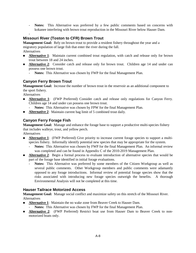- **Notes:** This Alternative was preferred by a few public comments based on concerns with kokanee interfering with brown trout reproduction in the Missouri River below Hauser Dam.

#### - **Missouri River (Toston to CFR) Brown Trout**

**Management Goal:** Rely on brown trout to provide a resident fishery throughout the year and a migratory population of large fish that enter the river during the fall. Alternatives

- **Alternative 1:** Maintain current combined trout regulation, with catch and release only for brown trout between 18 and 24 inches.
- **Alternative 2:** Consider catch and release only for brown trout. Children age 14 and under can possess one brown trout.
	- **Notes:** This Alternative was chosen by FWP for the final Management Plan.

## **Canyon Ferry Brown Trout**

**Management Goal:** Increase the number of brown trout in the reservoir as an additional component to the sport fishery.

Alternatives

- **Alternative 1:** (FWP Preferred) Consider catch and release only regulations for Canyon Ferry. Children age 14 and under can possess one brown trout.
	- Notes: This Alternative was chosen by FPW for the final Management Plan.
- **Alternative 2:** Maintain current bag limit of 5 combined trout daily.

## **Canyon Ferry Forage Fish**

**Management Goal:** Manage and enhance the forage base to support a productive multi-species fishery that includes walleye, trout, and yellow perch.

**Alternatives** 

- **Alternative 1:** (FWP Preferred) Give priority to increase current forage species to support a multispecies fishery. Informally identify potential new species that may be appropriate for the system.
	- Notes: This Alternative was chosen by FWP for the final Management Plan. An informal review was completed and can be found in Appendix C of the 2010-2019 Management Plan.
- **Alternative 2:** Begin a formal process to evaluate introduction of alternative species that would be part of the forage base identified in initial forage evaluations.
	- **Notes:** This Alternative was preferred by some members of the Citizen Workgroup as well as several public comments. Other Workgroup members and public comments were adamantly opposed to any forage introductions. Informal review of potential forage species show that the risks associated with introducing new forage species outweigh the benefits. A thorough Environmental Analysis will not be completed at this time.

## **Hauser Tailrace Motorized Access**

**Management Goal:** Manage social conflict and maximize safety on this stretch of the Missouri River. Alternatives

- **Alternative 1:** Maintain the no wake zone from Beaver Creek to Hauser Dam.
	- Notes: This Alternative was chosen by FWP for the final Management Plan.
- **Alternative 2:** (FWP Preferred) Restrict boat use from Hauser Dam to Beaver Creek to nonmotorized boats only.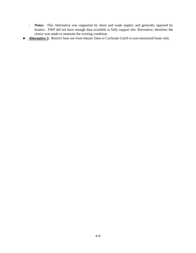- **Notes:** This Alternative was supported by shore and wade anglers and generally opposed by boaters. FWP did not have enough data available to fully support this Alternative; therefore the choice was made to maintain the existing condition.
- **Alternative 3:** Restrict boat use from Hauser Dam to Cochrane Gulch to non-motorized boats only.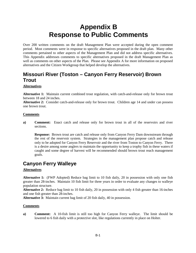# **Appendix B Response to Public Comments**

Over 200 written comments on the draft Management Plan were accepted during the open comment period. Most comments were in response to specific alternatives proposed in the draft plan. Many other comments pertained to other aspects of the Management Plan and did not address specific alternatives. This Appendix addresses comments to specific alternatives proposed in the draft Management Plan as well as comments on other aspects of the Plan. Please see Appendix A for more information on proposed alternatives and the Citizen Workgroup that helped develop the alternatives.

# **Missouri River (Toston – Canyon Ferry Reservoir) Brown Trout**

#### **Alternatives**

**Alternative 1:** Maintain current combined trout regulation, with catch-and-release only for brown trout between 18 and 24 inches.

**Alternative 2:** Consider catch-and-release only for brown trout. Children age 14 and under can possess one brown trout.

#### **Comments**

**a) Comment:** Enact catch and release only for brown trout in all of the reservoirs and river sections.

**Response:** Brown trout are catch and release only from Canyon Ferry Dam downstream through the rest of the reservoir system. Strategies in the management plan propose catch and release only to be adopted for Canyon Ferry Reservoir and the river from Toston to Canyon Ferry. There is a desire among some anglers to maintain the opportunity to keep a trophy fish in these waters if caught and some degree of harvest will be recommended should brown trout reach management goals.

# **Canyon Ferry Walleye**

#### **Alternatives**

**Alternative 1:** (FWP Adopted) Reduce bag limit to 10 fish daily, 20 in possession with only one fish greater than 28-inches. Maintain 10 fish limit for three years in order to evaluate any changes to walleye population structure.

**Alternative 2:** Reduce bag limit to 10 fish daily, 20 in possession with only 4 fish greater than 16-inches and one fish greater than 28-inches.

**Alternative 3:** Maintain current bag limit of 20 fish daily, 40 in possession.

#### **Comments**

**a) Comment:** A 10-fish limit is still too high for Canyon Ferry walleye. The limit should be lowered to 6 fish daily with a protective slot, like regulations currently in place on Holter.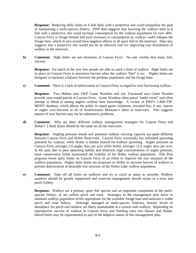**Response:** Reducing daily limits to 6 fish daily with a protective slot could jeopardize the goal of maintaining a multi-species fishery. FWP data suggests that lowering the walleye limit to 6 fish with a protective slot could increase consumption by the walleye population by over 40%. Canyon Ferry is forage limited and such increases in consumption by walleye could collapse the forage base, which in turn would have negative effects to all sport fish in the reservoir. Data also suggests that a protective slot would not be an effective tool for improving size distribution of walleye in the reservoir.

**b) Comment:** High limits are not necessary at Canyon Ferry. No one catches that many fish, anyway.

**Response:** For much of the year few people are able to catch a limit of walleye. High limits are in place on Canyon Ferry to maximize harvest when the walleye "bite" is on. Higher limits are designed to maintain a balance between the predator population and the forage base.

**c) Comment:** There is a lack of enforcement at Canyon Ferry in regard to over-harvesting walleye.

**Response:** Two Helena area FWP Game Wardens and one Townsend area Game Warden provide year-round patrols at Canyon Ferry. Game Wardens often patrol "under cover" and often attempt to blend in among anglers without their knowledge. A review of FWP's 1-800-TIP-MONT database, which allows the public to report game violations, revealed few, if any, reports of angler over-harvests at all of Southwestern Montana's lakes or reservoirs. This suggests reports of over harvest may not be substantive problems.

**d) Comment:** Why are there different walleye management strategies for Canyon Ferry and Holter? I think limits should be the same on all the reservoirs.

**Response:** Angling pressure trends and potential walleye carrying capacity are quite different between Canyon Ferry and Holter Reservoirs. Canyon Ferry essentially has unlimited spawning potential for walleye, while Holter is habitat limited for walleye spawning. Angler pressure on Canyon Ferry averages 2.6 angler days per acre while Holter averages 12.6 angler days per acre. In the past, due to poor spawning habitat and relatively high concentrations of angler pressure, more conservative limits maintained the viability of the Holter walleye population. This Plan proposes lower daily limits on Canyon Ferry in an effort to improve the size structure of the walleye population. Higher daily limits are proposed on Holter to increase harvest of walleye to prevent deterioration of desirable size structure of the Holter Lake walleye population.

**e) Comment:** Take off all limits on walleyes and try to catch as many as possible. Walleye numbers should be greatly suppressed and reservoir management should return to a trout and perch fishery.

**Response:** Walleye are a primary sport fish species and an important component of the multispecies fishery, as are yellow perch and trout. Strategies in the management plan strive to maintain walleye population levels appropriate for the available forage base and maintain a viable perch and trout fishery. Although managed as multi-species fisheries, historic levels of abundance for perch and rainbow are likely unattainable in a system with walleye. Depending on reproductive success of walleye in Canyon Ferry and flushing rates into Hauser and Holter, liberal limits may be implemented as part of the adaptive nature of this management plan.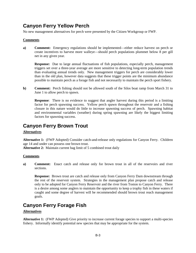## **Canyon Ferry Yellow Perch**

No new management alternatives for perch were presented by the Citizen Workgroup or FWP.

### **Comments**

**a) Comment:** Emergency regulations should be implemented—either reduce harvest on perch or create incentives to harvest more walleye—should perch populations plummet below 8 per gill net in any given year.

**Response:** Due to large annual fluctuations of fish populations, especially perch, management triggers set over a three-year average are more sensitive to detecting long-term population trends than evaluating annual trends only. New management triggers for perch are considerably lower than in the old plan, however data suggests that these trigger points are the minimum abundance possible to maintain perch as a forage fish and not necessarily to maintain the perch sport fishery.

**b) Comment:** Perch fishing should not be allowed south of the Silos boat ramp from March 31 to June 1 to allow perch to spawn.

**Response:** There is no evidence to suggest that angler harvest during this period is a limiting factor for perch spawning success. Yellow perch spawn throughout the reservoir and a fishing closure in this nature would do little to increase spawning success of perch. Spawning habitat and environmental variables (weather) during spring spawning are likely the biggest limiting factors for spawning success.

## **Canyon Ferry Brown Trout**

## **Alternatives**

**Alternative 1:** (FWP Adopted) Consider catch-and-release only regulations for Canyon Ferry. Children age 14 and under can possess one brown trout.

**Alternative 2:** Maintain current bag limit of 5 combined trout daily

### **Comments**

**a) Comment:** Enact catch and release only for brown trout in all of the reservoirs and river sections.

**Response:** Brown trout are catch and release only from Canyon Ferry Dam downstream through the rest of the reservoir system. Strategies in the management plan propose catch and release only to be adopted for Canyon Ferry Reservoir and the river from Toston to Canyon Ferry. There is a desire among some anglers to maintain the opportunity to keep a trophy fish in these waters if caught and some degree of harvest will be recommended should brown trout reach management goals.

## **Canyon Ferry Forage Fish**

### **Alternatives**

**Alternative 1:** (FWP Adopted) Give priority to increase current forage species to support a multi-species fishery. Informally identify potential new species that may be appropriate for the system.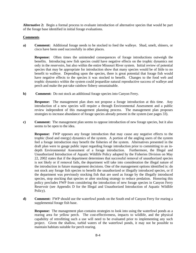**Alternative 2:** Begin a formal process to evaluate introduction of alternative species that would be part of the forage base identified in initial forage evaluations.

### **Comments**

**a) Comment:** Additional forage needs to be stocked to feed the walleye. Shad, smelt, shiners, or cisco have been used successfully in other places.

**Response:** Often times the unintended consequences of forage introductions outweigh the benefits. Introducing new fish species could have negative effects on the trophic dynamics not only in the reservoirs, but also within the entire Missouri River system. Initial review of potential species that may be appropriate for introduction show that many species would be of little to no benefit to walleye. Depending upon the species, there is great potential that forage fish would have negative effects to the species it was stocked to benefit. Changes to the food web and trophic dynamics within the system could jeopardize natural reproductive success of walleye and perch and make the put-take rainbow fishery unsustainable.

**b) Comment:** Do not stock an additional forage species into Canyon Ferry.

**Response:** The management plan does not propose a forage introduction at this time. Any introduction of a new species will require a through Environmental Assessment and a public review independent of this management planning process. The management plan proposes strategies to increase abundance of forage species already present in the system (see pages 33).

**c) Comment:** The management plan seems to oppose introduction of new forage species, but it also seems to be open to the idea.

**Response:** FWP opposes any forage introduction that may cause any negative effects to the trophic (food and energy) dynamics of the system. A portion of the angling users of the system feel a forage introduction may benefit the fisheries of the system. Alternatives presented in the draft plan were to gauge public input regarding forage introduction prior to committing to an indepth Environmental Assessment of a forage introduction. Furthermore, the Illegal and Unauthorized Introduction of Aquatic Wildlife Policy adopted by the Fisheries Division on May 22, 2002 states that if the department determines that successful removal of unauthorized species is not likely or if removal fails, the department will take into consideration the illegal nature of the introduction in future management decisions. One of the management options identified is: do not stock any forage fish species to benefit the unauthorized or illegally introduced species, or if the department was previously stocking fish that are used as forage by the illegally introduced species, stop stocking that species or alter stocking strategy to reduce predation. Honoring this policy precludes FWP from considering the introduction of new forage species in Canyon Ferry Reservoir (see Appendix D for the Illegal and Unauthorized Introduction of Aquatic Wildlife Policy).

**d) Comment:** FWP should use the waterfowl ponds on the South end of Canyon Ferry for rearing a supplemental forage fish base.

**Response:** The management plan contains strategies to look into using the waterfowl ponds as a rearing area for yellow perch. The cost-effectiveness, impacts to wildlife, and the physical capability of retrofitting such a use will need to be evaluated prior to implementing any such project. Given the shallow, turbid waters of the waterfowl ponds, it may not be possible to maintain habitats suitable for perch rearing.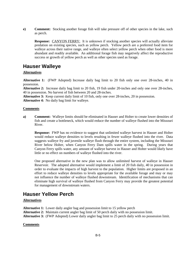**e) Comment:** Stocking another forage fish will take pressure off of other species in the lake, such as perch.

**Response:** CANYON FERRY: It is unknown if stocking another species will actually alleviate predation on existing species, such as yellow perch. Yellow perch are a preferred food item for walleye across their native range, and walleye often select yellow perch when other food is more abundant and readily available. An additional forage fish may negatively affect the reproductive success or growth of yellow perch as well as other species used as forage.

## **Hauser Walleye**

### **Alternatives**

**Alternative 1:** (FWP Adopted) Increase daily bag limit to 20 fish only one over 28-inches, 40 in possession.

**Alternative 2:** Increase daily bag limit to 20 fish, 19 fish under 20-inches and only one over 28-inches, 40 in possession. No harvest of fish between 20 and 28-inches.

**Alternative 3:** Keep current daily limit of 10 fish, only one over 28-inches, 20 in possession.

**Alternative 4:** No daily bag limit for walleye.

#### **Comments**

**a) Comment:** Walleye limits should be eliminated in Hauser and Holter to create lower densities of fish and create a bottleneck, which would reduce the number of walleye flushed into the Missouri River.

**Response:** FWP has no evidence to suggest that unlimited walleye harvest in Hauser and Holter would reduce walleye densities to levels resulting in fewer walleye flushed into the river. Data suggests walleye fry and juvenile walleye flush through the entire system, including the Missouri River below Holter, when Canyon Ferry Dam spills water in the spring. During years that Canyon Ferry spills water, any amount of walleye harvest in Hauser and Holter would likely have little or no effect on numbers of walleye flushed into the river.

One proposed alternative in the new plan was to allow unlimited harvest of walleye in Hauser Reservoir. The adopted alternative would implement a limit of 20 fish daily, 40 in possession in order to evaluate the impacts of high harvest to the population. Higher limits are proposed in an effort to reduce walleye densities to levels appropriate for the available forage and may or may not influence the number of walleye flushed downstream. Identification of mechanisms that can eliminate high survival of walleye flushed from Canyon Ferry may provide the greatest potential for management of downstream waters.

## **Hauser Yellow Perch**

### **Alternatives**

**Alternative 1:** Lower daily angler bag and possession limit to 15 yellow perch

**Alternative 2:** Maintain current angler bag limit of 50 perch daily with no possession limit.

**Alternative 3:** (FWP Adopted) Lower daily angler bag limit to 25 perch daily with no possession limit.

### **Comments**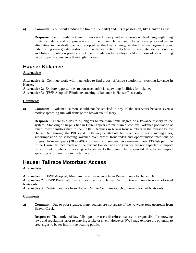**a) Comment:** You should reduce the limit to 15 (daily) and 30 (in possession) like Canyon Ferry.

**Response:** Perch limits on Canyon Ferry are 15 daily and in possession. Reducing angler bag limits (25 daily and no possession) for perch on Hauser and Holter were proposed as an alternative in the draft plan and adopted as the final strategy in the final management plan. Establishing even greater restrictions may be warranted if declines in perch abundance continue and future population goals are not met. Predation by walleye is likely more of a controlling factor to perch abundance than angler harvest.

## **Hauser Kokanee**

### **Alternatives**

**Alternative 1:** Continue work with hatcheries to find a cost-effective solution for stocking kokanee in Hauser.

**Alternative 2:** Explore opportunities to construct artificial spawning facilities for kokanee.

**Alternative 3:** (FWP Adopted) Eliminate stocking of kokanee in Hauser Reservoir.

### **Comments**

**a) Comment:** Kokanee salmon should not be stocked in any of the reservoirs because even a modest spawning run will damage the brown trout fishery.

**Response:** There is a desire by anglers to maintain some degree of a kokanee fishery in the system. Stocking of surplus fish in Holter appears to maintain a low level kokanee population at much lower densities than in the 1990s. Declines in brown trout numbers in the tailrace below Hauser Dam through the 1980s and 1990s may be attributable to competition for spawning areas, superimposition of spawning kokanee over brown trout redds and opportunistic infections of fungus. In recent years (2003-2007), brown trout numbers have remained near 130 fish per mile in the Hauser tailrace reach and the current low densities of kokanee are not expected to impact brown trout numbers. Stocking kokanee in Holter would be suspended if kokanee impact spawning of brown trout in the tailrace.

## **Hauser Tailrace Motorized Access**

### **Alternatives**

**Alternative 1:** (FWP Adopted) Maintain the no wake zone from Beaver Creek to Hauser Dam.

**Alternative 2:** (FWP Preferred) Restrict boat use from Hauser Dam to Beaver Creek to non-motorized boats only.

**Alternative 3:** Restrict boat use from Hauser Dam to Cochrane Gulch to non-motorized boats only.

### **Comments**

**a) Comment:** Due to poor signage, many boaters are not aware of the no-wake zone upstream from Beaver Creek.

**Response:** The burden of law falls upon the user; therefore boaters are responsible for knowing laws and regulations prior to entering a lake or river. However, FWP may explore the potential to erect signs to better inform the boating public.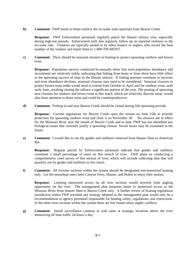**b) Comment:** FWP needs to better enforce the no-wake zone upstream from Beaver Creek.

**Response:** FWP Enforcement personnel regularly patrol the Hauser tailrace area, especially during high-use periods. Enforcement staff also regularly follow up on reported violators to the no-wake rule. Violators are typically turned in by other boaters or anglers who record the boat number of the violator and report them to 1-800-TIP-MONT.

**c) Comment:** There should be seasonal closures to boating to protect spawning rainbow and brown trout.

**Response:** Population surveys conducted bi-annually show that trout population abundance and recruitment are relatively stable, indicating that fishing from boats or from shore have little effect to the spawning success of trout in the Hauser tailrace. If fishing pressure continues to increase and trout abundance declines, seasonal closures may need to be considered. Seasonal closures to protect brown trout redds would need to extend from October to April and for rainbow trout, until early June, resulting closing the tailrace a significant portion of the year. The posting of spawning area closures for rainbow and brown trout in this reach, which are relatively discrete areas, would also draw attention to those areas and could be counterproductive.

**d) Comment:** Fishing in and near Beaver Creek should be closed during fish spawning periods.

**Response:** Current regulations for Beaver Creek open the stream on June 15th to provide protection for spawning rainbow trout and close it on November 30. No closures are in effect for the Missouri River near the mouth of Beaver Creek and to date, FWP has not identified any biological issues that currently justify a spawning closure. Social issues may be examined in the future.

**e) Comment:** I would like to see the guides and outfitters removed from Hauser Dam to American Bar.

**Response:** Regular patrols by Enforcement personnel indicate that guides and outfitters constitute a small percentage of users on this stretch of river. FWP plans on conducting a comprehensive creel survey of this section of river, which will include collecting data that will quantify use by guides and outfitters in this reach**.** 

**f) Comment:** All riverine sections within the system should be designated non-motorized boating only. Let the motorboat users have Canyon Ferry, Hauser, and Holter to enjoy their motors.

**Response:** Limiting motorized access on all river sections would severely limit angling opportunity on the river. The management plan proposes limits to motorized access to the Missouri River from Hauser Dam to Beaver Creek only. A further review of boating regulations jurisdiction within FWP revealed any strategy adopted in the management plan would only be a recommendation to agency personnel responsible for boating safety, regulations, and restrictions. In the other river sections within the system there are few boater-shore angler conflicts.

**g) Comment:** Install surveillance cameras or web cams at strategic locations above the river monitoring all boat traffic 24-hours a day.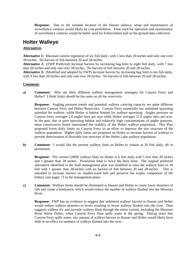**Response:** Due to the isolated location of the Hauser tailrace, setup and maintenance of surveillance cameras would likely be cost-prohibitive. Time used for operation and maintenance of surveillance cameras would be better used for Enforcement and on the ground data collection.

## **Holter Walleye**

## **Alternatives**

**Alternative 1:** Maintain current regulation of six fish daily, with 5 less than 20-inches and only one over 28-inches. No harvest of fish between 20 and 28-inches.

**Alternative 2:** (FWP Preferred) Increase harvest by increasing bag limit to eight fish daily, with 7 less than 20-inches and only one over 28-inches. No harvest of fish between 20 and 28-inches.

**Alternative 3:** (Modified and adopted by FWP) Increase harvest by increasing bag limit to ten fish daily, with 9 less than 20-inches and only one over 28-inches. No harvest of fish between 20 and 28-inches.

## **Comments**

**a) Comment:** Why are there different walleye management strategies for Canyon Ferry and Holter? I think limits should be the same on all the reservoirs.

**Response:** Angling pressure trends and potential walleye carrying capacity are quite different between Canyon Ferry and Holter Reservoirs. Canyon Ferry essentially has unlimited spawning potential for walleye, while Holter is habitat limited for walleye spawning. Angler pressure on Canyon Ferry averages 2.6 angler days per acre while Holter averages 12.6 angler days per acre. In the past, due to poor spawning habitat and relatively high concentrations of angler pressure, more conservative limits maintained the viability of the Holter walleye population. This Plan proposed lower daily limits on Canyon Ferry in an effort to improve the size structure of the walleye population. Higher daily limits are proposed on Holter to increase harvest of walleye to prevent deterioration of desirable size structure of the Holter Lake walleye population.

**b) Comment:** I would like the present walleve limit on Holter to remain at 20 fish daily, 40 in possession.

**Response:** The current (2009) walleye limit on Holter is 6 fish daily with 5 less than 20 inches and 1 greater than 28 inches. Possession limit is twice the daily limit. The original preferred alternative identified in the draft management plan was modified to raise the walleye limit to 10 fish with 1 greater than 28-inches with no harvest of fish between 20 and 28-inches. This is intended to increase harvest on smaller-sized fish and preserve the trophy component of the fishery (see pages 72 in the management plan).

**c) Comment:** Walleye limits should be eliminated in Hauser and Holter to create lower densities of fish and create a bottleneck, which would reduce the number of walleye flushed into the Missouri River.

**Response:** FWP has no evidence to suggest that unlimited walleye harvest in Hauser and Holter would reduce walleye densities to levels resulting in fewer walleye flushed into the river. Data suggests walleye fry and juvenile walleye flush through the entire system, including the Missouri River below Holter, when Canyon Ferry Dam spills water in the spring. During years that Canyon Ferry spills water, any amount of walleye harvest in Hauser and Holter would likely have little or no effect on numbers of walleye flushed into the river.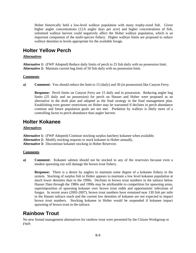Holter historically held a low-level walleye population with many trophy-sized fish. Given higher angler concentrations (12.6 angler days per acre) and higher concentrations of fish, unlimited walleye harvest could negatively affect the Holter walleye population, which is an important component of the multi-species fishery. Higher walleye limits are proposed to reduce walleye densities to levels appropriate for the available forage.

## **Holter Yellow Perch**

## **Alternatives**

**Alternative 1:** (FWP Adopted) Reduce daily limits of perch to 25 fish daily with no possession limit. **Alternative 2:** Maintain current bag limit of 50 fish daily with no possession limit.

### **Comments**

**a) Comment:** You should reduce the limit to 15 (daily) and 30 (in possession) like Canyon Ferry.

**Response:** Perch limits on Canyon Ferry are 15 daily and in possession. Reducing angler bag limits (25 daily and no possession) for perch on Hauser and Holter were proposed as an alternative in the draft plan and adopted as the final strategy in the final management plan. Establishing even greater restrictions on Holter may be warranted if declines in perch abundance continue and future population goals are not met. Predation by walleye is likely more of a controlling factor to perch abundance than angler harvest.

## **Holter Kokanee**

### **Alternatives**

- **Alternative 1:** (FWP Adopted) Continue stocking surplus hatchery kokanee when available.
- **Alternative 2:** Modify stocking requests to stock kokanee in Holter annually.

**Alternative 3:** Discontinue kokanee stocking in Holter Reservoir.

### **Comments**

**a) Comment:** Kokanee salmon should not be stocked in any of the reservoirs because even a modest spawning run will damage the brown trout fishery.

**Response:** There is a desire by anglers to maintain some degree of a kokanee fishery in the system. Stocking of surplus fish in Holter appears to maintain a low level kokanee population at much lower densities than in the 1990s. Declines in brown trout numbers in the tailrace below Hauser Dam through the 1980s and 1990s may be attributable to competition for spawning areas, superimposition of spawning kokanee over brown trout redds and opportunistic infections of fungus. In recent years (2003-2007), brown trout numbers have remained near 130 fish per mile in the Hauser tailrace reach and the current low densities of kokanee are not expected to impact brown trout numbers. Stocking kokanee in Holter would be suspended if kokanee impact spawning of brown trout in the tailrace.

## **Rainbow Trout**

No new formal management alternatives for rainbow trout were presented by the Citizen Workgroup or FWP.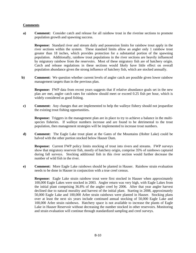### **Comments**

**a) Comment:** Consider catch and release for all rainbow trout in the riverine sections to promote population growth and spawning success.

**Response:** Standard river and stream daily and possession limits for rainbow trout apply in the river sections within the system. These standard limits allow an angler only 1 rainbow trout greater than 18 inches, which provides protection for a substantial portion of the spawning population. Additionally, rainbow trout populations in the river sections are heavily influenced by migratory rainbow from the reservoirs. Most of these migratory fish are of hatchery origin. Catch and release regulations in these sections would likely have little effect on overall population abundance given the strong influence of hatchery fish, which are stocked annually.

**b**) **Comment:** We question whether current levels of angler catch are possible given lower rainbow management targets than in the previous plan.

**Response:** FWP data from recent years suggests that if relative abundance goals set in the new plan are met, angler catch rates for rainbow should meet or exceed 0.25 fish per hour, which is widely considered as good fishing.

**c) Comment:** Any changes that are implemented to help the walleye fishery should not jeopardize the existing trout fishing opportunities**.** 

**Response:** Triggers in the management plan are in place to try to achieve a balance in the multispecies fisheries. If walleye numbers increase and are found to be detrimental to the trout population, then management strategies will be implemented to increase trout numbers.

**d) Comment:** The Eagle Lake trout plant at the Gates of the Mountains (Holter Lake) could be halved with the other portion stocked below Hauser Dam.

**Response:** Current FWP policy limits stocking of trout into rivers and streams. FWP surveys show that migratory reservoir fish, mostly of hatchery origin, comprise 35% of rainbows captured during fall surveys. Stocking additional fish in this river section would further decrease the number of wild fish in the river.

**e) Comment:** More Eagle Lake rainbows should be planted in Hauser. Rainbow strain evaluation needs to be done in Hauser in conjunction with a true creel census.

**Response:** Eagle Lake strain rainbow trout were first stocked in Hauser when approximately 100,000 Eagle Lakes were stocked in 2003. Angler return was very high, with Eagle Lakes from the initial plant comprising 36.8% of the angler creel by 2006. After that year angler harvest declined due to natural morality and harvest of the initial plant. Starting in 2008, approximately 50,000 Eagle Lake and 100,000 Arlee strain rainbows were planted in Hauser. Stocking plans over at least the next six years include continued annual stocking of 50,000 Eagle Lake and 100,000 Arlee strain rainbows. Hatchery space is not available to increase the plants of Eagle Lake in Hauser Reservoir without decreasing the number stocked in other reservoirs. Monitoring and strain evaluation will continue through standardized sampling and creel surveys.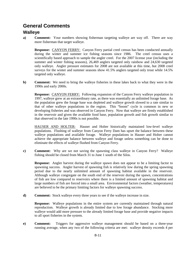## **General Comments**

## **Walleye**

**a) Comment:** Your numbers showing fisherman targeting walleye are way off. There are way more fisherman that target walleye.

**Response:** CANYON FERRY: Canyon Ferry partial creel census has been conducted annually during the winter and summer ice fishing seasons since 1986. The creel census uses a scientifically based approach to sample the angler creel. For the 2007 license year (including the summer and winter fishing seasons), 26,469 anglers targeted only rainbow and 24,630 targeted only walleye. Angler pressure estimates for 2008 are not available at this time, but 2008 creel surveys for the winter and summer seasons show 41.5% anglers targeted only trout while 14.5% targeted only walleye.

**b) Comment:** We need to bring the walleye fisheries in these lakes back to what they were in the 1990s and early 2000s.

**Response:** CANYON FERRY: Following expansion of the Canyon Ferry walleye population in 1997, walleye grew at an extraordinary rate, as there was essentially an unlimited forage base. As the population grew the forage base was depleted and walleye growth slowed to a rate similar to that of other walleye populations in the region. This "boom" cycle is common in new or developing fisheries and was observed in Canyon Ferry. Now that walleye are firmly established in the reservoir and given the available food base, population growth and fish growth similar to that observed in the late 1990s is not possible.

HAUSER AND HOLTER: Hauser and Holter historically maintained low-level walleye populations. Flushing of walleye from Canyon Ferry Dam has upset the balance between these walleye populations and available forage. Walleye populations in Hauser and Holter cannot achieve the appropriate balance between walleye and forage unless something can be done to eliminate the effects of walleye flushed from Canyon Ferry.

**c) Comment:** Why are we not saving the spawning class walleye in Canyon Ferry? Walleye fishing should be closed from March 31 to June 1 south of the Silos.

**Response:** Angler harvest during the walleye spawn does not appear to be a limiting factor to spawning success. Angler harvest of spawning fish is relatively low during the spring spawning period due to the nearly unlimited amount of spawning habitat available in the reservoir. Although walleye congregate on the south end of the reservoir during the spawn, concentrations of fish are low compared to reservoirs where there is a limited amount of spawning habitat and large numbers of fish are forced into a small area. Environmental factors (weather, temperatures) are believed to be the primary limiting factors for walleye spawning success.

**d) Comment:** Stock walleye every three years to see if the walleye increase in size.

**Response:** Walleye populations in the entire system are currently maintained through natural reproduction. Walleye growth is already limited due to low forage abundance. Stocking more walleye would add more pressure to the already limited forage base and provide negative impacts to all sport fisheries in the system.

**e) Comment:** Triggers for aggressive walleye management should be based on a three-year running average, when any two of the following criteria are met: walleye density exceeds 4 per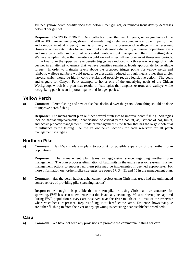gill net, yellow perch density decreases below 8 per gill net, or rainbow trout density decreases below 9 per gill net.

**Response:** CANYON FERRY: Data collection over the past 10 years, under guidance of the 2000-2009 management plan, shows that maintaining a relative abundance at 8 perch per gill net and rainbow trout at 9 per gill net is unlikely with the presence of walleye in the reservoir. However, angler catch rates for rainbow trout are deemed satisfactory at current population levels and may be a better indicator of successful rainbow trout management than gill netting data. Walleye sampling show that densities would exceed 4 per gill net over most three-year periods. In the final plan the upper walleye density trigger was reduced to a three-year average of 7 fish per net in an attempt to ensure that walleye densities remain at levels appropriate for available forage. In order to maintain levels above the proposed trigger points for yellow perch and rainbow, walleye numbers would need to be drastically reduced through means other than angler harvest, which would be highly controversial and possibly require legislative action. The goals and triggers for Canyon Ferry attempts to honor one of the underlying goals of the Citizen Workgroup, which is a plan that results in "strategies that emphasize trout and walleye while recognizing perch as an important game and forage species."

## **Yellow Perch**

**a) Comment:** Perch fishing and size of fish has declined over the years. Something should be done to improve perch fishing.

**Response:** The management plan outlines several strategies to improve perch fishing. Strategies include habitat improvements, identification of critical perch habitat, adjustment of bag limits, and active predator management. Predator management is the factor that has the largest potential to influence perch fishing. See the yellow perch sections for each reservoir for all perch management strategies.

## **Northern Pike**

**a) Comment:** Has FWP made any plans to account for possible expansion of the northern pike population?

**Response:** The management plan takes an aggressive stance regarding northern pike management. The plan proposes elimination of bag limits in the entire reservoir system. Further management actions to suppress northern pike may be implemented if deemed appropriate. For more information on northern pike strategies see pages 17, 34, 51 and 75 in the management plan.

**b) Comment:** Has the perch habitat enhancement project using Christmas trees had the unintended consequences of providing pike spawning habitat?

**Response:** Although it is possible that northern pike are using Christmas tree structures for spawning, FWP has seen no evidence that this is actually occurring. Most northern pike captured during FWP population surveys are observed near the river mouth or in areas of the reservoir where weed beds are present. Reports of angler catch reflect the same. Evidence shows that pike are either flushing in from the river or any spawning is occurring near established weed beds.

## **Carp**

**a) Comment:** We have not seen any provisions to promote the commercial fishing for carp.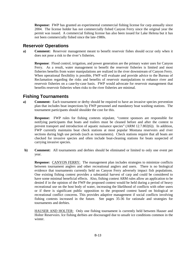**Response:** FWP has granted an experimental commercial fishing license for carp annually since 2004. The license holder has not commercially fished Canyon Ferry since the original year the permit was issued. A commercial fishing license has also been issued for Lake Helena but it has not been commercially fished since the late-1980s.

## **Reservoir Operations**

**a) Comment:** Reservoir management meant to benefit reservoir fishes should occur only when it does not pose a risk to the river's fisheries.

**Response**: Flood control, irrigation, and power generation are the primary water uses for Canyon Ferry. As a result, water management to benefit the reservoir fisheries is limited and most fisheries benefits from water manipulations are realized in the river downstream of Canyon Ferry. When operational flexibility is possible, FWP will evaluate and provide advice to the Bureau of Reclamation regarding the risks and benefits of reservoir manipulations to enhance river and reservoir fisheries on a case-by-case basis. FWP would advocate for reservoir management that benefits reservoir fisheries when risks to the river fisheries are minimal.

## **Fishing Tournaments**

**a) Comment:** Each tournament or derby should be required to have an invasive species prevention plan that includes boat inspections by FWP personnel and mandatory boat washing stations. The tournament participants should shoulder the cost for this.

**Response:** FWP rules for fishing contests stipulate, "contest sponsors are responsible for notifying participants that boats and trailers must be cleaned before and after the contest to prevent transport and introduction of aquatic nuisance species" (ARM 12.7.802(6)). In addition, FWP currently maintains boat check stations at most popular Montana reservoirs and river sections during high use periods (such as tournaments). Check stations require that all boats are checked for invasive species and often include boat-cleaning stations for boats suspected of carrying invasive species.

**b) Comment:** All tournaments and derbies should be eliminated or limited to only one event per year.

**Response:** CANYON FERRY: The management plan includes strategies to minimize conflicts between tournament anglers and other recreational anglers and users. There is no biological evidence that tournaments currently held on Canyon Ferry adversely impact fish populations. One existing fishing contest provides a substantial harvest of carp and could be considered to have some minimal beneficial effects. Also, fishing contest ARM rules allow an application to be denied if in the opinion of the FWP the proposed contest would be held during a period of heavy recreational use on the host body of water, increasing the likelihood of conflicts with other users or if there is significant public opposition to the proposed contest based on biological or recreational conflict concerns. This provides adaptive management if social conflicts involving fishing contests increased in the future. See pages 35-36 for rationale and strategies for tournaments and derbies.

HAUSER AND HOLTER: Only one fishing tournament is currently held between Hauser and Holter Reservoirs. Ice fishing derbies are discouraged due to unsafe ice conditions common in the winter.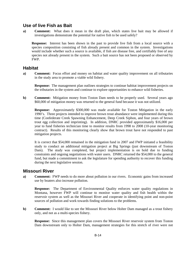## **Use of live Fish as Bait**

**a) Comment:** What does it mean in the draft plan, which states live bait may be allowed if investigations demonstrate the potential for native fish to be used safely?

**Response:** Interest has been shown in the past to provide live fish from a local source with a species composition consisting of fish already present and common in the system. Investigations would include whether such a source is available, if fish are disease free, and certifiably free of any species not already present in the system. Such a bait source has not been proposed or observed by FWP.

## **Habitat**

**a) Comment:** Focus effort and money on habitat and water quality improvement on all tributaries in the study area to promote a viable wild fishery.

**Response:** The management plan outlines strategies to continue habitat improvement projects on the tributaries in the system and continue to explore opportunities to enhance wild fisheries.

**b) Comment:** Mitigation money from Toston Dam needs to be properly used. Several years ago \$60,000 of mitigation money was returned to the general fund because it was not utilized.

**Response:** Approximately \$300,000 was made available for Toston Mitigation in the early 1990's. Three projects intended to improve brown trout abundance were implemented during this time (Confederate Creek Spawning Enhancement, Deep Creek Siphon, and four years of brown trout egg collection and imprinting). In addition, DNRC provided approximately \$16,000 per year to fund fisheries technician time to monitor results from 1998 to 2008 (10-year monitoring contract). Results of this monitoring clearly show that brown trout have not responded to past mitigation projects.

It is correct that \$54,000 remained in the mitigation fund in 2007 and FWP initiated a feasibility study to conduct an additional mitigation project at Big Springs (just downstream of Toston Dam). The study was completed, but project implementation is on hold due to funding constraints and ongoing negotiations with water users. DNRC returned the \$54,000 to the general fund, but made a commitment to ask the legislature for spending authority to recover this funding during the next legislative session.

## **Missouri River**

**a) Comment:** FWP needs to do more about pollution in our rivers. Economic gains from increased use by boaters also increase pollution.

**Response:** The Department of Environmental Quality enforces water quality regulations in Montana, however FWP will continue to monitor water quality and fish health within the reservoir system as well as the Missouri River and cooperate in identifying point and non-point sources of pollution and work towards finding solutions to the problems.

**b) Comment:** I would like to see the Missouri River below Holter Dam managed as a trout fishery only, and not as a multi-species fishery.

**Response:** Since this management plan covers the Missouri River reservoir system from Toston Dam downstream only to Holter Dam, management strategies for this stretch of river were not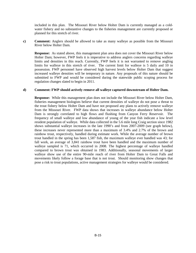included in this plan. The Missouri River below Holter Dam is currently managed as a coldwater fishery and no substantive changes to the fisheries management are currently proposed or planned for this stretch of river.

**c) Comment:** Anglers should be allowed to take as many walleye as possible from the Missouri River below Holter Dam.

**Response:** As stated above, this management plan area does not cover the Missouri River below Holter Dam; however, FWP feels it is imperative to address anglers concerns regarding walleye limits and densities in this reach. Currently, FWP feels it is not warranted to remove angling limits for walleye in this stretch of river. The current limit for walleye is 5 daily and 10 in possession. FWP personnel have observed high harvest levels below Holter Dam that suggest increased walleye densities will be temporary in nature. Any proposals of this nature should be submitted to FWP and would be considered during the statewide public scoping process for regulation changes slated to begin in 2011.

### **d) Comment: FWP should actively remove all walleye captured downstream of Holter Dam.**

**Response:** While this management plan does not include the Missouri River below Holter Dam, fisheries management biologists believe that current densities of walleye do not pose a threat to the trout fishery below Holter Dam and have not proposed any plans to actively remove walleye from the Missouri River. FWP data shows that increases in walleye abundance below Holter Dam is strongly correlated to high flows and flushing from Canyon Ferry Reservoir. The frequency of small walleye and low abundance of young of the year fish indicate a low level resident population of walleye. While data collected in the 5.6 mile long Craig section since 1982 shows substantial walleye increases in the late 1990's and from 2007-2009 (see graph below), these increases never represented more than a maximum of 3.4% and 2.7% of the brown and rainbow trout, respectively, handled during estimate work. While the average number of brown trout handled in the spring has been 1,587 fish, the maximum walleye ever handled was 43; for fall work, an average of 3,841 rainbow trout have been handled and the maximum number of walleye sampled is 71, which occurred in 2008. The highest percentage of walleye handled compared to brown trout was obtained in 1983. Additionally, seasonal movements of larger walleye show use of the entire 90-mile reach of river from Holter Dam to Great Falls and movements likely follow a forage base that is not trout. Should monitoring show changes that pose a risk to trout populations, active management strategies for walleye would be considered.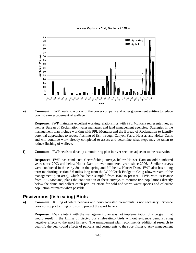Walleye Captured - Craig Section - 5.6 Miles



**e) Comment:** FWP needs to work with the power company and other government entities to reduce downstream escapement of walleye.

**Response:** FWP maintains excellent working relationships with PPL Montana representatives, as well as Bureau of Reclamation water managers and land management agencies. Strategies in the management plan include working with PPL Montana and the Bureau of Reclamation to identify potential approaches to reduce flushing of fish through Canyon Ferry, Hauser, and Holter Dams and will continue work already completed to assess and determine what steps may be taken to reduce flushing of walleye.

**f) Comment:** FWP needs to develop a monitoring plan in river sections adjacent to the reservoirs.

**Response:** FWP has conducted electrofishing surveys below Hauser Dam on odd-numbered years since 2003 and below Holter Dam on even-numbered years since 2006. Similar surveys were conducted in the early-80s in the spring and fall below Hauser Dam. FWP also has a long term monitoring section 5.6 miles long from the Wolf Creek Bridge to Craig (downstream of the management plan area), which has been sampled from 1982 to present. FWP, with assistance from PPL Montana, plans the continuation of these surveys to monitor fish populations directly below the dams and collect catch per unit effort for cold and warm water species and calculate population estimates when possible.

## **Piscivorous (fish eating) Birds**

**a) Comment:** Killing of white pelicans and double-crested cormorants is not necessary. Science does not support killing of birds to protect the sport fishery.

**Response:** FWP's intent with the management plan was not implementation of a program that would result in the killing of piscivorous (fish-eating) birds without evidence demonstrating negative effects to the sport fishery. The management plan recommends additional research to quantify the year-round effects of pelicans and cormorants to the sport fishery. Any management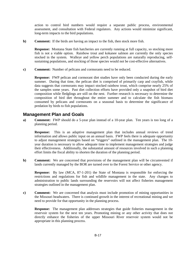action to control bird numbers would require a separate public process, environmental assessment, and consultation with Federal regulators. Any actions would minimize significant, long-term impacts to the bird populations.

**b) Comment:** If the birds are having an impact to the fish, then stock more fish.

**Response:** Montana State fish hatcheries are currently running at full capacity, so stocking more fish is not a viable option. Rainbow trout and kokanee salmon are currently the only species stocked in the system. Walleye and yellow perch populations are naturally reproducing, selfsustaining populations, and stocking of those species would not be cost-effective alternatives.

**c) Comment:** Number of pelicans and cormorants need to be reduced.

**Response:** FWP pelican and cormorant diet studies have only been conducted during the early summer. During that time, the pelican diet is comprised of primarily carp and crayfish, while data suggests that cormorants may impact stocked rainbow trout, which comprise nearly 25% of the samples some years. Past diet collection efforts have provided only a snapshot of bird diet composition while fledglings are still on the nest. Further research is necessary to determine the composition of bird diet throughout the entire summer and to calculate the fish biomass consumed by pelicans and cormorants on a seasonal basis to determine the significance of predation by birds to fish populations.

## **Management Plan and Goals**

**a) Comment:** FWP should do a 5-year plan instead of a 10-year plan. Ten years is too long of a planning period.

**Response:** This is an adaptive management plan that includes annual reviews of trend information and allows public input on an annual basis. FWP feels there is adequate opportunity to adjust management strategies based on "triggers" outlined in the management plan. The 10 year duration is necessary to allow adequate time to implement management strategies and judge their effectiveness. Additionally, the substantial amount of resources involved in such a planning effort limits the fiscal ability to shorten the duration of the planning period.

**b) Comment:** We are concerned that provisions of the management plan will be circumvented if lands currently managed by the BOR are turned over to the Forest Service or other agency.

**Response:** By law (MCA, 87-1-201) the State of Montana is responsible for enforcing the restrictions and regulations for fish and wildlife management in the state. Any changes to administration to public lands surrounding the reservoirs will not affect fisheries management strategies outlined in the management plan.

**c) Comment:** We are concerned that analysis must include promotion of mining opportunities in the Missouri headwaters. There is continued growth in the interest of recreational mining and we need to provide for that opportunity in the planning process.

**Response:** The management plan addresses strategies that guide fisheries management in the reservoir system for the next ten years. Promoting mining or any other activity that does not directly enhance the fisheries of the upper Missouri River reservoir system would not be appropriate in this planning process.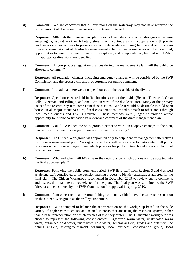**d) Comment:** We are concerned that all diversions on the waterway may not have received the proper amount of discretion to insure water rights are protected.

**Response:** Although the management plan does not include any specific strategies to acquire water rights, habitat work on tributary streams will continue as will cooperation with private landowners and water users to preserve water rights while improving fish habitat and instream flow in streams. As part of day-to-day management activities, water use issues will be monitored, opportunities to benefit instream flows will be explored, and complaints may be filed with DNRC if inappropriate diversions are identified.

**e) Comment:** If you propose regulation changes during the management plan, will the public be allowed to comment?

**Response:** All regulation changes, including emergency changes, will be considered by the FWP Commission and the process will allow opportunity for public comment.

**f) Comment:** It's sad that there were no open houses on the west side of the divide.

**Response:** Open houses were held in five locations east of the divide (Helena, Townsend, Great Falls, Bozeman, and Billings) and one location west of the divide (Butte). Many of the primary users of the reservoir system come from these 6 cities. While it would be desirable to hold open houses in all major Montana cities, fiscal considerations limited outreach to other areas through local media outlets and FWP's website. These methods were judged to provide ample opportunity for public participation in review and comment of the draft management plan.

**g) Comment:** Could FWP keep the work group together to work on adaptive changes to the plan, maybe they only meet once a year to assess how well it's working?

**Response:** The Citizen Workgroup was appointed only to help identify management alternatives for the new management plan. Workgroup members will be welcome to participate in all public processes under the new 10-year plan, which provides for public outreach and allows public input on an annual basis.

**h) Comment:** Who and when will FWP make the decisions on which options will be adopted into the final approved plan?

**Response:** Following the public comment period, FWP field staff from Regions 3 and 4 as well as Helena staff contributed to the decision making process to identify alternatives adopted for the final plan. The Citizen Workgroup reconvened in December 2009 to review public comments and discuss the final alternatives selected for the plan. The final plan was submitted to the FWP Director and considered by the FWP Commission for approval in spring, 2010.

**i) Comment:** I am concerned that the trout fishing community didn't have the same representation on the Citizen Workgroup as the walleye fisherman.

**Response:** FWP attempted to balance the representation on the workgroup based on the wide variety of angler constituencies and related interests that are using the reservoir system, rather than a base representation on which species of fish they prefer. The 18 member workgroup was chosen to represent the following constituencies: Organized warm water, unaffiliated warm water, organized cold water, unaffiliated cold water, general anglers, guides and outfitters, ice fishing anglers, fishing-tournament organizer, local business, conservation group, local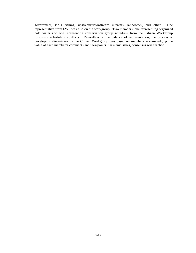government, kid's fishing, upstream/downstream interests, landowner, and other. One representative from FWP was also on the workgroup. Two members, one representing organized cold water and one representing conservation group withdrew from the Citizen Workgroup following scheduling conflicts. Regardless of the balance of representation, the process of developing alternatives by the Citizen Workgroup was based on members acknowledging the value of each member's comments and viewpoints. On many issues, consensus was reached.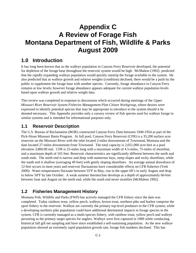# **Appendix C A Review of Forage Fish Montana Department of Fish, Wildlife & Parks August 2009**

## **1.0 Introduction**

It has long been known that as the walleye population in Canyon Ferry Reservoir developed, the potential for depletion of the forage base throughout the reservoir system would be high. McMahon (1992) predicted that the rapidly expanding walleye population would quickly outstrip the forage available in the system. He also predicted that as walleye growth and relative weights (condition) declined, there would be a push by the public to supplement the forage base with another species. Currently, forage abundance in Canyon Ferry remains at low levels; however forage abundance appears adequate for current walleye population levels based upon walleye growth and relative weight data.

This review was completed in response to discussions which occurred during meetings of the *Upper Missouri River Reservoir System Fisheries Management Plan Citizen Workgroup*, where desires were expressed to identify potential species that may be appropriate to introduce to the system should it be deemed necessary. This Appendix provides only a cursory review of fish species used for walleye forage in similar systems and is intended for informational purposes only.

## **1.1 Reservoir Description**

The U.S. Bureau of Reclamation (BOR) constructed Canyon Ferry Dam between 1949-1954 as part of the Pick-Sloan Missouri Basin Program. At full pool, Canyon Ferry Reservoir (CFR) is a 35,200 surface acre reservoir on the Missouri River with the inlet located 2-miles downstream of Townsend, Montana and the dam located 27-miles downstream from Townsend. The total capacity is 2,051,000 acre-feet at a pool elevation 3,800.00 msl. CFR is 25-miles long with a maximum width of 4.5-miles, 75-miles of shoreline, and a maximum depth of 165 feet. Reservoir characteristics are significantly different between the north and south ends. The north end is narrow and deep with numerous bays, steep slopes and rocky shorelines, while the south end is shallow (averaging 49 feet) with gently sloping shorelines. An average annual drawdown of 12-feet occurs in most years and reservoir fluctuations have considerable effects on CFR fisheries (Yerk 2000). Water temperatures fluctuate between 55ºF in May, rise to the upper 60's in early August and drop to below 50ºF by late October. A weak summer thermocline develops at a depth of approximately 60-feet between June and August on the north end, while the south end never stratifies (McMahon 1992).

## **1.2 Fisheries Management History**

Montana Fish, Wildlife and Parks (FWP) has actively managed the CFR fishery since the dam was completed. Today rainbow trout, yellow perch, walleye, brown trout, northern pike and burbot comprise the sport fishery in the reservoir. Walleye are currently the primary top-level predators in the CFR system, while a developing northern pike population could have additional detrimental impacts to forage species in the system. CFR is currently managed as a multi-species fishery, with rainbow trout, yellow perch and walleye persisting as the primary target species for anglers. Walleye were first captured in 1989 while conducting historical fall gill net sampling and have since established a self-sustaining population. As the new walleye population showed an extremely rapid population growth rate, forage fish numbers declined. This has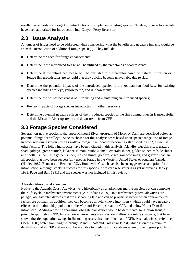resulted in requests for forage fish introductions to supplement existing species. To date, no new forage fish have been authorized for introduction into Canyon Ferry Reservoir.

## **2.0 Issue Analysis**

A number of issues need to be addressed when considering what the benefits and negative impacts would be from the introduction of additional forage specie(s). They include:

- Determine the need for forage enhancement;
- Determine if the introduced forage will be utilized by the predator as a food resource;
- Determine if the introduced forage will be available to the predator based on habitat utilization or if forage fish growth rates are so rapid that they quickly become unavailable due to size;
- Determine the potential impacts of the introduced species to the zooplankton food base for existing species including walleye, yellow perch, and rainbow trout;
- Determine the cost-effectiveness of introducing and maintaining an introduced species;
- Review impacts of forage species introductions in other reservoirs;
- Determine potential negative effects of the introduced species to the fish communities in Hauser, Holter and the Missouri River upstream and downstream from CFR.

## **3.0 Forage Species Considered**

Several non-native species to the upper Missouri River, upstream of Moroney Dam, are described below as potential forage for walleye. Species chosen for this analysis were based upon species range, use of forage in other western reservoirs, use as walleye forage, likelihood of becoming established in CFR, as well as other factors. The following species have been included in this analysis: Alewife, bluegill, cisco, gizzard shad, goldeye, green sunfish, kokanee salmon, rainbow smelt, emerald shiner, golden shiner, redside shiner and spottail shiner. The golden shiner, redside shiner, goldeye, cisco, rainbow smelt, and gizzard shad are all species that have been successfully used as forage in the Western United States or southern Canada (Hadley 1982, Bennett and Bennett 1993). Bonneville Cisco have also been suggested as an option for introduction, although stocking success for this species in western reservoirs is as yet unproven (Hadley 1982, Page and Barr 1991) and the species was not included in this review.

## **Alewife** (Alosa pseudoharengus)

Native to the Atlantic Coast, Alewives were historically an anadromous marine species, but can complete their life cycle in freshwater environments (AIS Indiana 2009). In a freshwater system, alewifves are pelagic, obligate planktivores that are a schooling fish and can be prolific spawners when environmental factors are optimal. In addition, they can become adfluvial (move into rivers), which could have negative effects on the salmonid population in the Missouri River upstream of CFR and below Holter Dam if introduced. Adding a prolific spawning, obligate planktivore would be detrimental to rainbow trout, a principle sportfish in CFR. In reservoir environments alewives are shallow, shoreline spawners, that have shown drastic population swings in fluctuating reservoirs much like that of CFR. Also, alewives prefer deep (150-300 ft.) water from August through March (Scott and Crossman 1973), which is on the maximum depth threshold in CFR and may not be available to predators. Since alewives are prone to great population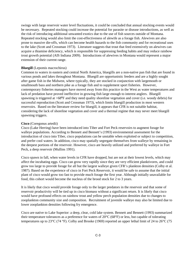swings with large reservoir water level fluctuations, it could be concluded that annual stocking events would be necessary. Repeated stocking could increase the potential for parasite or disease introductions, as well as the risk of introducing additional unwanted exotics due to the use of fish sources outside of Montana. Repeated stocking would also limit the cost-effectiveness of alewife as a forage fish. Alewives are also prone to massive die-offs, which can become health hazards to the fish community and for recreational uses to the lake (Scott and Crossman 1973). Literature suggests that trout that feed extensively on alewives can acquire a thiamine deficiency, which is responsible for suppressing feeding habits and may reduce rainbow trout growth potential (AIS Indiana 2009). Introductions of alewives in Montana would represent a major extension of their current range.

### **Bluegill** (Lepomis macrochirus)

Common to waters in eastern and central North America, bluegills are a non-native pan fish that are found in various ponds and lakes throughout Montana. Bluegill are opportunistic feeders and are a highly sought after game fish in the Midwest, where typically, they are stocked in conjunction with largemouth or smallmouth bass and northern pike as a forage fish and to supplement sport fisheries. However, contemporary fisheries managers have moved away from this practice in the West as water temperatures and lack of predation have proved ineffective in growing fish large enough to interest anglers. Bluegill spawning is triggered at >68ºF and they need quality shoreline vegetation and cover (i.e. woody debris) for successful reproduction (Scott and Crossman 1973), which limits bluegill production in most western reservoirs. Based on the literature review for bluegill, it appears that CFR is not suitable habitat, considering the lack of shoreline vegetation and cover and a thermal regime that may never meet bluegill spawning triggers.

### **Cisco** (Coregonus artedii)

Cisco (Lake Herring) have been introduced into Tiber and Fort Peck reservoirs to augment forage for walleye populations. According to Bennett and Bennett's (1993) environmental assessment for the introduction of cisco into Tiber, cisco populations can be unstable when exploited or subject to competition, and prefer cool waters. In addition, cisco may spatially segregate themselves from walleye by remaining in the deepest portions of the reservoir. However, cisco are heavily utilized and preferred by walleye in Fort Peck, a deep reservoir (Mullins 1991).

Cisco spawn in fall, when water levels in CFR have dropped, but are not at their lowest levels, which may affect the incubating eggs. Cisco can grow very rapidly since they are very efficient planktivores, and could grow too large to provide forage for all but the largest walleye given CFR's plankton densities (Colby et al. 1987). Based on the experience of cisco in Fort Peck Reservoir, it would be safe to assume that the initial plant of cisco would grow too fast to provide much forage the first year. Although initially unavailable for food, this cohort would become the nucleus of the brood stock for 2 to 3 years.

It is likely that cisco would provide forage only to the larger predators in the reservoir and that some of reservoir productivity will be tied up in cisco biomass without a significant return. It is likely that cisco would have profound effects on rainbow trout and yellow perch population densities due to changes to zooplankton community size and composition. Recruitment of juvenile walleye may also be limited due to lower zooplankton densities following fry emergence.

Cisco are native to Lake Superior: a deep, clear, cold lake system. Bennett and Bennett (1993) summarized their temperature tolerances as a preference for waters of 20°C (68°F) or less, but capable of tolerating temperatures up to 23°C (74 °F). Colby and Brooke (1969) reported an upper lethal limit of 24 to 26°C (75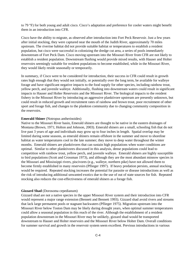to 79 °F) for both young and adult cisco. Cisco's adaptation and preference for cooler waters might benefit them in an introduction into CFR.

Cisco have the ability to migrate, as observed after introduction into Fort Peck Reservoir. Just a few years after initial stocking, they were captured near the mouth of the Judith River, approximately 70 miles upstream. The riverine habitat did not provide suitable habitat or temperatures to establish a resident population, but cisco were successful in colonizing the dredge cut area, a series of pools immediately downstream of Fort Peck Dam. Cisco moving upstream into the Missouri River from CFR are not likely to establish a resident population. Downstream flushing would provide mixed results, with Hauser and Holter reservoirs seemingly suitable for resident populations to become established, while in the Missouri River, they would likely reside seasonally or temporarily.

In summary, if Cisco were to be considered for introduction, their success in CFR could result in growth rates high enough that they would not initially, or potentially over the long term, be available for walleye forage and have significant negative impacts to the food supply for other species, including rainbow trout, yellow perch, and juvenile walleye. Additionally, flushing into downstream waters could result in significant impacts to Hauser and Holter Reservoirs and the Missouri River. The biological impacts to the resident fishery in the Missouri River by introducing an aggressive planktivore upstream are presently unknown, but could result in reduced growth and recruitment rates of rainbow and brown trout, poor recruitment of other sport and forage fish, and changes to the plankton community due to changing community composition in the reservoirs.

#### **Emerald Shiner** (Notropus antherinoides)

Native to the Missouri River basin, Emerald shiners are thought to be native in the eastern drainages of Montana (Brown, 1971; Holton and Johnson, 2003). Emerald shiners are a small, schooling fish that do not live past 3 years of age and individuals may grow up to four inches in length. Spatial overlap may be limited during some seasons, as emerald shiners remain offshore in the summer and move to shoreline habitat as water temperatures cool in the late summer; they move to deep water throughout the winter months. Emerald shiners are planktivores that can sustain high populations when water conditions are optimal. Similar to other planktivores discussed in this analysis, dense populations could lead to competition with rainbow trout, yellow perch, and juvenile walleye. Emerald shiners are highly susceptible to bird populations (Scott and Crossman 1973), and although they are the most abundant minnow species in the Missouri and Mississippi rivers, piscivores (e.g., walleye, northern pike) have not allowed them to become firmly established in many reservoirs (Pflieger 1997). If heavy predation persists, annual stocking would be required. Repeated stocking increases the potential for parasite or disease introductions as well as the risk of introducing additional unwanted exotics due to the use of out of state sources for fish. Repeated stocking also reduces the cost-effectiveness of emerald shiners as a forage fish.

#### **Gizzard Shad** (Dorosoma cepedianum)

Gizzard shad are not a native species in the upper Missouri River system and their introduction into CFR would represent a major range extension (Bennett and Bennett 1993). Gizzard shad avoid rivers and streams that lack large permanent pools or stagnant backwaters (Pflieger 1975). Migration upstream into the Missouri River below Toston Dam may be likely during drought years, when optimal summer temperatures could allow a seasonal population in this reach of the river. Although the establishment of a resident population downstream in the Missouri River may be unlikely, gizzard shad would be transported downstream to Hauser and Holter reservoirs and the Missouri River below Holter Dam. Overall conditions for summer survival and growth in the reservoir system seem excellent. Previous introductions in various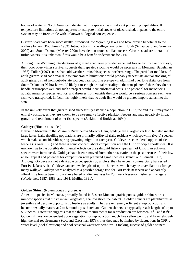bodies of water in North America indicate that this species has significant pioneering capabilities. If temperature limitations do not suppress or extirpate initial stocks of gizzard shad, impacts to the entire system may be irrevocable with unknown biological consequences.

Gizzard shad have been successfully introduced into Wyoming lakes and have proven beneficial to the walleye fishery (Baughman 1983). Introductions into walleye reservoirs in Utah (Schaugaard and Sorenson 2000) and South Dakota (Meester 2000) have demonstrated similar success. Gizzard shad are tolerant of turbid waters; it is unknown if this would be a benefit or detriment for CFR.

Although the Wyoming introductions of gizzard shad have provided excellent forage for trout and walleye, their poor over-winter survival suggests that repeated stocking would be necessary in Montana (Baughman 1983). Fuller (1997) states that cold weather limits this species' northern range. The partial or total loss of adult gizzard shad each year due to temperature limitations would probably necessitate annual stocking of adult gizzard shad from out-of-state sources. Transporting pre-spawn adult shad over long distances from South Dakota or Nebraska would likely cause high or total mortality to the transplanted fish as they do not handle or transport well and such a project would incur substantial costs. The potential for introducing aquatic nuisance species, exotics, and diseases from outside the state would be a serious concern each year fish were transported. In fact, it is highly likely that no adult fish would be granted import status into the state.

In the unlikely event that gizzard shad successfully establish a population in CFR, the end result may not be entirely positive, as they are known to be extremely effective plankton feeders and may negatively impact growth and recruitment of other fish species (Jenkins and Burkhead 1994).

#### **Goldeye** (Hiodon alosoides)

Native to Montana in the Missouri River below Morony Dam, goldeye are a large-river fish, but also inhabit large lakes. Lake dwelling populations are primarily adfluvial (lake resident which spawn in rivers) species, which make a considerable spring spawning migration each year. Goldeye are considered opportunistic feeders (Brown 1971) and there is some concern about competition with the CFR principle sportfishes. It is unknown as to the possible detrimental effects on the salmonid fishery upstream of CFR if an adfluvial species were introduced. Goldeye have been removed from other reservoirs in the past because of their low angler appeal and potential for competition with preferred game species (Bennett and Bennett 1993). Although Goldeye are not a desirable target species by anglers, they have been commercially harvested in Fort Peck Reservoir. Goldeye can achieve lengths of up to 16 inches, which may be unavailable as forage to many walleye. Goldeye were analyzed as a possible forage fish for Fort Peck Reservoir and apparently afford little forage benefit to walleye based on diet analyses by Fort Peck Reservoir fisheries managers (Wiedenheft 1987, 1988, and 1991; Mullins 1991).

#### **Golden Shiner** (Notemigonus crysoleucas)

An exotic species in Montana, primarily found in Eastern Montana prairie ponds, golden shiners are a minnow species that thrive in well-vegetated, shallow shoreline habitat. Golden shiners are planktivores as juveniles and become opportunistic feeders as adults. They are extremely efficient at reproduction and become sexually mature at 7 to 8 months post-hatch and Golden shiners can typically reach lengths of up to 5.5 inches. Literature suggests that the thermal requirements for reproduction are between 60ºF and 80ºF. Golden shiners are dependent upon vegetation for reproduction, much like yellow perch, and have relatively high thermal requirements (Scott and Crossman 1973); thus they may be limited by fluctuations in CFR's water level (pool elevation) and cool seasonal water temperatures. Stocking success of golden shiners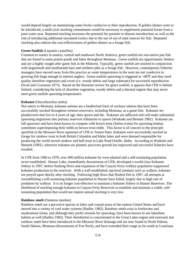would depend largely on maintaining water levels conducive to their reproduction. If golden shiners were to be introduced, a multi-year stocking commitment would be necessary to supplement potential losses from a poor water year. Repeated stocking increases the potential for parasite or disease introductions as well as the risk of introducing additional unwanted exotics due to the use of out of state sources for fish. Repeated stocking also reduces the cost-effectiveness of golden shiners as a forage fish.

#### **Green Sunfish** (Lepomis cyanellus)

Common to waters in eastern, central and southwest North America, green sunfish are non-native pan fish that are found in some prairie ponds and lakes throughout Montana. Green sunfish are opportunistic feeders and are a highly sought after game fish in the Midwest. Typically, green sunfish are stocked in conjunction with largemouth and smallmouth bass and northern pike as a forage fish. However, contemporary fisheries managers have moved away from this practice as water temperatures in the west are not conducive to growing fish large enough to interest anglers. Green sunfish spawning is triggered at >68ºF and they need quality shoreline vegetation and cover (i.e. woody debris and large substrate) for successful reproduction (Scott and Crossman 1973). Based on the literature review for green sunfish, it appears that CFR is habitat limited, considering the lack of shoreline vegetation, woody debris and a thermal regime that may never meet green sunfish spawning temperatures.

#### **Kokanee** (Oncorhynchus nerka)

Not native to Montana, kokanee salmon are a landlocked form of sockeye salmon that have been successfully stocked throughout western reservoirs, including Montana, as a game fish. Kokanee are planktivores that live to 4 years of age, then spawn and die. Kokanee are adfluvial and will make substantial spawning migrations into primary reservoir tributaries to spawn (Wadoski and Bennett 1981). Kokanee are fall spawners and have been known to compete with brown trout (*Salmo trutta)* for spawning habitat, sometimes superimposing their redds on brown trout redds. This factor is of concern to the principle sportfish in the Missouri River upstream of CFR to Toston Dam. Kokanee were successfully stocked as forage for rainbow trout in both British Columbia and Idaho lakes and were deemed responsible for producing the world record rainbow and bull trout in Lake Pend Oreille, Idaho. According to Wadoski and Bennett (1981), wherever kokanee are planted, piscivore growth has improved and successful fisheries have resulted.

In CFR from 1966 to 1970, over 400 million kokanee fry were planted and a self-sustaining population never established. Hauser Lake, immediately downstream of CFR, developed a world-class Kokanee fishery in 1997, before flushing flows and expansion of the Canyon Ferry walleye population suppressed kokanee production in the reservoir. With a well-established, top-level predator such as walleye, kokanee are preyed upon shortly after stocking. Following high flows that flushed fish in 1997, all attempts at reestablishing a self-sustaining kokanee population in Hauser have failed, largely due to high rate of predation by walleye. It is no longer cost-effective to maintain a kokanee fishery in Hauser Reservoir. The likelihood of stocking enough kokanee in Canyon Ferry Reservoir to establish and maintain a viable, selfsustaining population that would not require annual stocking is very low.

#### **Rainbow smelt** (Osmerus mordax)

Rainbow smelt are a pervasive species in lakes and coastal areas of the eastern United States and have moved into a variety of cool water systems (Hadley 1982). Rainbow smelt exist in freshwater and anadromous forms, and although they prefer streams for spawning, have been known to use lakeshore habitat as well (Hadley 1982). Their distribution is concentrated in the Great Lakes region and eastward, but rainbow smelt have been introduced to the Missouri River drainage and are now found in North Dakota, South Dakota, Montana (downstream of Fort Peck), and have extended their range as far south as Louisiana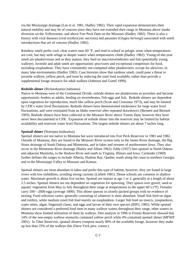via the Mississippi drainage (Lee et al. 1981, Hadley 1982). Their rapid expansion demonstrates their natural mobility and may be of concern since they have not extended their range in Montana above intake diversion on the Yellowstone, and above Fort Peck Dam on the Missouri (Hadley 1982). There is also a history with viral diseases (viral erythrocytic necrosis) and parasites (*Glugea hertwigi*) associated with smelt introductions that are of concern (Hadley 1982).

Rainbow smelt prefer cool, clear waters near 60 °F, and tend to school in pelagic areas when temperatures are cool, but may seek refuge in deeper waters when temperatures climb (Hadley 1982). Young-of-the-year smelt are planktivorous and as they mature, they feed on macroinvertebrates and fish (potentially young walleye). Juvenile and adult smelt are opportunistic piscivores and exceptional competitors for food, including zooplankton. They have consistently out-competed other planktivores, except for alewives, in many lake environments (Hadley 1982). Case histories show that rainbow smelt, could pose a threat to juvenile walleye, yellow perch, and trout by reducing the total food available, rather than provide a supplemental forage resource for adult walleye (Johnson and Goettl 1999).

### **Redside shiner** (Richardsonius balteatus)

Native to Montana west of the Continental Divide, redside shiners are planktivores as juveniles and become opportunistic feeders as adults, feeding on invertebrates, fish eggs and fish. Redside shiners are dependent upon vegetation for reproduction, much like yellow perch (Scott and Crossman 1973), and may be limited by CFR's water level fluctuations. Redside shiners have demonstrated intolerance for large water level fluctuations, and were extirpated from an Idaho reservoir after repeated drawdown's (Bennett and Bennett 1993). Redside shiners have been collected in the Missouri River above Toston Dam, however they have never been documented in CFR. Expansion of redside shiner into the reservoir may be limited by habitat availability and reservoir water level fluctuations. The largest redside shiners are about 7 inches long.

### **Spottail shiner** (Notropus hudsonius)

Spottail shiners are not native to Montana but were introduced into Fort Peck Reservoir in 1981 and 1982. Outside of Montana, they are found in the Missouri River system only in the James River drainage, the Big Sioux drainage of South Dakota and Minnesota, and in lakes and streams of northwestern Iowa. They also occur in the Minnesota River drainage (Bailey and Allum 1962). Eddy (1957) lists spottail in North Dakota and adjacent Manitoba, to the Hudson River and south to Virginia, Illinois and Iowa. Carlander (1969) further defines the ranges to include Alberta, Hudson Bay, Quebec south along the coast to northern Georgia and in the Mississippi Valley to Missouri and Kansas.

Spottail shiners are most abundant in lakes and prefer this type of habitat, however, they are found in large rivers with low turbidities, avoiding strong currents (Liebelt 1981). Dense schools are common in shallow water. Maximum growth is about five inches. Spottail are mature at age 1 or 2, generally at a length of about 2.5 inches. Spottail shiners are not dependent on vegetation for spawning. They spawn over gravel, sand or aquatic vegetation from May to July throughout their range at temperatures in the upper 60's (°F). Females carry 100—2600 eggs (average 1800). This shiner spawns in closely packed groups with no evidence of nesting. Food selection varies, generally consisting of whatever is most abundant. Small fish feed on algae and rotifers, while medium sized fish feed mainly on zooplankton. Larger fish feed on insects, zooplankton, water mites, algae, fingernail clams, and eggs and larvae of their own species (IDFG 1985). While spottail shiners are considered a preferred food item in many walleye waters throughout their range, other waters in Montana show limited utilization of them by walleye. Diet analysis in 1996 in Fresno Reservoir showed that 14% of the non-empty walleye stomachs contained yellow perch while 4% contained spottail shiner (MFWP 2001). In Tiber Reservoir, spottail shiners compose nearly 80% of the available forage, however they make up less than 25% of the walleye diet (Dave Yerk pers. comm.).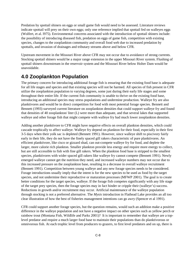Predation by spottail shiners on eggs or small game fish would need to be assessed. Literature reviews indicate spottail will prey on their own eggs; only one reference implied that spottail fed on walleyes eggs (Wolfert, et al. l975). Environmental concerns associated with the introduction of spottail shiners include: the possibility of introducing diseased fish, predation on eggs of game fish, competition with existing species, changes to the zooplankton community and overall food web due to increased predation by spottails, and invasion of drainages and tributary streams above and below CFR.

Upstream movement in the Missouri River above CFR may not occur due to avoidance of strong currents. Stocking spottail shiners would be a major range extension in the upper Missouri River system. Flushing of spottail shiners downstream in the reservoir system and the Missouri River below Holter Dam would be unavoidable.

## **4.0 Zooplankton Population**

The primary concern for introducing additional forage fish is ensuring that the existing food base is adequate for all life stages and species and that existing species will not be harmed. All species of fish present in CFR utilize the zooplankton population to varying degrees, some just during their early life stages and some throughout their entire life. If the current fish community is unable to thrive on the existing food base, introducing an additional species may stress populations and undermine production. Walleye fry are also planktivores and would be in direct competition for food with most potential forage species. Bennett and Bennett (1993) surveyed current literature on zooplankton densities that could support walleye fry and found that densities of 40 zooplankton/ liter (L) were more than adequate, and that several lakes that supported walleye and other forage fish that might compete with walleye fry had much lower zooplankton densities.

Adding another planktivore to CFR might have negative effects on overall plankton densities, which could cascade trophically to affect walleye. Walleye fry depend on plankton for their food, especially in their first 3-5 days when their yolk sac is depleted (Bennett 1991). However, since walleye shift to piscivory fairly early in their life, they do not have the finely spaced gill rakers characteristic of pure planktivores. An efficient planktivore, like cisco or gizzard shad, can out-compete walleye fry for food, and deplete the larger, more calorie rich plankton. Smaller plankton provide less energy and require more energy to collect, but are still accessible to fish with fine gill rakers. When the plankton food base is stripped to the smallest species, planktivores with wider spaced gill rakers like walleye fry cannot compete (Bennett 1991). Newly emerged walleye cannot get the nutrition they need, and increased walleye numbers may not occur due to this increased pressure on the zooplankton base, resulting in a decrease in overall walleye recruitment (Bennett 1991). Competition between young walleye and any new forage species needs to be considered. Forage introductions usually imply that the intent is for the new species to be used as food by the target species, and not undermine their reproductive or maturation processes (MFWP 2001). The goal is to create better conditions for the target species, walleye. If the forage fish competes significantly with any life stage of the target prey species, then the forage species may in fact hinder or cripple their (walleye's) success. Reductions in growth and/or recruitment may occur. Artificial maintenance of the walleye population through stocking is not a preferred alternative. The *Mysis* introduction in Flathead Lake provides an all too clear illustration of how the best of fisheries management intentions can go awry (Spencer et al 1991).

CFR could support another forage species, but the question remains, would such an addition make a positive difference in the walleye population and not have a negative impact on other species such as yellow perch or rainbow trout (Montana Fish, Wildlife and Parks 2001)? It is important to remember that walleye are a toplevel predator and require a much larger food base to maintain their populations than do planktivorous or omnivorous fish. At each trophic level from producers to grazers, to first level predators and on up, there is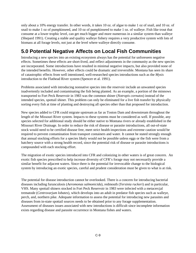only about a 10% energy transfer. In other words, it takes 10 oz. of algae to make 1 oz of snail, and 10 oz. of snail to make 1 oz of pumpkinseed, and 10 oz of pumpkinseed to make 1 oz. of walleye. Fish like trout that consume at a lower trophic level, can get much bigger and more numerous in a similar system than walleye (Shepard 1991). Creating a stable and quality walleye fishery requires a very productive system with lots of biomass at all forage levels, not just at the level where walleye directly consume.

## **5.0 Potential Negative Affects on Local Fish Communities**

Introducing a new species into an existing ecosystem always has the potential for unforeseen negative effects. Sometimes these effects are short-lived, and reflect adjustments in the community as the new species are incorporated. Some introductions have resulted in minimal negative impacts, but also provided none of the intended benefits. However, other effects could be dramatic and irreversible. Montana has seen its share of catastrophic effects from well intentioned, well-researched species introductions such as the *Mysis* introduction to the Flathead River system (Spencer et al. 1991).

Problems associated with introducing nonnative species into the reservoir include an unwanted species inadvertently included and contaminating the fish being planted. As an example, a portion of the minnows transported to Fort Peck Reservoir in 1983 was the common shiner (*Notropis cornutos*) instead of the intended species, spottail shiner. This problem can only be eliminated for a live fish transfer by physically sorting every fish at time of planting and destroying all species other than that proposed for introduction.

New species added to CFR could migrate upstream as far as Toston Dam and downstream throughout the length of the Missouri River system. Impacts to these systems must be considered as well. If possible, any species selected for additional study should be either native to Montana rivers or already established in the Missouri River Drainage. In order to reduce the risk of disease or parasite introductions, all out-of-state stock would need to be certified disease free, meet strict health inspections and extreme caution would be required to prevent contamination from transport containers and water. It cannot be stated strongly enough that annual stocking efforts for a species likely would not be possible unless eggs or the fish were from a hatchery source with a strong health record, since the potential risk of disease or parasite introductions is compounded with each stocking effort.

The migration of exotic species introduced into CFR and colonizing in other waters is of great concern. An exotic fish species prescribed to help increase diversity of CFR's forage may not necessarily provide a similar benefit for adjacent waters. Since there is the potential for irrevocable change to the biological system by introducing an exotic species, careful and prudent consideration must be given to what is at risk.

The potential for disease introduction cannot be overlooked. There is a concern for introducing bacterial diseases including furunculosis (*Aeromonas salmonicida*), redmouth (*Yersinia ruckeri*) and in particular, VHS. Many spottail shiners stocked in Fort Peck Reservoir in 1983 were infected with a metacercjal trematode (*Centrovarjum lobates*), which develops into an adult in predator fish species such as walleye, perch, and, northern pike. Adequate information to assess the potential for introducing new parasites and diseases from in-state spottail sources needs to be obtained prior to any forage supplementation. Assessment of diseases issues associated with new introductions is difficult since incomplete information exists regarding disease and parasite occurrence in Montana fishes and waters.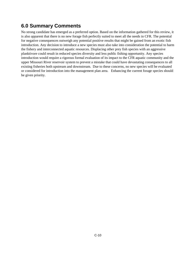## **6.0 Summary Comments**

No strong candidate has emerged as a preferred option. Based on the information gathered for this review, it is also apparent that there is no new forage fish perfectly suited to meet all the needs in CFR. The potential for negative consequences outweigh any potential positive results that might be gained from an exotic fish introduction. Any decision to introduce a new species must also take into consideration the potential to harm the fishery and interconnected aquatic resources. Displacing other prey fish species with an aggressive planktivore could result in reduced species diversity and less public fishing opportunity. Any species introduction would require a rigorous formal evaluation of its impact to the CFR aquatic community and the upper Missouri River reservoir system to prevent a mistake that could have devastating consequences to all existing fisheries both upstream and downstream. Due to these concerns, no new species will be evaluated or considered for introduction into the management plan area. Enhancing the current forage species should be given priority.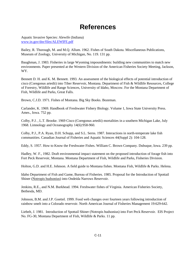# **References**

Aquatic Invasive Species: Alewife (Indiana) [www.in.gov/dnr/files/ALEWIFE.pdf](http://www.in.gov/dnr/files/ALEWIFE.pdf)

Bailey, R. Thorough, M. and M.Q. Allum. 1962. Fishes of South Dakota. Miscellaneous Publications, Museum of Zoology, University of Michigan, No. 119. 131 pp.

Baughman, J. 1983. Fisheries in large Wyoming impoundments: building new communities to match new environments. Paper presented at the Western Division of the American Fisheries Society Meeting, Jackson, WY.

Bennett D. H. and K. M. Bennett. 1993. An assessment of the biological effects of potential introduction of cisco (Coregonus artedii) into Tiber Reservoir, Montana. Department of Fish & Wildlife Resources, College of Forestry, Wildlife and Range Sciences, University of Idaho, Moscow. For the Montana Department of Fish, Wildlife and Parks, Great Falls.

Brown, C.J.D. 1971. Fishes of Montana. Big Sky Books. Bozeman.

Carlander, K. 1969. Handbook of Freshwater Fishery Biology. Volume 1, Iowa State University Press. Ames., Iowa. 752 pp.

Colby, P.J. , L.T. Brooke. 1969 Cisco (Coregonus artedii) mortalities in a southern Michigan Lake, July 1968. Limnology and Oceanography 14(6):958-960.

Colby, P.J., P.A. Ryan, D.H. Schupp, and S.L. Serns. 1987. Interactions in north-temperate lake fish communities. Canadian Journal of Fisheries and Aquatic Sciences 44(Suppl 2): 104-128.

Eddy, S. 1957. How to Know the Freshwater Fishes. William C. Brown Company. Dubuque, Iowa. 239 pp.

Hadley, W. F., 1982. Draft environmental impact statement on the proposed introduction of forage fish into Fort Peck Reservoir, Montana. Montana Department of Fish, Wildlife and Parks, Fisheries Division.

Holton, G.D. and H.E. Johnson. A field guide to Montana fishes. Montana Fish, Wildlife & Parks. Helena.

Idaho Department of Fish and Game, Bureau of Fisheries. 1985. Proposal for the Introduction of Spottail Shiner (Notropis hudsonius) into Ondeida Narrows Reservoir.

Jenkins, R.E., and N.M. Burkhead. 1994. Freshwater fishes of Virginia. American Fisheries Society, Bethesda, MD.

Johnson, B.M. and J.P. Goettel. 1999. Food web changes over fourteen years following introduction of rainbow smelt into a Colorado reservoir. North American Journal of Fisheries Management 19:629-642.

Liebelt, J. 1981. Introduction of Spottail Shiner (Notropis hudsonius) into Fort Peck Reservoir. EIS Project No. FG-30, Montana Department of Fish, Wildlife & Parks. 11 pp.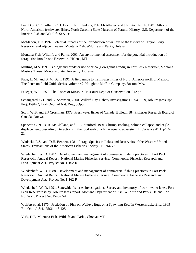Lee, D.S., C.R. Gilbert, C.H. Hocutt, R.E. Jenkins, D.E. McAllister, and J.R. Stauffer, Jr. 1981. Atlas of North American freshwater fishes. North Carolina State Museum of Natural History. U.S. Department of the Interior, Fish and Wildlife Service.

McMahon, T.E. 1992. Potential impacts of the introduction of walleye to the fishery of Canyon Ferry Reservoir and adjacent waters. Montana Fish, Wildlife and Parks, Helena.

Montana Fish, Wildlife and Parks. 2001. An environmental assessment for the potential introduction of forage fish into Fresno Reservoir. Helena, MT.

Mullins, M.S. 1991. Biology and predator use of cisco (Coregonus artedii) in Fort Peck Reservoir, Montana. Masters Thesis. Montana State University, Bozeman.

Page, L. M., and B. M. Burr. 1991. A field guide to freshwater fishes of North America north of Mexico. The Peterson Field Guide Series, volume 42. Houghton Mifflin Company, Boston, MA.

Pfiieger, W.L. 1975. The Fishes of Missouri. Missouri Dept. of Conservation. 342 pp.

Schaugaard, C.J., and K. Sorenson, 2000. Willard Bay Fishery Investigations 1994-1999, Job Progress Rpt. Proj. F-91-R, Utah Dept. of Nat. Res., 3Opp.

Scott, W B, and E J Crossman. 1973. Freshwater fishes of Canada. Bulletin 184 Fisheries Research Board of Canada. Ottawa.

Spencer, C. N., B. R. McClelland, and J. A. Stanford. 1991. Shrimp stocking, salmon collapse, and eagle displacement; cascading interactions in the food web of a large aquatic ecosystem. BioScience 41:1, p1 4-21.

Wadoski, R.S., and D.H. Bennett, 1981. Forage Species in Lakes and Reservoirs of the Western United States. Transactions of the American Fisheries Society 110:764-771.

Wiedenheft, W. D. 1987. Development and management of commercial fishing practices in Fort Peck Reservoir. Annual Report. National Marine Fisheries Service. Commercial Fisheries Research and Development Act. Project No. 1-162-R

Wiedenheft, W. D. 1988. Development and management of commercial fishing practices in Fort Peck Reservoir. Annual Report. National Marine Fisheries Service. Commercial Fisheries Research and Development Act. Project No. 1-162-R

Wiedenheft, W. D. 1991. Statewide fisheries investigations. Survey and inventory of warm water lakes. Fort Peck Reservoir study. Job Progress report. Montana Department of Fish, Wildlife and Parks, Helena. Job No. W-C. Project No. F-46-R-4.

Wolfert et. al, 1975. Predation by Fish on Walleye Eggs on a Spawning Reef in Western Lake Erie, 1969- 71. Ohio J. Sci. 75(3) 118-125.

Yerk, D.B. Montana Fish, Wildlife and Parks, Choteau MT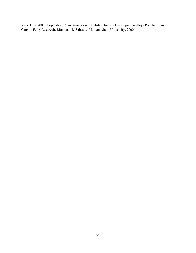Yerk, D.B. 2000. Population Characteristics and Habitat Use of a Developing Walleye Population in Canyon Ferry Reservoir, Montana. MS thesis. Montana State University, 2000.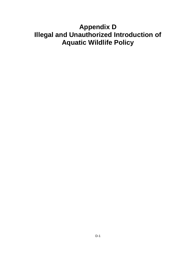# **Appendix D Illegal and Unauthorized Introduction of Aquatic Wildlife Policy**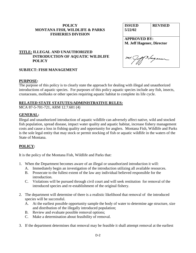## **POLICY MONTANA FISH, WILDLIFE & PARKS FISHERIES DIVISION**

| <b>ISSUED</b>                    | <b>REVISED</b> |
|----------------------------------|----------------|
| 5/22/02                          |                |
|                                  |                |
| <b>APPROVED BY:</b>              |                |
| <b>M. Jeff Hagener, Director</b> |                |
|                                  |                |
|                                  |                |
| Vage.                            |                |
|                                  |                |
|                                  |                |

## **TITLE: ILLEGAL AND UNAUTHORIZED INTRODUCTION OF AQUATIC WILDLIFE POLICY**

## **SUBJECT: FISH MANAGEMENT**

## **PURPOSE:**

The purpose of this policy is to clearly state the approach for dealing with illegal and unauthorized introductions of aquatic species. For purposes of this policy aquatic species include any fish, insects, crustaceans, mollusks or other species requiring aquatic habitat to complete its life cycle.

## **RELATED STATE STATUTES/ADMINISTRATIVE RULES:**

MCA 87-5-701-721, ARM 12.7.601 (4)

## **GENERAL:**

Illegal and unauthorized introduction of aquatic wildlife can adversely affect native, wild and stocked fish population, spread disease, impact water quality and aquatic habitat, increase fishery management costs and cause a loss in fishing quality and opportunity for anglers. Montana Fish, Wildlife and Parks is the sole legal entity that may stock or permit stocking of fish or aquatic wildlife in the waters of the State of Montana.

## **POLICY:**

It is the policy of the Montana Fish, Wildlife and Parks that:

- 1. When the Department becomes aware of an illegal or unauthorized introduction it will:
	- A. Immediately begin an investigation of the introduction utilizing all available resources.
	- B. Prosecute to the fullest extent of the law any individual believed responsible for the introduction.
	- C. Violations will be pursued through civil court and will seek restitution for removal of the introduced species and re-establishment of the original fishery.
- 2. The department will determine of there is a realistic likelihood that removal of the introduced species will be successful.
	- A. At the earliest possible opportunity sample the body of water to determine age structure, size and distribution of the illegally introduced population;
	- B. Review and evaluate possible removal options;
	- C. Make a determination about feasibility of removal.
- 3. If the department determines that removal may be feasible it shall attempt removal at the earliest